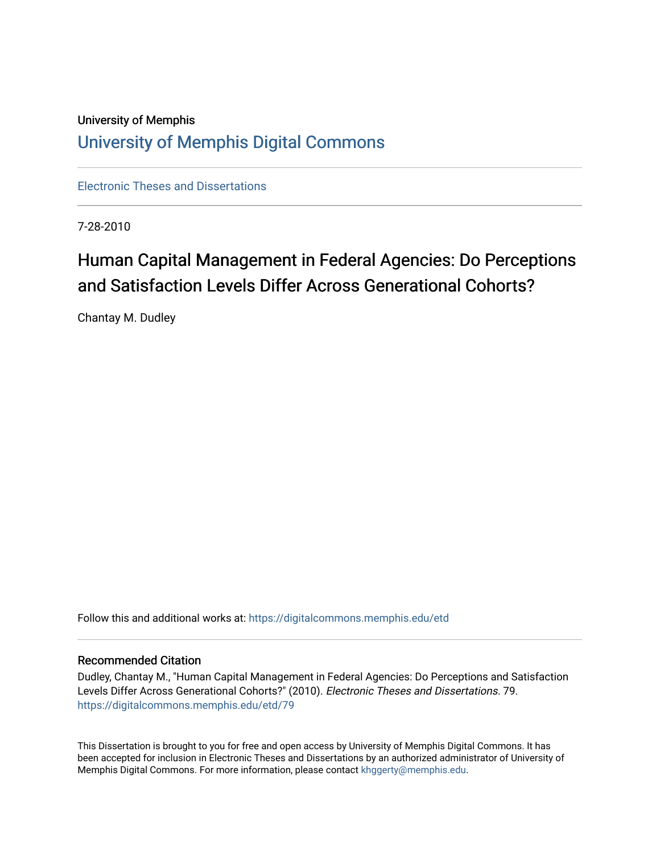# University of Memphis [University of Memphis Digital Commons](https://digitalcommons.memphis.edu/)

[Electronic Theses and Dissertations](https://digitalcommons.memphis.edu/etd)

7-28-2010

# Human Capital Management in Federal Agencies: Do Perceptions and Satisfaction Levels Differ Across Generational Cohorts?

Chantay M. Dudley

Follow this and additional works at: [https://digitalcommons.memphis.edu/etd](https://digitalcommons.memphis.edu/etd?utm_source=digitalcommons.memphis.edu%2Fetd%2F79&utm_medium=PDF&utm_campaign=PDFCoverPages) 

#### Recommended Citation

Dudley, Chantay M., "Human Capital Management in Federal Agencies: Do Perceptions and Satisfaction Levels Differ Across Generational Cohorts?" (2010). Electronic Theses and Dissertations. 79. [https://digitalcommons.memphis.edu/etd/79](https://digitalcommons.memphis.edu/etd/79?utm_source=digitalcommons.memphis.edu%2Fetd%2F79&utm_medium=PDF&utm_campaign=PDFCoverPages)

This Dissertation is brought to you for free and open access by University of Memphis Digital Commons. It has been accepted for inclusion in Electronic Theses and Dissertations by an authorized administrator of University of Memphis Digital Commons. For more information, please contact [khggerty@memphis.edu.](mailto:khggerty@memphis.edu)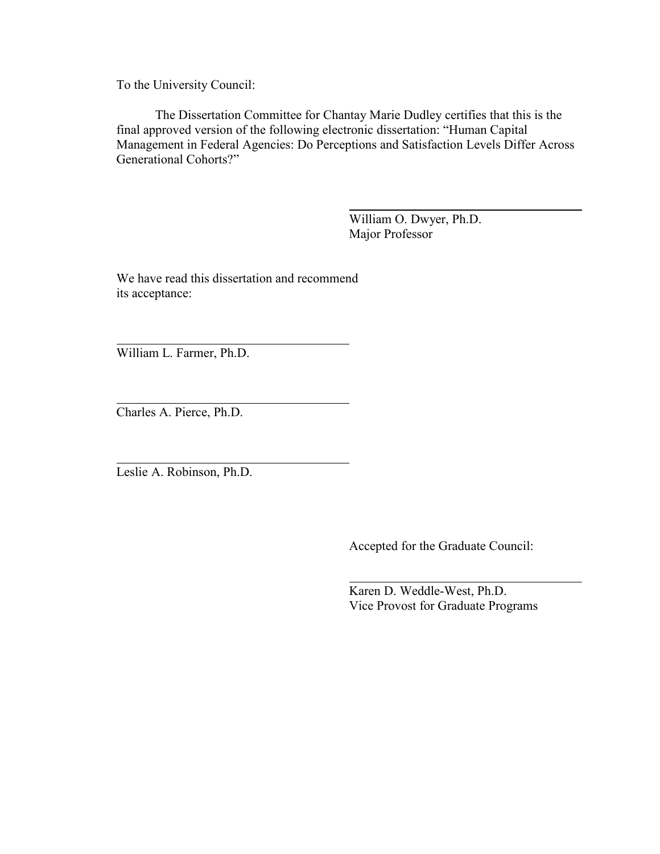To the University Council:

 The Dissertation Committee for Chantay Marie Dudley certifies that this is the final approved version of the following electronic dissertation: "Human Capital Management in Federal Agencies: Do Perceptions and Satisfaction Levels Differ Across Generational Cohorts?"

> William O. Dwyer, Ph.D. Major Professor

We have read this dissertation and recommend its acceptance:

William L. Farmer, Ph.D.

 $\overline{a}$ 

 $\overline{a}$ 

 $\overline{a}$ 

Charles A. Pierce, Ph.D.

Leslie A. Robinson, Ph.D.

Accepted for the Graduate Council:

 Karen D. Weddle-West, Ph.D. Vice Provost for Graduate Programs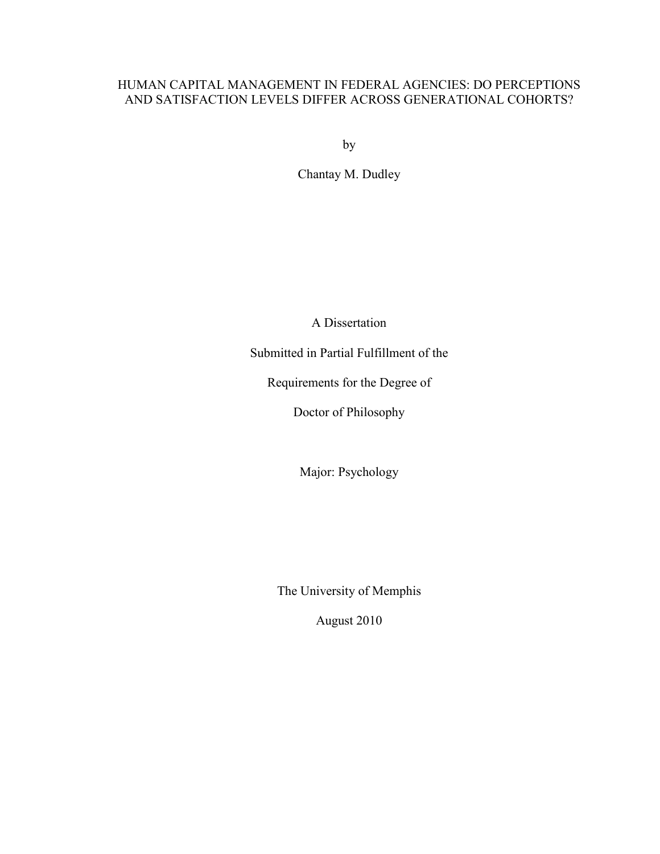## HUMAN CAPITAL MANAGEMENT IN FEDERAL AGENCIES: DO PERCEPTIONS AND SATISFACTION LEVELS DIFFER ACROSS GENERATIONAL COHORTS?

by

Chantay M. Dudley

A Dissertation

Submitted in Partial Fulfillment of the

Requirements for the Degree of

Doctor of Philosophy

Major: Psychology

The University of Memphis

August 2010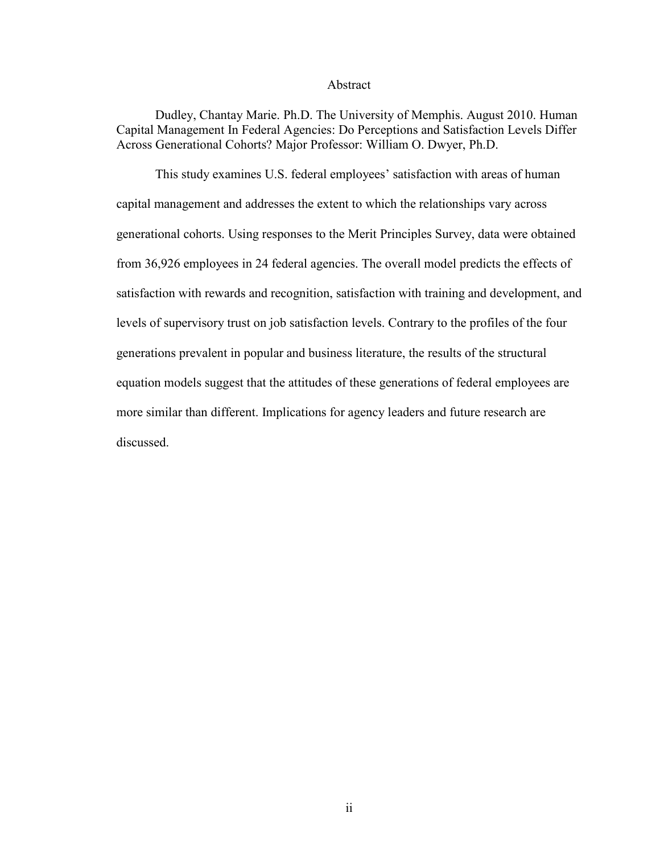#### Abstract

Dudley, Chantay Marie. Ph.D. The University of Memphis. August 2010. Human Capital Management In Federal Agencies: Do Perceptions and Satisfaction Levels Differ Across Generational Cohorts? Major Professor: William O. Dwyer, Ph.D.

 This study examines U.S. federal employees' satisfaction with areas of human capital management and addresses the extent to which the relationships vary across generational cohorts. Using responses to the Merit Principles Survey, data were obtained from 36,926 employees in 24 federal agencies. The overall model predicts the effects of satisfaction with rewards and recognition, satisfaction with training and development, and levels of supervisory trust on job satisfaction levels. Contrary to the profiles of the four generations prevalent in popular and business literature, the results of the structural equation models suggest that the attitudes of these generations of federal employees are more similar than different. Implications for agency leaders and future research are discussed.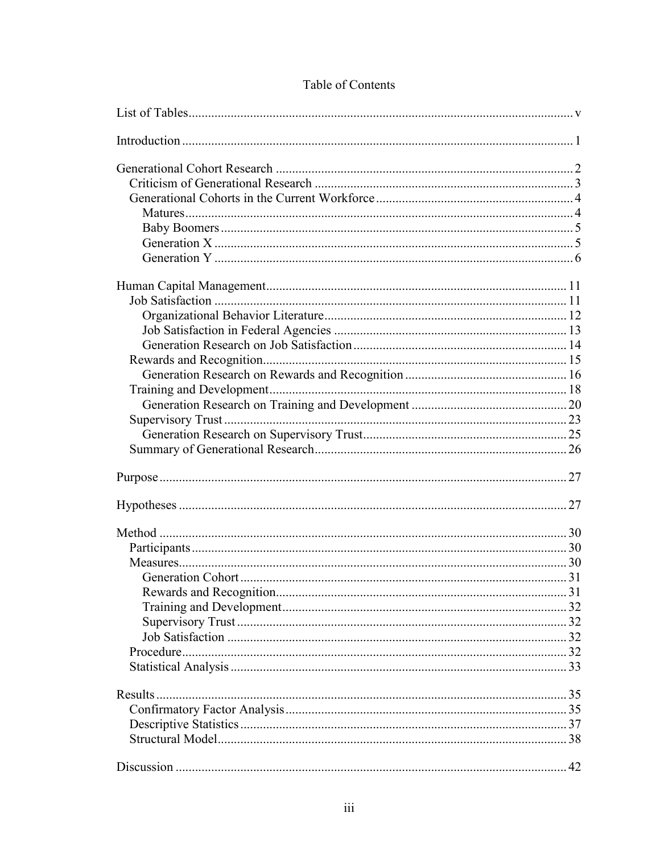| 42 |
|----|

## Table of Contents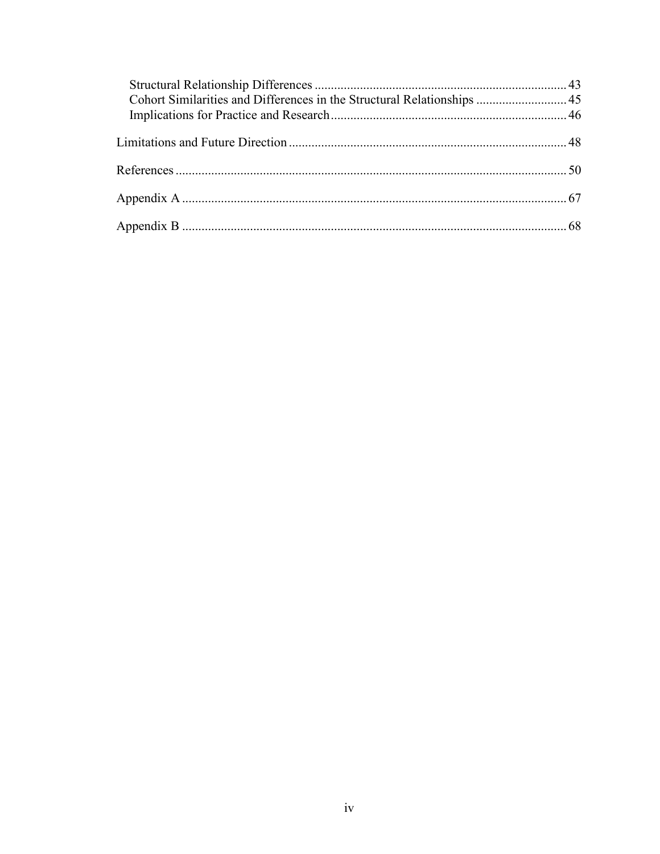| Cohort Similarities and Differences in the Structural Relationships  45 |  |
|-------------------------------------------------------------------------|--|
|                                                                         |  |
|                                                                         |  |
|                                                                         |  |
|                                                                         |  |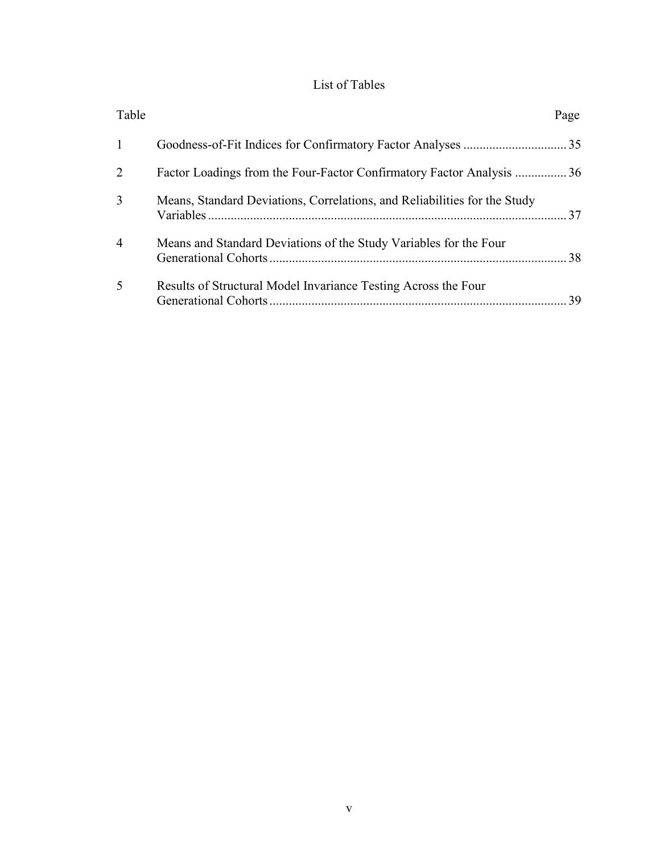## List of Tables

<span id="page-6-0"></span>

| Table          |                                                                           | Page |
|----------------|---------------------------------------------------------------------------|------|
| $\overline{1}$ |                                                                           |      |
| 2              | Factor Loadings from the Four-Factor Confirmatory Factor Analysis 36      |      |
| 3              | Means, Standard Deviations, Correlations, and Reliabilities for the Study |      |
| $\overline{4}$ | Means and Standard Deviations of the Study Variables for the Four         | 38   |
| 5              | Results of Structural Model Invariance Testing Across the Four            | 39   |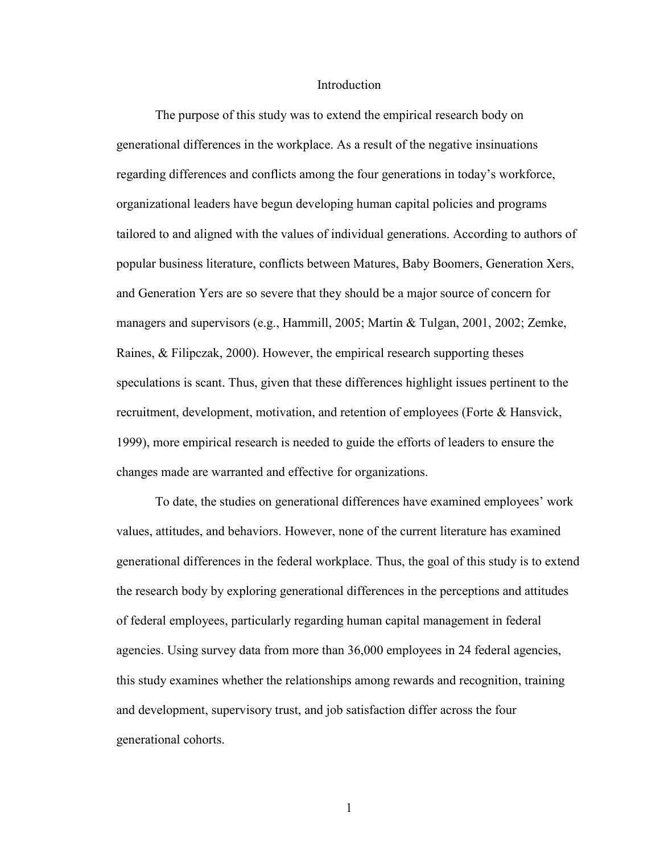#### Introduction

<span id="page-7-0"></span>The purpose of this study was to extend the empirical research body on generational differences in the workplace. As a result of the negative insinuations regarding differences and conflicts among the four generations in today's workforce, organizational leaders have begun developing human capital policies and programs tailored to and aligned with the values of individual generations. According to authors of popular business literature, conflicts between Matures, Baby Boomers, Generation Xers, and Generation Yers are so severe that they should be a major source of concern for managers and supervisors (e.g., Hammill, 2005; Martin & Tulgan, 2001, 2002; Zemke, Raines,  $\&$  Filipczak, 2000). However, the empirical research supporting theses speculations is scant. Thus, given that these differences highlight issues pertinent to the recruitment, development, motivation, and retention of employees (Forte & Hansvick, 1999), more empirical research is needed to guide the efforts of leaders to ensure the changes made are warranted and effective for organizations.

 To date, the studies on generational differences have examined employees' work values, attitudes, and behaviors. However, none of the current literature has examined generational differences in the federal workplace. Thus, the goal of this study is to extend the research body by exploring generational differences in the perceptions and attitudes of federal employees, particularly regarding human capital management in federal agencies. Using survey data from more than 36,000 employees in 24 federal agencies, this study examines whether the relationships among rewards and recognition, training and development, supervisory trust, and job satisfaction differ across the four generational cohorts.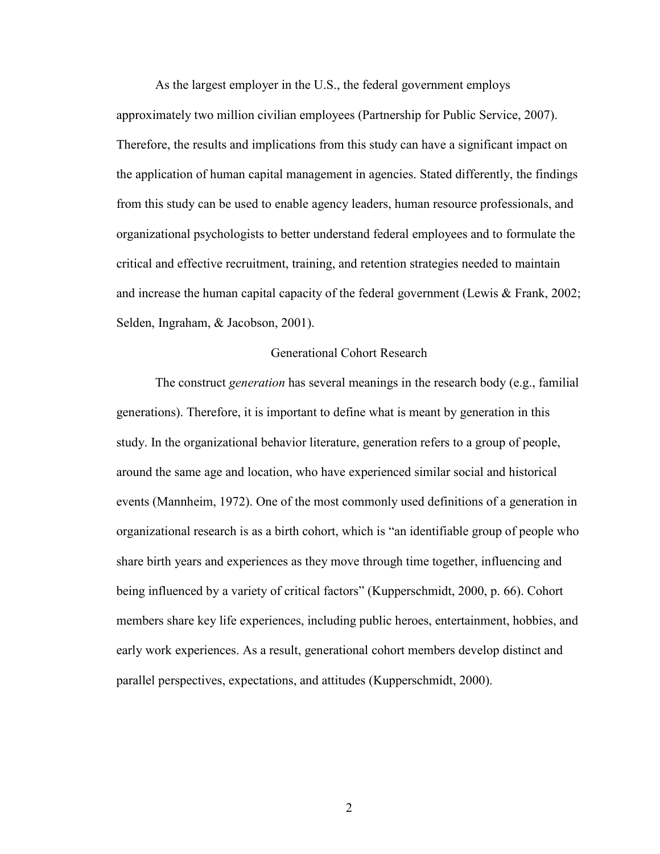<span id="page-8-0"></span> As the largest employer in the U.S., the federal government employs approximately two million civilian employees (Partnership for Public Service, 2007). Therefore, the results and implications from this study can have a significant impact on the application of human capital management in agencies. Stated differently, the findings from this study can be used to enable agency leaders, human resource professionals, and organizational psychologists to better understand federal employees and to formulate the critical and effective recruitment, training, and retention strategies needed to maintain and increase the human capital capacity of the federal government (Lewis & Frank, 2002; Selden, Ingraham, & Jacobson, 2001).

#### Generational Cohort Research

 The construct *generation* has several meanings in the research body (e.g., familial generations). Therefore, it is important to define what is meant by generation in this study. In the organizational behavior literature, generation refers to a group of people, around the same age and location, who have experienced similar social and historical events (Mannheim, 1972). One of the most commonly used definitions of a generation in organizational research is as a birth cohort, which is "an identifiable group of people who share birth years and experiences as they move through time together, influencing and being influenced by a variety of critical factors" (Kupperschmidt, 2000, p. 66). Cohort members share key life experiences, including public heroes, entertainment, hobbies, and early work experiences. As a result, generational cohort members develop distinct and parallel perspectives, expectations, and attitudes (Kupperschmidt, 2000).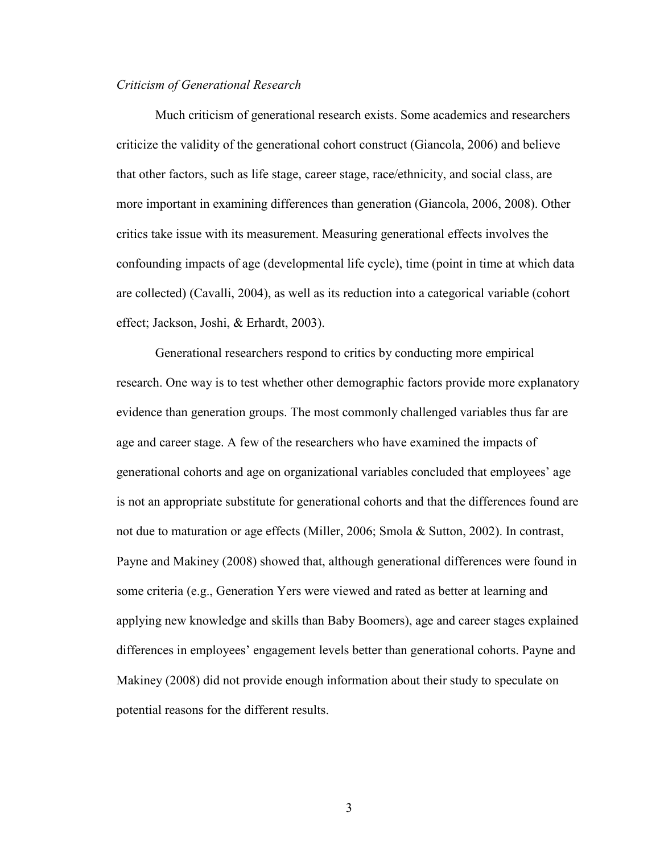#### <span id="page-9-0"></span>*Criticism of Generational Research*

 Much criticism of generational research exists. Some academics and researchers criticize the validity of the generational cohort construct (Giancola, 2006) and believe that other factors, such as life stage, career stage, race/ethnicity, and social class, are more important in examining differences than generation (Giancola, 2006, 2008). Other critics take issue with its measurement. Measuring generational effects involves the confounding impacts of age (developmental life cycle), time (point in time at which data are collected) (Cavalli, 2004), as well as its reduction into a categorical variable (cohort effect; Jackson, Joshi, & Erhardt, 2003).

 Generational researchers respond to critics by conducting more empirical research. One way is to test whether other demographic factors provide more explanatory evidence than generation groups. The most commonly challenged variables thus far are age and career stage. A few of the researchers who have examined the impacts of generational cohorts and age on organizational variables concluded that employees' age is not an appropriate substitute for generational cohorts and that the differences found are not due to maturation or age effects (Miller, 2006; Smola & Sutton, 2002). In contrast, Payne and Makiney (2008) showed that, although generational differences were found in some criteria (e.g., Generation Yers were viewed and rated as better at learning and applying new knowledge and skills than Baby Boomers), age and career stages explained differences in employees' engagement levels better than generational cohorts. Payne and Makiney (2008) did not provide enough information about their study to speculate on potential reasons for the different results.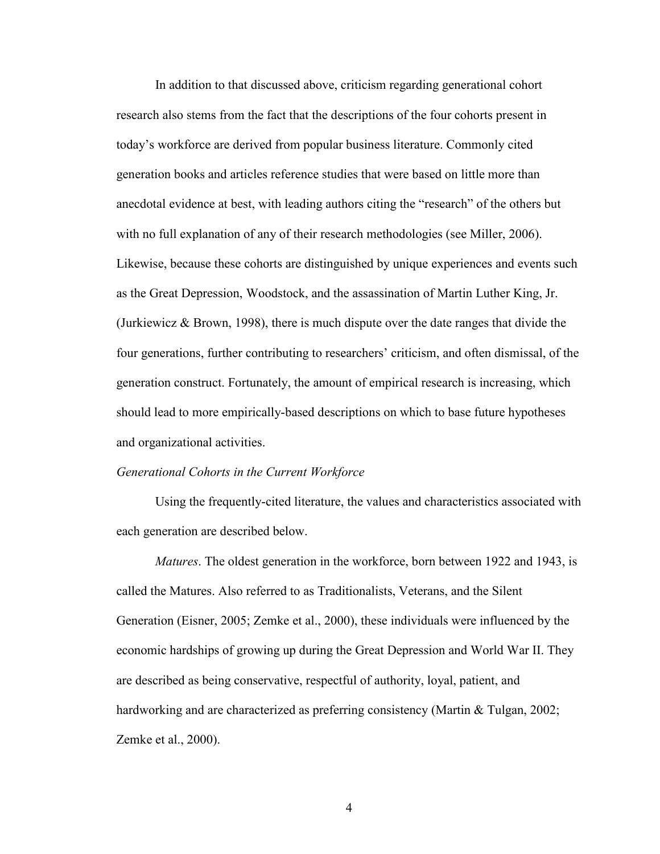<span id="page-10-0"></span> In addition to that discussed above, criticism regarding generational cohort research also stems from the fact that the descriptions of the four cohorts present in today's workforce are derived from popular business literature. Commonly cited generation books and articles reference studies that were based on little more than anecdotal evidence at best, with leading authors citing the "research" of the others but with no full explanation of any of their research methodologies (see Miller, 2006). Likewise, because these cohorts are distinguished by unique experiences and events such as the Great Depression, Woodstock, and the assassination of Martin Luther King, Jr. (Jurkiewicz  $\&$  Brown, 1998), there is much dispute over the date ranges that divide the four generations, further contributing to researchers' criticism, and often dismissal, of the generation construct. Fortunately, the amount of empirical research is increasing, which should lead to more empirically-based descriptions on which to base future hypotheses and organizational activities.

#### *Generational Cohorts in the Current Workforce*

Using the frequently-cited literature, the values and characteristics associated with each generation are described below.

*Matures*. The oldest generation in the workforce, born between 1922 and 1943, is called the Matures. Also referred to as Traditionalists, Veterans, and the Silent Generation (Eisner, 2005; Zemke et al., 2000), these individuals were influenced by the economic hardships of growing up during the Great Depression and World War II. They are described as being conservative, respectful of authority, loyal, patient, and hardworking and are characterized as preferring consistency (Martin & Tulgan, 2002; Zemke et al., 2000).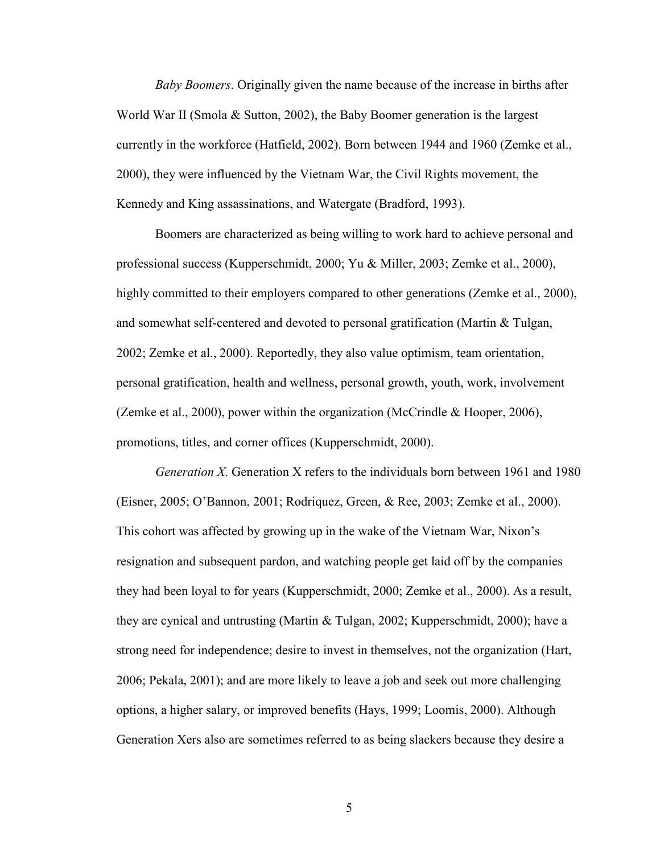<span id="page-11-0"></span>*Baby Boomers*. Originally given the name because of the increase in births after World War II (Smola & Sutton, 2002), the Baby Boomer generation is the largest currently in the workforce (Hatfield, 2002). Born between 1944 and 1960 (Zemke et al., 2000), they were influenced by the Vietnam War, the Civil Rights movement, the Kennedy and King assassinations, and Watergate (Bradford, 1993).

Boomers are characterized as being willing to work hard to achieve personal and professional success (Kupperschmidt, 2000; Yu & Miller, 2003; Zemke et al., 2000), highly committed to their employers compared to other generations (Zemke et al., 2000), and somewhat self-centered and devoted to personal gratification (Martin & Tulgan, 2002; Zemke et al., 2000). Reportedly, they also value optimism, team orientation, personal gratification, health and wellness, personal growth, youth, work, involvement (Zemke et al., 2000), power within the organization (McCrindle & Hooper, 2006), promotions, titles, and corner offices (Kupperschmidt, 2000).

*Generation X*. Generation X refers to the individuals born between 1961 and 1980 (Eisner, 2005; O'Bannon, 2001; Rodriquez, Green, & Ree, 2003; Zemke et al., 2000). This cohort was affected by growing up in the wake of the Vietnam War, Nixon's resignation and subsequent pardon, and watching people get laid off by the companies they had been loyal to for years (Kupperschmidt, 2000; Zemke et al., 2000). As a result, they are cynical and untrusting (Martin & Tulgan, 2002; Kupperschmidt, 2000); have a strong need for independence; desire to invest in themselves, not the organization (Hart, 2006; Pekala, 2001); and are more likely to leave a job and seek out more challenging options, a higher salary, or improved benefits (Hays, 1999; Loomis, 2000). Although Generation Xers also are sometimes referred to as being slackers because they desire a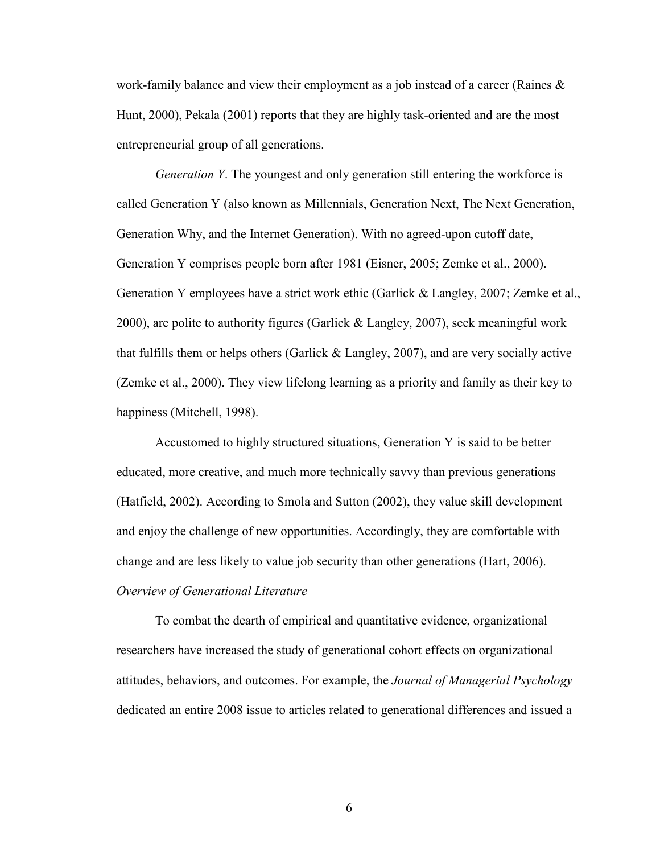<span id="page-12-0"></span>work-family balance and view their employment as a job instead of a career (Raines & Hunt, 2000), Pekala (2001) reports that they are highly task-oriented and are the most entrepreneurial group of all generations.

*Generation Y*. The youngest and only generation still entering the workforce is called Generation Y (also known as Millennials, Generation Next, The Next Generation, Generation Why, and the Internet Generation). With no agreed-upon cutoff date, Generation Y comprises people born after 1981 (Eisner, 2005; Zemke et al., 2000). Generation Y employees have a strict work ethic (Garlick & Langley, 2007; Zemke et al., 2000), are polite to authority figures (Garlick & Langley, 2007), seek meaningful work that fulfills them or helps others (Garlick  $&$  Langley, 2007), and are very socially active (Zemke et al., 2000). They view lifelong learning as a priority and family as their key to happiness (Mitchell, 1998).

Accustomed to highly structured situations, Generation Y is said to be better educated, more creative, and much more technically savvy than previous generations (Hatfield, 2002). According to Smola and Sutton (2002), they value skill development and enjoy the challenge of new opportunities. Accordingly, they are comfortable with change and are less likely to value job security than other generations (Hart, 2006). *Overview of Generational Literature* 

To combat the dearth of empirical and quantitative evidence, organizational researchers have increased the study of generational cohort effects on organizational attitudes, behaviors, and outcomes. For example, the *Journal of Managerial Psychology* dedicated an entire 2008 issue to articles related to generational differences and issued a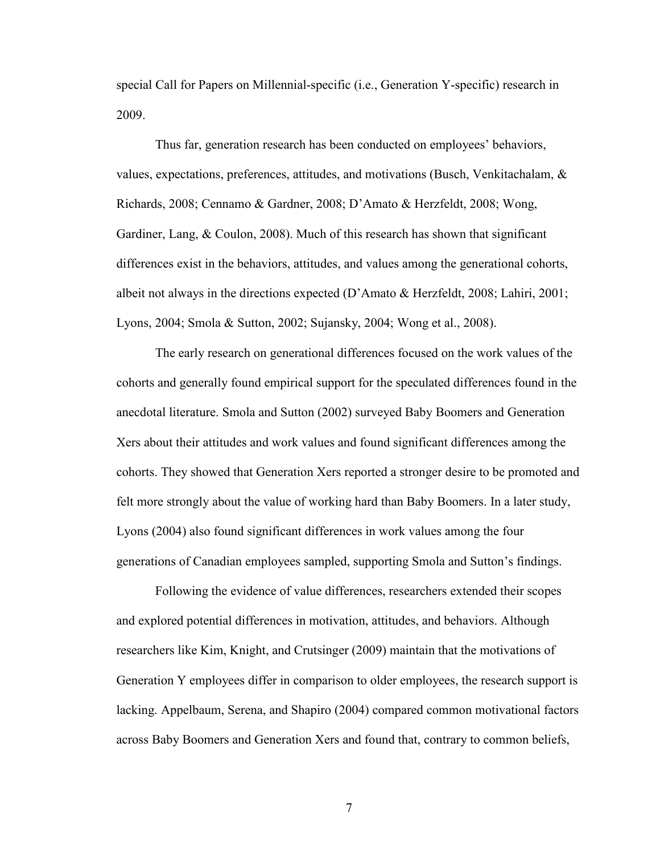special Call for Papers on Millennial-specific (i.e., Generation Y-specific) research in 2009.

 Thus far, generation research has been conducted on employees' behaviors, values, expectations, preferences, attitudes, and motivations (Busch, Venkitachalam, & Richards, 2008; Cennamo & Gardner, 2008; D'Amato & Herzfeldt, 2008; Wong, Gardiner, Lang,  $& Coulon, 2008$ . Much of this research has shown that significant differences exist in the behaviors, attitudes, and values among the generational cohorts, albeit not always in the directions expected (D'Amato & Herzfeldt, 2008; Lahiri, 2001; Lyons, 2004; Smola & Sutton, 2002; Sujansky, 2004; Wong et al., 2008).

 The early research on generational differences focused on the work values of the cohorts and generally found empirical support for the speculated differences found in the anecdotal literature. Smola and Sutton (2002) surveyed Baby Boomers and Generation Xers about their attitudes and work values and found significant differences among the cohorts. They showed that Generation Xers reported a stronger desire to be promoted and felt more strongly about the value of working hard than Baby Boomers. In a later study, Lyons (2004) also found significant differences in work values among the four generations of Canadian employees sampled, supporting Smola and Sutton's findings.

 Following the evidence of value differences, researchers extended their scopes and explored potential differences in motivation, attitudes, and behaviors. Although researchers like Kim, Knight, and Crutsinger (2009) maintain that the motivations of Generation Y employees differ in comparison to older employees, the research support is lacking. Appelbaum, Serena, and Shapiro (2004) compared common motivational factors across Baby Boomers and Generation Xers and found that, contrary to common beliefs,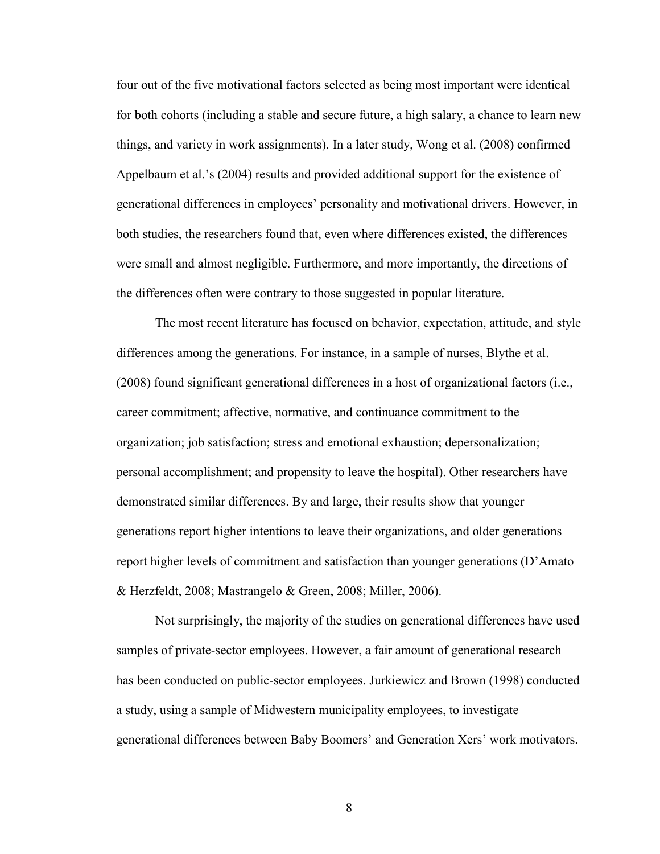four out of the five motivational factors selected as being most important were identical for both cohorts (including a stable and secure future, a high salary, a chance to learn new things, and variety in work assignments). In a later study, Wong et al. (2008) confirmed Appelbaum et al.'s (2004) results and provided additional support for the existence of generational differences in employees' personality and motivational drivers. However, in both studies, the researchers found that, even where differences existed, the differences were small and almost negligible. Furthermore, and more importantly, the directions of the differences often were contrary to those suggested in popular literature.

 The most recent literature has focused on behavior, expectation, attitude, and style differences among the generations. For instance, in a sample of nurses, Blythe et al. (2008) found significant generational differences in a host of organizational factors (i.e., career commitment; affective, normative, and continuance commitment to the organization; job satisfaction; stress and emotional exhaustion; depersonalization; personal accomplishment; and propensity to leave the hospital). Other researchers have demonstrated similar differences. By and large, their results show that younger generations report higher intentions to leave their organizations, and older generations report higher levels of commitment and satisfaction than younger generations (D'Amato & Herzfeldt, 2008; Mastrangelo & Green, 2008; Miller, 2006).

 Not surprisingly, the majority of the studies on generational differences have used samples of private-sector employees. However, a fair amount of generational research has been conducted on public-sector employees. Jurkiewicz and Brown (1998) conducted a study, using a sample of Midwestern municipality employees, to investigate generational differences between Baby Boomers' and Generation Xers' work motivators.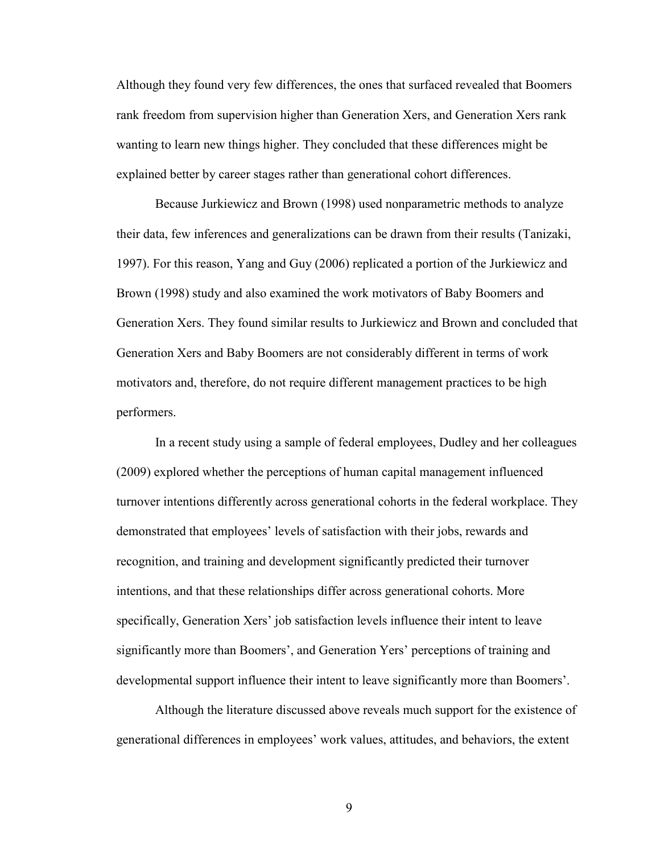Although they found very few differences, the ones that surfaced revealed that Boomers rank freedom from supervision higher than Generation Xers, and Generation Xers rank wanting to learn new things higher. They concluded that these differences might be explained better by career stages rather than generational cohort differences.

Because Jurkiewicz and Brown (1998) used nonparametric methods to analyze their data, few inferences and generalizations can be drawn from their results (Tanizaki, 1997). For this reason, Yang and Guy (2006) replicated a portion of the Jurkiewicz and Brown (1998) study and also examined the work motivators of Baby Boomers and Generation Xers. They found similar results to Jurkiewicz and Brown and concluded that Generation Xers and Baby Boomers are not considerably different in terms of work motivators and, therefore, do not require different management practices to be high performers.

 In a recent study using a sample of federal employees, Dudley and her colleagues (2009) explored whether the perceptions of human capital management influenced turnover intentions differently across generational cohorts in the federal workplace. They demonstrated that employees' levels of satisfaction with their jobs, rewards and recognition, and training and development significantly predicted their turnover intentions, and that these relationships differ across generational cohorts. More specifically, Generation Xers' job satisfaction levels influence their intent to leave significantly more than Boomers', and Generation Yers' perceptions of training and developmental support influence their intent to leave significantly more than Boomers'.

 Although the literature discussed above reveals much support for the existence of generational differences in employees' work values, attitudes, and behaviors, the extent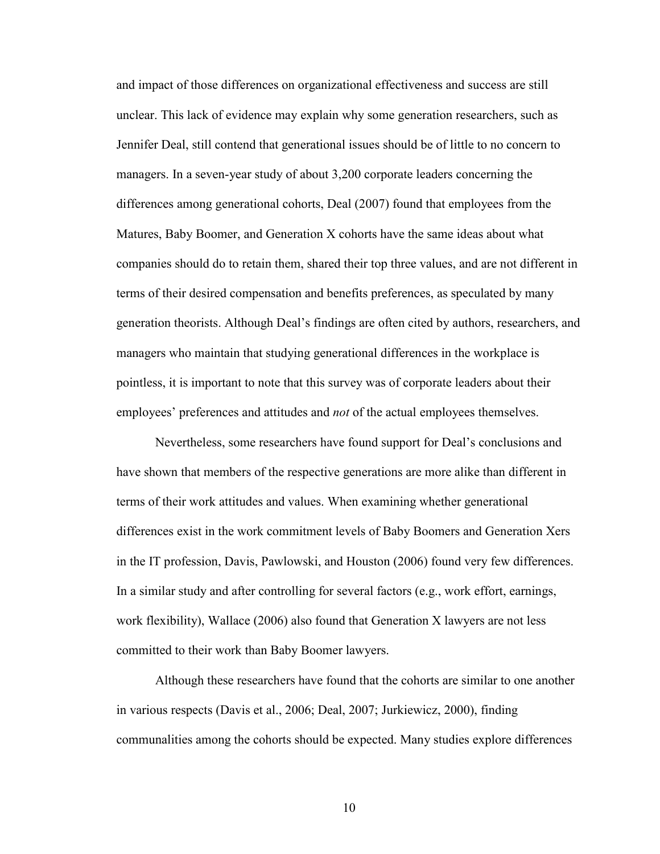and impact of those differences on organizational effectiveness and success are still unclear. This lack of evidence may explain why some generation researchers, such as Jennifer Deal, still contend that generational issues should be of little to no concern to managers. In a seven-year study of about 3,200 corporate leaders concerning the differences among generational cohorts, Deal (2007) found that employees from the Matures, Baby Boomer, and Generation X cohorts have the same ideas about what companies should do to retain them, shared their top three values, and are not different in terms of their desired compensation and benefits preferences, as speculated by many generation theorists. Although Deal's findings are often cited by authors, researchers, and managers who maintain that studying generational differences in the workplace is pointless, it is important to note that this survey was of corporate leaders about their employees' preferences and attitudes and *not* of the actual employees themselves.

 Nevertheless, some researchers have found support for Deal's conclusions and have shown that members of the respective generations are more alike than different in terms of their work attitudes and values. When examining whether generational differences exist in the work commitment levels of Baby Boomers and Generation Xers in the IT profession, Davis, Pawlowski, and Houston (2006) found very few differences. In a similar study and after controlling for several factors (e.g., work effort, earnings, work flexibility), Wallace (2006) also found that Generation X lawyers are not less committed to their work than Baby Boomer lawyers.

 Although these researchers have found that the cohorts are similar to one another in various respects (Davis et al., 2006; Deal, 2007; Jurkiewicz, 2000), finding communalities among the cohorts should be expected. Many studies explore differences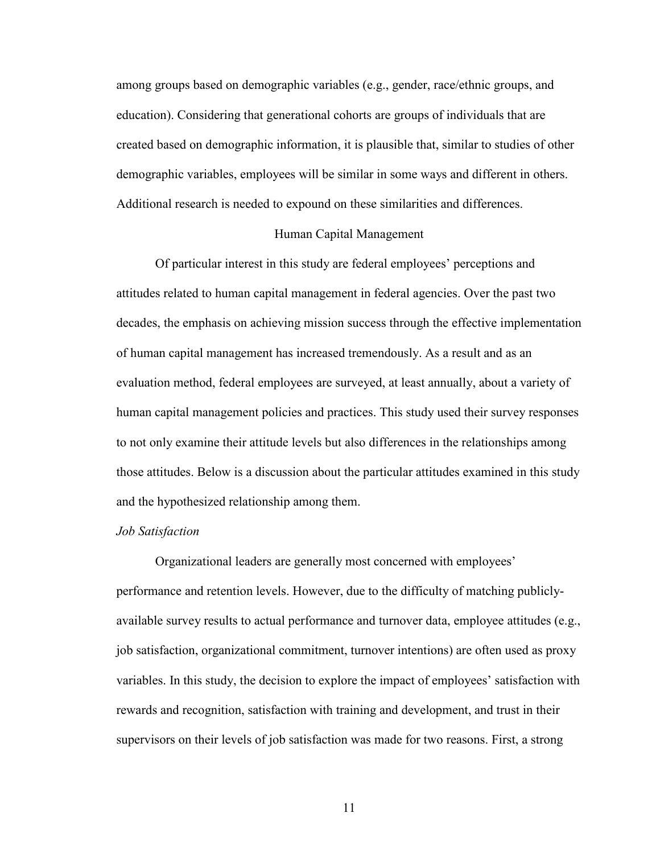<span id="page-17-0"></span>among groups based on demographic variables (e.g., gender, race/ethnic groups, and education). Considering that generational cohorts are groups of individuals that are created based on demographic information, it is plausible that, similar to studies of other demographic variables, employees will be similar in some ways and different in others. Additional research is needed to expound on these similarities and differences.

#### Human Capital Management

 Of particular interest in this study are federal employees' perceptions and attitudes related to human capital management in federal agencies. Over the past two decades, the emphasis on achieving mission success through the effective implementation of human capital management has increased tremendously. As a result and as an evaluation method, federal employees are surveyed, at least annually, about a variety of human capital management policies and practices. This study used their survey responses to not only examine their attitude levels but also differences in the relationships among those attitudes. Below is a discussion about the particular attitudes examined in this study and the hypothesized relationship among them.

#### *Job Satisfaction*

Organizational leaders are generally most concerned with employees' performance and retention levels. However, due to the difficulty of matching publiclyavailable survey results to actual performance and turnover data, employee attitudes (e.g., job satisfaction, organizational commitment, turnover intentions) are often used as proxy variables. In this study, the decision to explore the impact of employees' satisfaction with rewards and recognition, satisfaction with training and development, and trust in their supervisors on their levels of job satisfaction was made for two reasons. First, a strong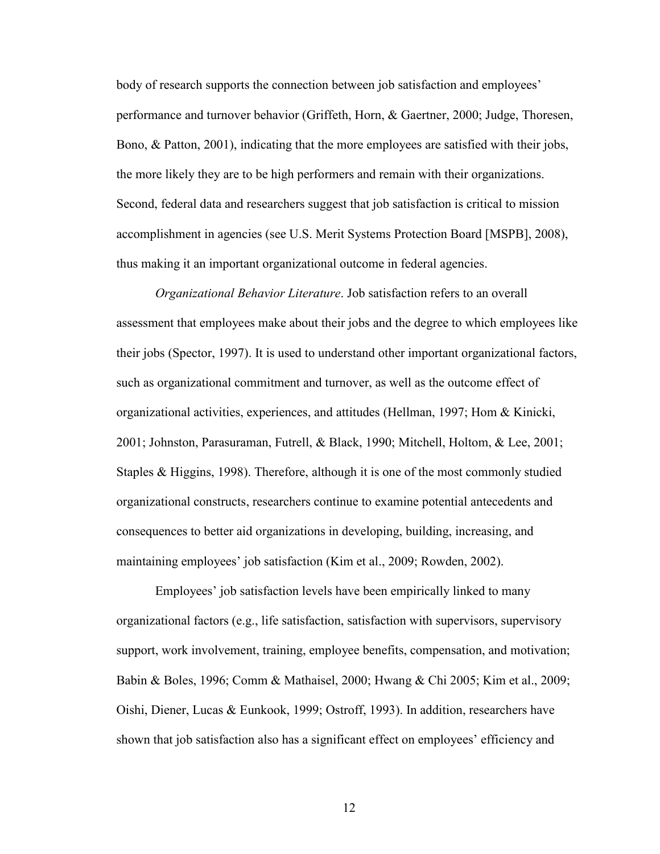<span id="page-18-0"></span>body of research supports the connection between job satisfaction and employees' performance and turnover behavior (Griffeth, Horn, & Gaertner, 2000; Judge, Thoresen, Bono, & Patton, 2001), indicating that the more employees are satisfied with their jobs, the more likely they are to be high performers and remain with their organizations. Second, federal data and researchers suggest that job satisfaction is critical to mission accomplishment in agencies (see U.S. Merit Systems Protection Board [MSPB], 2008), thus making it an important organizational outcome in federal agencies.

*Organizational Behavior Literature*. Job satisfaction refers to an overall assessment that employees make about their jobs and the degree to which employees like their jobs (Spector, 1997). It is used to understand other important organizational factors, such as organizational commitment and turnover, as well as the outcome effect of organizational activities, experiences, and attitudes (Hellman, 1997; Hom & Kinicki, 2001; Johnston, Parasuraman, Futrell, & Black, 1990; Mitchell, Holtom, & Lee, 2001; Staples & Higgins, 1998). Therefore, although it is one of the most commonly studied organizational constructs, researchers continue to examine potential antecedents and consequences to better aid organizations in developing, building, increasing, and maintaining employees' job satisfaction (Kim et al., 2009; Rowden, 2002).

Employees' job satisfaction levels have been empirically linked to many organizational factors (e.g., life satisfaction, satisfaction with supervisors, supervisory support, work involvement, training, employee benefits, compensation, and motivation; Babin & Boles, 1996; Comm & Mathaisel, 2000; Hwang & Chi 2005; Kim et al., 2009; Oishi, Diener, Lucas & Eunkook, 1999; Ostroff, 1993). In addition, researchers have shown that job satisfaction also has a significant effect on employees' efficiency and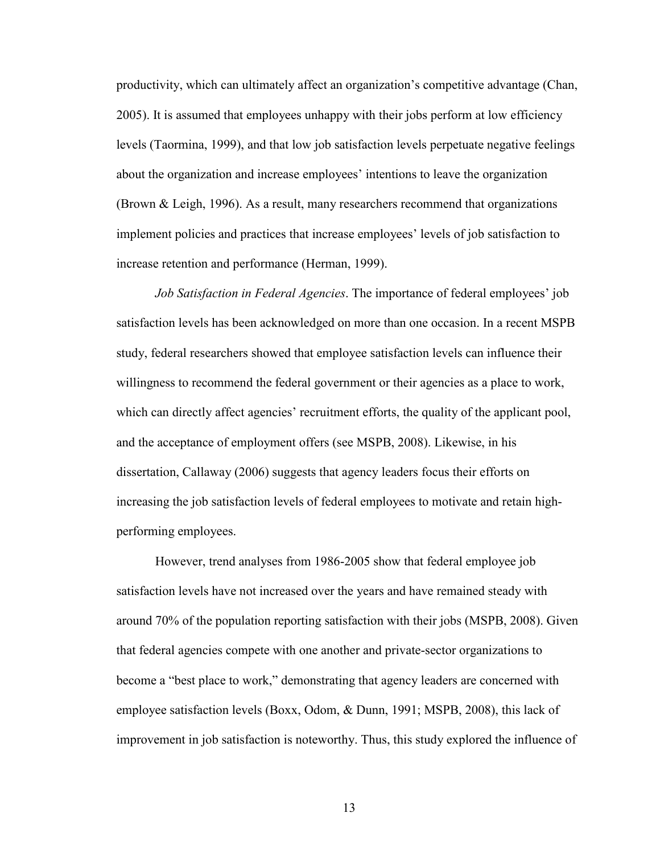<span id="page-19-0"></span>productivity, which can ultimately affect an organization's competitive advantage (Chan, 2005). It is assumed that employees unhappy with their jobs perform at low efficiency levels (Taormina, 1999), and that low job satisfaction levels perpetuate negative feelings about the organization and increase employees' intentions to leave the organization (Brown & Leigh, 1996). As a result, many researchers recommend that organizations implement policies and practices that increase employees' levels of job satisfaction to increase retention and performance (Herman, 1999).

*Job Satisfaction in Federal Agencies*. The importance of federal employees' job satisfaction levels has been acknowledged on more than one occasion. In a recent MSPB study, federal researchers showed that employee satisfaction levels can influence their willingness to recommend the federal government or their agencies as a place to work, which can directly affect agencies' recruitment efforts, the quality of the applicant pool, and the acceptance of employment offers (see MSPB, 2008). Likewise, in his dissertation, Callaway (2006) suggests that agency leaders focus their efforts on increasing the job satisfaction levels of federal employees to motivate and retain highperforming employees.

However, trend analyses from 1986-2005 show that federal employee job satisfaction levels have not increased over the years and have remained steady with around 70% of the population reporting satisfaction with their jobs (MSPB, 2008). Given that federal agencies compete with one another and private-sector organizations to become a "best place to work," demonstrating that agency leaders are concerned with employee satisfaction levels (Boxx, Odom, & Dunn, 1991; MSPB, 2008), this lack of improvement in job satisfaction is noteworthy. Thus, this study explored the influence of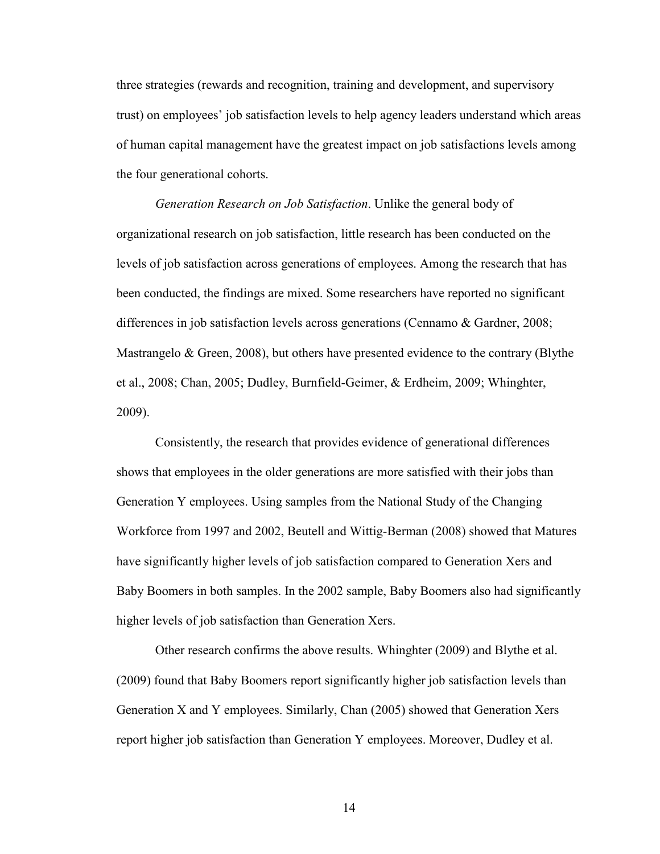<span id="page-20-0"></span>three strategies (rewards and recognition, training and development, and supervisory trust) on employees' job satisfaction levels to help agency leaders understand which areas of human capital management have the greatest impact on job satisfactions levels among the four generational cohorts.

*Generation Research on Job Satisfaction*. Unlike the general body of organizational research on job satisfaction, little research has been conducted on the levels of job satisfaction across generations of employees. Among the research that has been conducted, the findings are mixed. Some researchers have reported no significant differences in job satisfaction levels across generations (Cennamo & Gardner, 2008; Mastrangelo & Green, 2008), but others have presented evidence to the contrary (Blythe et al., 2008; Chan, 2005; Dudley, Burnfield-Geimer, & Erdheim, 2009; Whinghter, 2009).

Consistently, the research that provides evidence of generational differences shows that employees in the older generations are more satisfied with their jobs than Generation Y employees. Using samples from the National Study of the Changing Workforce from 1997 and 2002, Beutell and Wittig-Berman (2008) showed that Matures have significantly higher levels of job satisfaction compared to Generation Xers and Baby Boomers in both samples. In the 2002 sample, Baby Boomers also had significantly higher levels of job satisfaction than Generation Xers.

Other research confirms the above results. Whinghter (2009) and Blythe et al. (2009) found that Baby Boomers report significantly higher job satisfaction levels than Generation X and Y employees. Similarly, Chan (2005) showed that Generation Xers report higher job satisfaction than Generation Y employees. Moreover, Dudley et al.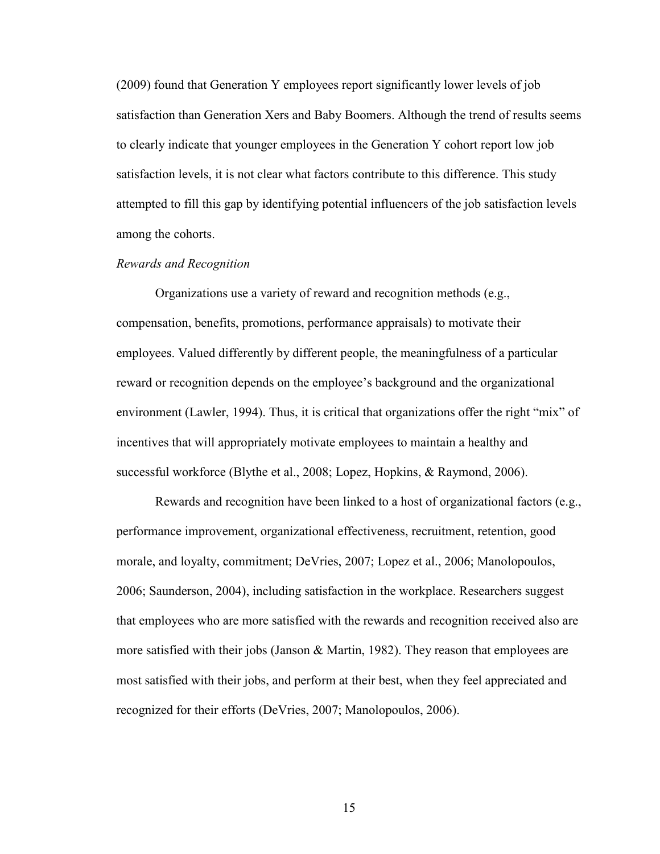<span id="page-21-0"></span>(2009) found that Generation Y employees report significantly lower levels of job satisfaction than Generation Xers and Baby Boomers. Although the trend of results seems to clearly indicate that younger employees in the Generation Y cohort report low job satisfaction levels, it is not clear what factors contribute to this difference. This study attempted to fill this gap by identifying potential influencers of the job satisfaction levels among the cohorts.

#### *Rewards and Recognition*

Organizations use a variety of reward and recognition methods (e.g., compensation, benefits, promotions, performance appraisals) to motivate their employees. Valued differently by different people, the meaningfulness of a particular reward or recognition depends on the employee's background and the organizational environment (Lawler, 1994). Thus, it is critical that organizations offer the right "mix" of incentives that will appropriately motivate employees to maintain a healthy and successful workforce (Blythe et al., 2008; Lopez, Hopkins, & Raymond, 2006).

 Rewards and recognition have been linked to a host of organizational factors (e.g., performance improvement, organizational effectiveness, recruitment, retention, good morale, and loyalty, commitment; DeVries, 2007; Lopez et al., 2006; Manolopoulos, 2006; Saunderson, 2004), including satisfaction in the workplace. Researchers suggest that employees who are more satisfied with the rewards and recognition received also are more satisfied with their jobs (Janson  $\&$  Martin, 1982). They reason that employees are most satisfied with their jobs, and perform at their best, when they feel appreciated and recognized for their efforts (DeVries, 2007; Manolopoulos, 2006).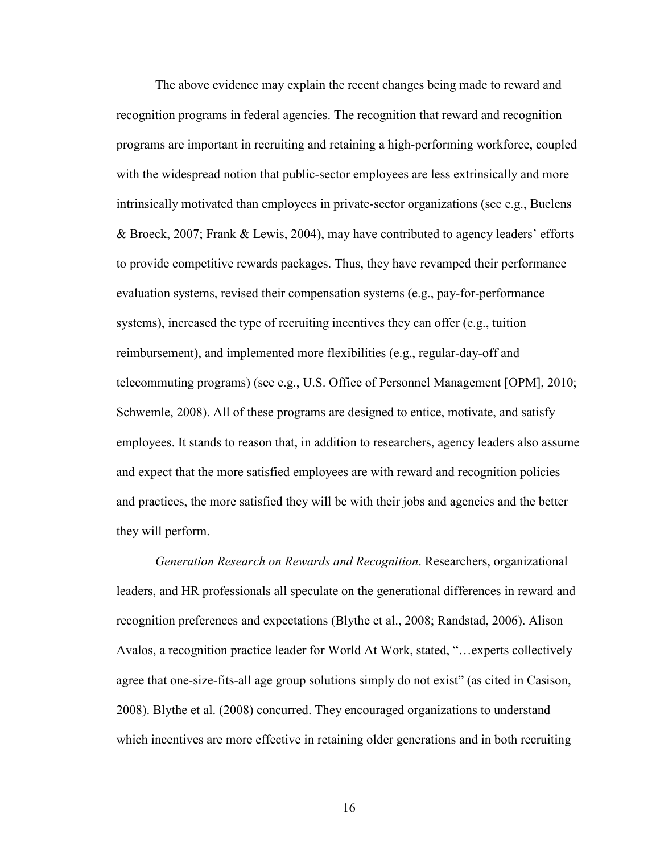<span id="page-22-0"></span> The above evidence may explain the recent changes being made to reward and recognition programs in federal agencies. The recognition that reward and recognition programs are important in recruiting and retaining a high-performing workforce, coupled with the widespread notion that public-sector employees are less extrinsically and more intrinsically motivated than employees in private-sector organizations (see e.g., Buelens & Broeck, 2007; Frank & Lewis, 2004), may have contributed to agency leaders' efforts to provide competitive rewards packages. Thus, they have revamped their performance evaluation systems, revised their compensation systems (e.g., pay-for-performance systems), increased the type of recruiting incentives they can offer (e.g., tuition reimbursement), and implemented more flexibilities (e.g., regular-day-off and telecommuting programs) (see e.g., U.S. Office of Personnel Management [OPM], 2010; Schwemle, 2008). All of these programs are designed to entice, motivate, and satisfy employees. It stands to reason that, in addition to researchers, agency leaders also assume and expect that the more satisfied employees are with reward and recognition policies and practices, the more satisfied they will be with their jobs and agencies and the better they will perform.

*Generation Research on Rewards and Recognition*. Researchers, organizational leaders, and HR professionals all speculate on the generational differences in reward and recognition preferences and expectations (Blythe et al., 2008; Randstad, 2006). Alison Avalos, a recognition practice leader for World At Work, stated, "…experts collectively agree that one-size-fits-all age group solutions simply do not exist" (as cited in Casison, 2008). Blythe et al. (2008) concurred. They encouraged organizations to understand which incentives are more effective in retaining older generations and in both recruiting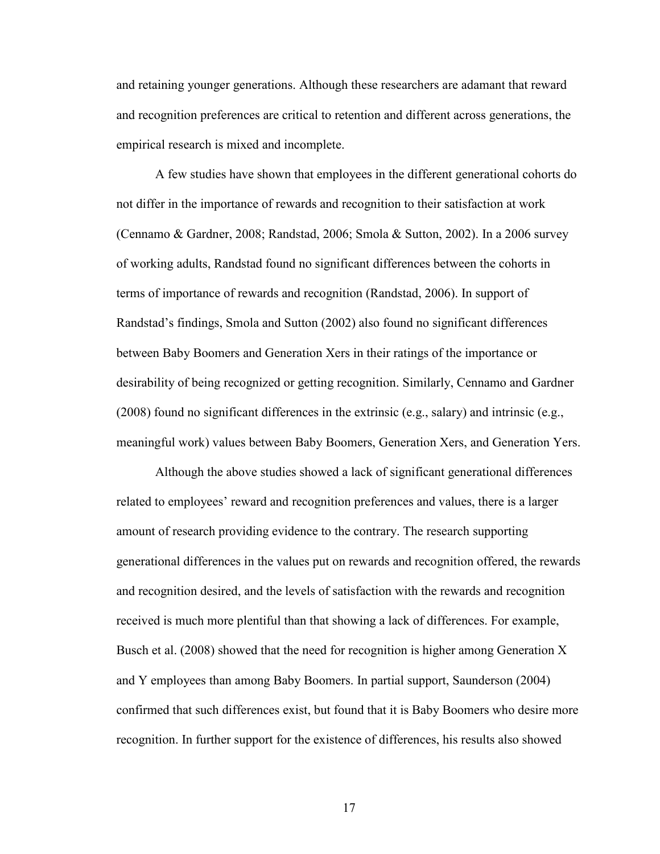and retaining younger generations. Although these researchers are adamant that reward and recognition preferences are critical to retention and different across generations, the empirical research is mixed and incomplete.

A few studies have shown that employees in the different generational cohorts do not differ in the importance of rewards and recognition to their satisfaction at work (Cennamo & Gardner, 2008; Randstad, 2006; Smola & Sutton, 2002). In a 2006 survey of working adults, Randstad found no significant differences between the cohorts in terms of importance of rewards and recognition (Randstad, 2006). In support of Randstad's findings, Smola and Sutton (2002) also found no significant differences between Baby Boomers and Generation Xers in their ratings of the importance or desirability of being recognized or getting recognition. Similarly, Cennamo and Gardner (2008) found no significant differences in the extrinsic (e.g., salary) and intrinsic (e.g., meaningful work) values between Baby Boomers, Generation Xers, and Generation Yers.

 Although the above studies showed a lack of significant generational differences related to employees' reward and recognition preferences and values, there is a larger amount of research providing evidence to the contrary. The research supporting generational differences in the values put on rewards and recognition offered, the rewards and recognition desired, and the levels of satisfaction with the rewards and recognition received is much more plentiful than that showing a lack of differences. For example, Busch et al. (2008) showed that the need for recognition is higher among Generation X and Y employees than among Baby Boomers. In partial support, Saunderson (2004) confirmed that such differences exist, but found that it is Baby Boomers who desire more recognition. In further support for the existence of differences, his results also showed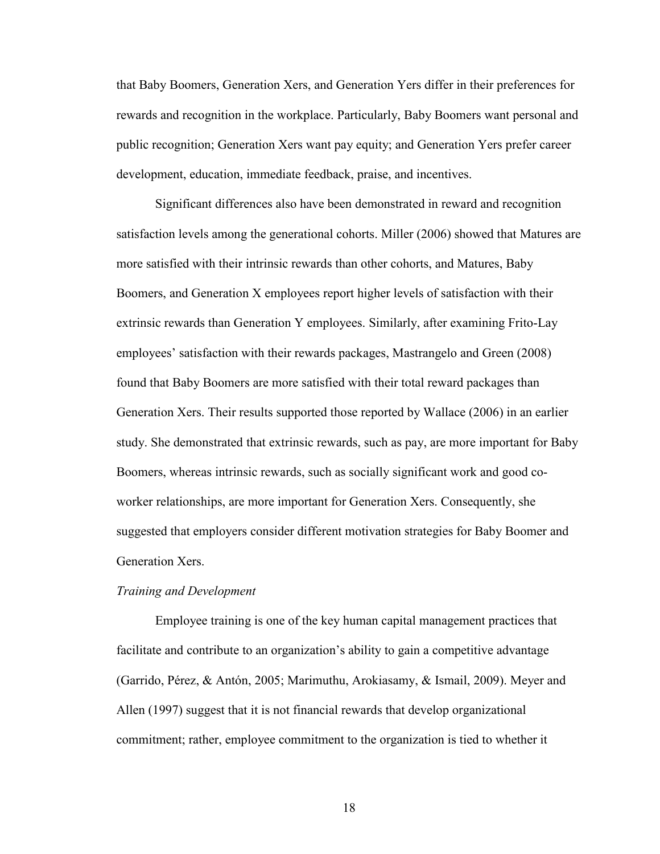<span id="page-24-0"></span>that Baby Boomers, Generation Xers, and Generation Yers differ in their preferences for rewards and recognition in the workplace. Particularly, Baby Boomers want personal and public recognition; Generation Xers want pay equity; and Generation Yers prefer career development, education, immediate feedback, praise, and incentives.

Significant differences also have been demonstrated in reward and recognition satisfaction levels among the generational cohorts. Miller (2006) showed that Matures are more satisfied with their intrinsic rewards than other cohorts, and Matures, Baby Boomers, and Generation X employees report higher levels of satisfaction with their extrinsic rewards than Generation Y employees. Similarly, after examining Frito-Lay employees' satisfaction with their rewards packages, Mastrangelo and Green (2008) found that Baby Boomers are more satisfied with their total reward packages than Generation Xers. Their results supported those reported by Wallace (2006) in an earlier study. She demonstrated that extrinsic rewards, such as pay, are more important for Baby Boomers, whereas intrinsic rewards, such as socially significant work and good coworker relationships, are more important for Generation Xers. Consequently, she suggested that employers consider different motivation strategies for Baby Boomer and Generation Xers.

#### *Training and Development*

Employee training is one of the key human capital management practices that facilitate and contribute to an organization's ability to gain a competitive advantage (Garrido, Pérez, & Antón, 2005; Marimuthu, Arokiasamy, & Ismail, 2009). Meyer and Allen (1997) suggest that it is not financial rewards that develop organizational commitment; rather, employee commitment to the organization is tied to whether it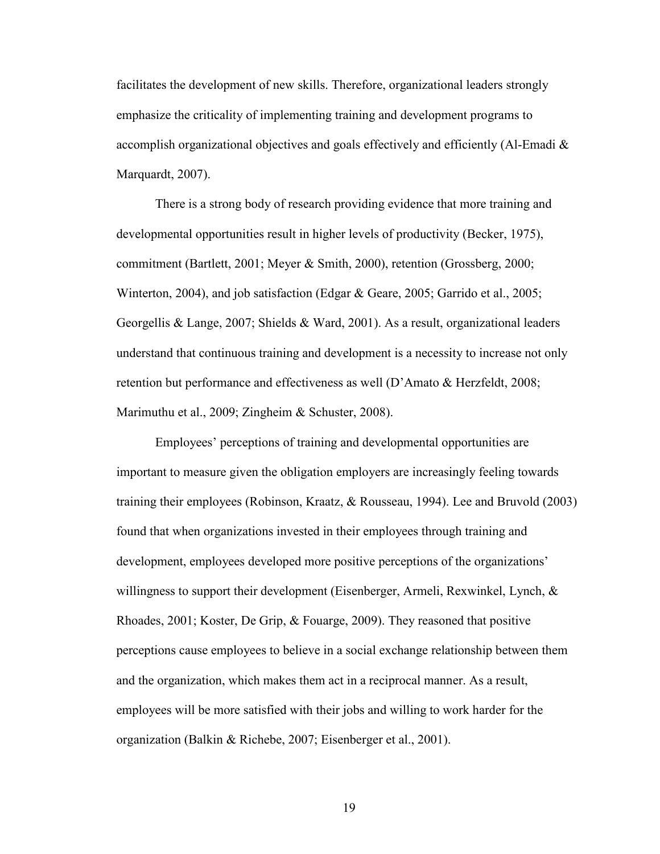facilitates the development of new skills. Therefore, organizational leaders strongly emphasize the criticality of implementing training and development programs to accomplish organizational objectives and goals effectively and efficiently (Al-Emadi  $\&$ Marquardt, 2007).

 There is a strong body of research providing evidence that more training and developmental opportunities result in higher levels of productivity (Becker, 1975), commitment (Bartlett, 2001; Meyer & Smith, 2000), retention (Grossberg, 2000; Winterton, 2004), and job satisfaction (Edgar & Geare, 2005; Garrido et al., 2005; Georgellis & Lange, 2007; Shields & Ward, 2001). As a result, organizational leaders understand that continuous training and development is a necessity to increase not only retention but performance and effectiveness as well (D'Amato & Herzfeldt, 2008; Marimuthu et al., 2009; Zingheim & Schuster, 2008).

 Employees' perceptions of training and developmental opportunities are important to measure given the obligation employers are increasingly feeling towards training their employees (Robinson, Kraatz, & Rousseau, 1994). Lee and Bruvold (2003) found that when organizations invested in their employees through training and development, employees developed more positive perceptions of the organizations' willingness to support their development (Eisenberger, Armeli, Rexwinkel, Lynch, & Rhoades, 2001; Koster, De Grip, & Fouarge, 2009). They reasoned that positive perceptions cause employees to believe in a social exchange relationship between them and the organization, which makes them act in a reciprocal manner. As a result, employees will be more satisfied with their jobs and willing to work harder for the organization (Balkin & Richebe, 2007; Eisenberger et al., 2001).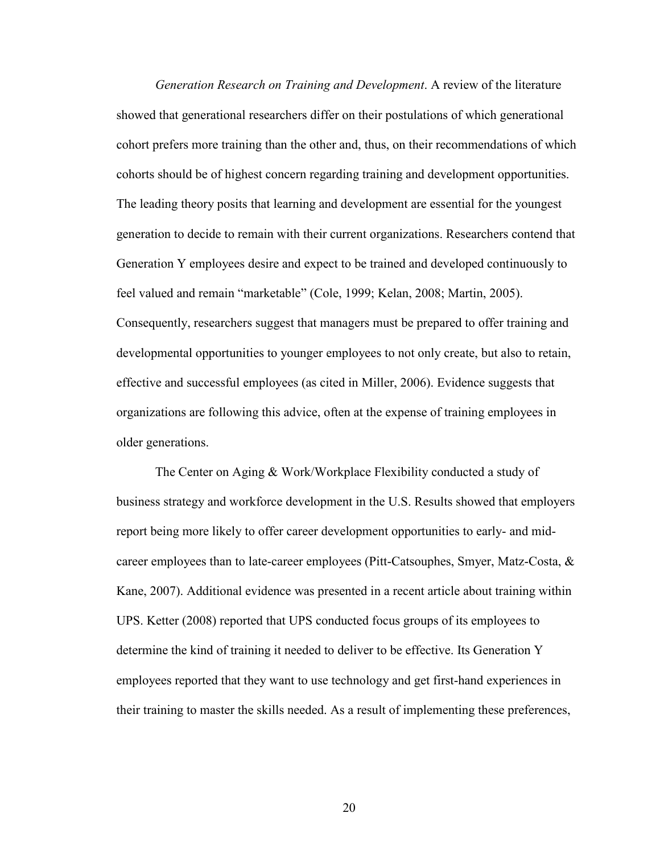<span id="page-26-0"></span>*Generation Research on Training and Development*. A review of the literature showed that generational researchers differ on their postulations of which generational cohort prefers more training than the other and, thus, on their recommendations of which cohorts should be of highest concern regarding training and development opportunities. The leading theory posits that learning and development are essential for the youngest generation to decide to remain with their current organizations. Researchers contend that Generation Y employees desire and expect to be trained and developed continuously to feel valued and remain "marketable" (Cole, 1999; Kelan, 2008; Martin, 2005). Consequently, researchers suggest that managers must be prepared to offer training and developmental opportunities to younger employees to not only create, but also to retain, effective and successful employees (as cited in Miller, 2006). Evidence suggests that organizations are following this advice, often at the expense of training employees in older generations.

The Center on Aging & Work/Workplace Flexibility conducted a study of business strategy and workforce development in the U.S. Results showed that employers report being more likely to offer career development opportunities to early- and midcareer employees than to late-career employees (Pitt-Catsouphes, Smyer, Matz-Costa, & Kane, 2007). Additional evidence was presented in a recent article about training within UPS. Ketter (2008) reported that UPS conducted focus groups of its employees to determine the kind of training it needed to deliver to be effective. Its Generation Y employees reported that they want to use technology and get first-hand experiences in their training to master the skills needed. As a result of implementing these preferences,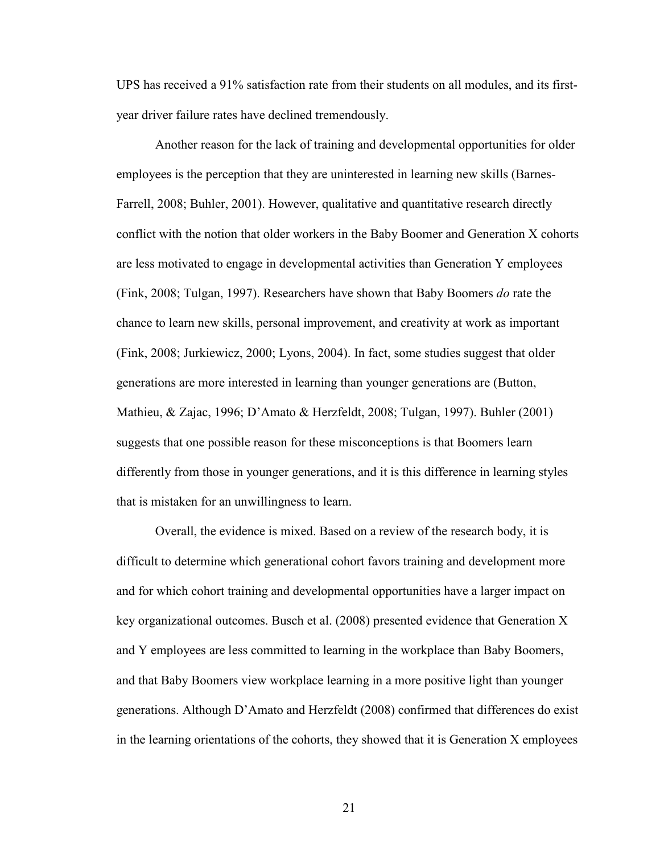UPS has received a 91% satisfaction rate from their students on all modules, and its firstyear driver failure rates have declined tremendously.

 Another reason for the lack of training and developmental opportunities for older employees is the perception that they are uninterested in learning new skills (Barnes-Farrell, 2008; Buhler, 2001). However, qualitative and quantitative research directly conflict with the notion that older workers in the Baby Boomer and Generation X cohorts are less motivated to engage in developmental activities than Generation Y employees (Fink, 2008; Tulgan, 1997). Researchers have shown that Baby Boomers *do* rate the chance to learn new skills, personal improvement, and creativity at work as important (Fink, 2008; Jurkiewicz, 2000; Lyons, 2004). In fact, some studies suggest that older generations are more interested in learning than younger generations are (Button, Mathieu, & Zajac, 1996; D'Amato & Herzfeldt, 2008; Tulgan, 1997). Buhler (2001) suggests that one possible reason for these misconceptions is that Boomers learn differently from those in younger generations, and it is this difference in learning styles that is mistaken for an unwillingness to learn.

 Overall, the evidence is mixed. Based on a review of the research body, it is difficult to determine which generational cohort favors training and development more and for which cohort training and developmental opportunities have a larger impact on key organizational outcomes. Busch et al. (2008) presented evidence that Generation X and Y employees are less committed to learning in the workplace than Baby Boomers, and that Baby Boomers view workplace learning in a more positive light than younger generations. Although D'Amato and Herzfeldt (2008) confirmed that differences do exist in the learning orientations of the cohorts, they showed that it is Generation X employees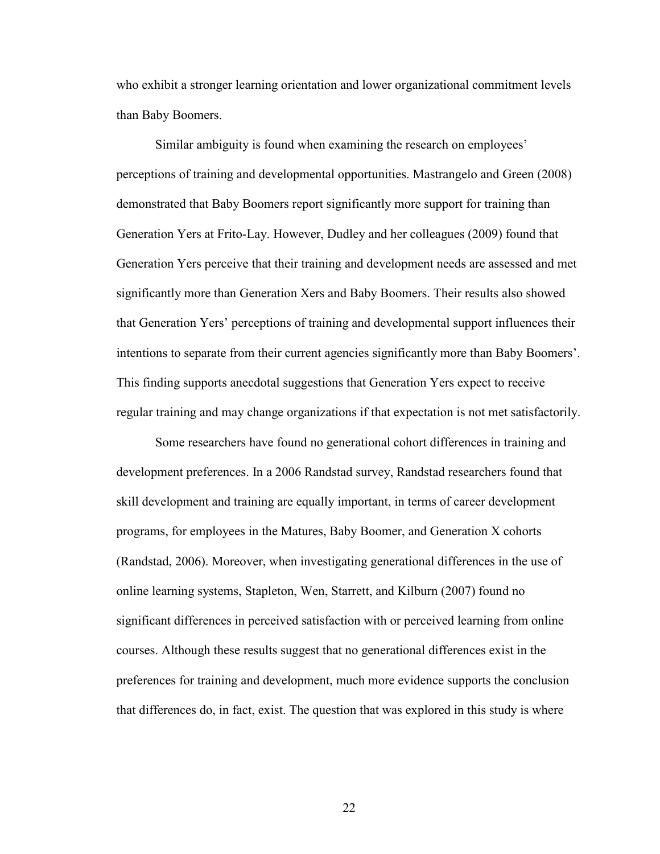who exhibit a stronger learning orientation and lower organizational commitment levels than Baby Boomers.

Similar ambiguity is found when examining the research on employees' perceptions of training and developmental opportunities. Mastrangelo and Green (2008) demonstrated that Baby Boomers report significantly more support for training than Generation Yers at Frito-Lay. However, Dudley and her colleagues (2009) found that Generation Yers perceive that their training and development needs are assessed and met significantly more than Generation Xers and Baby Boomers. Their results also showed that Generation Yers' perceptions of training and developmental support influences their intentions to separate from their current agencies significantly more than Baby Boomers'. This finding supports anecdotal suggestions that Generation Yers expect to receive regular training and may change organizations if that expectation is not met satisfactorily.

Some researchers have found no generational cohort differences in training and development preferences. In a 2006 Randstad survey, Randstad researchers found that skill development and training are equally important, in terms of career development programs, for employees in the Matures, Baby Boomer, and Generation X cohorts (Randstad, 2006). Moreover, when investigating generational differences in the use of online learning systems, Stapleton, Wen, Starrett, and Kilburn (2007) found no significant differences in perceived satisfaction with or perceived learning from online courses. Although these results suggest that no generational differences exist in the preferences for training and development, much more evidence supports the conclusion that differences do, in fact, exist. The question that was explored in this study is where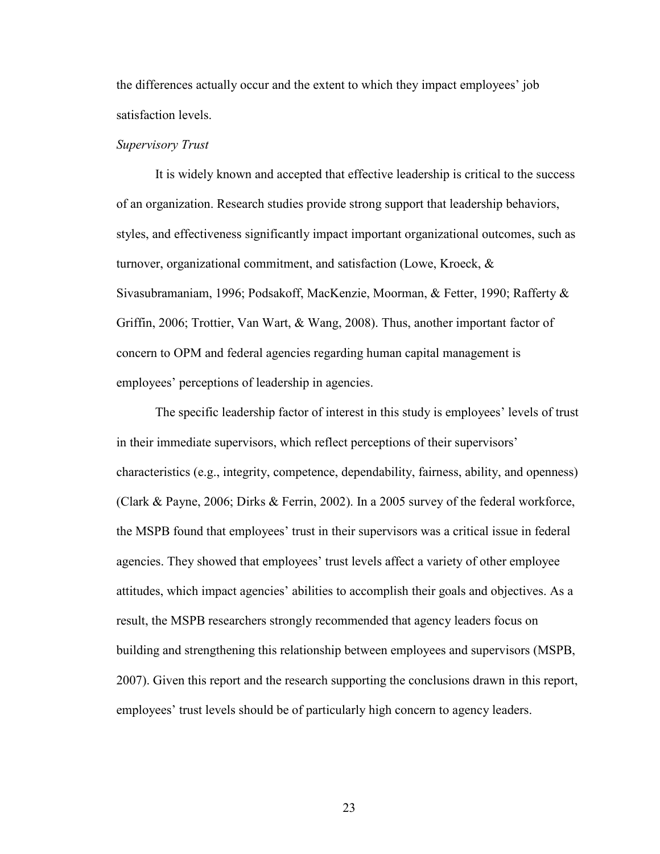<span id="page-29-0"></span>the differences actually occur and the extent to which they impact employees' job satisfaction levels.

#### *Supervisory Trust*

 It is widely known and accepted that effective leadership is critical to the success of an organization. Research studies provide strong support that leadership behaviors, styles, and effectiveness significantly impact important organizational outcomes, such as turnover, organizational commitment, and satisfaction (Lowe, Kroeck, & Sivasubramaniam, 1996; Podsakoff, MacKenzie, Moorman, & Fetter, 1990; Rafferty & Griffin, 2006; Trottier, Van Wart, & Wang, 2008). Thus, another important factor of concern to OPM and federal agencies regarding human capital management is employees' perceptions of leadership in agencies.

 The specific leadership factor of interest in this study is employees' levels of trust in their immediate supervisors, which reflect perceptions of their supervisors' characteristics (e.g., integrity, competence, dependability, fairness, ability, and openness) (Clark & Payne, 2006; Dirks & Ferrin, 2002). In a 2005 survey of the federal workforce, the MSPB found that employees' trust in their supervisors was a critical issue in federal agencies. They showed that employees' trust levels affect a variety of other employee attitudes, which impact agencies' abilities to accomplish their goals and objectives. As a result, the MSPB researchers strongly recommended that agency leaders focus on building and strengthening this relationship between employees and supervisors (MSPB, 2007). Given this report and the research supporting the conclusions drawn in this report, employees' trust levels should be of particularly high concern to agency leaders.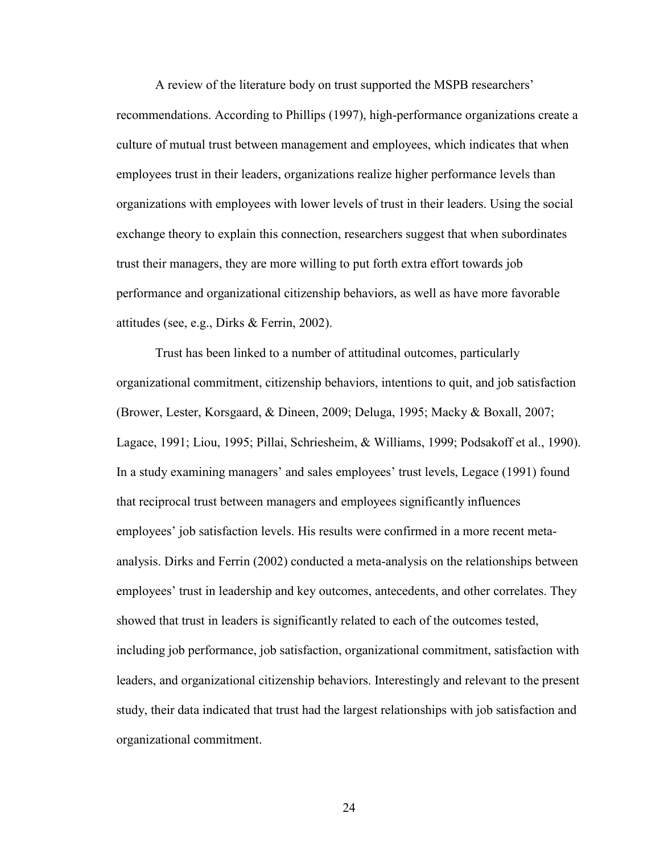A review of the literature body on trust supported the MSPB researchers' recommendations. According to Phillips (1997), high-performance organizations create a culture of mutual trust between management and employees, which indicates that when employees trust in their leaders, organizations realize higher performance levels than organizations with employees with lower levels of trust in their leaders. Using the social exchange theory to explain this connection, researchers suggest that when subordinates trust their managers, they are more willing to put forth extra effort towards job performance and organizational citizenship behaviors, as well as have more favorable attitudes (see, e.g., Dirks & Ferrin, 2002).

 Trust has been linked to a number of attitudinal outcomes, particularly organizational commitment, citizenship behaviors, intentions to quit, and job satisfaction (Brower, Lester, Korsgaard, & Dineen, 2009; Deluga, 1995; Macky & Boxall, 2007; Lagace, 1991; Liou, 1995; Pillai, Schriesheim, & Williams, 1999; Podsakoff et al., 1990). In a study examining managers' and sales employees' trust levels, Legace (1991) found that reciprocal trust between managers and employees significantly influences employees' job satisfaction levels. His results were confirmed in a more recent metaanalysis. Dirks and Ferrin (2002) conducted a meta-analysis on the relationships between employees' trust in leadership and key outcomes, antecedents, and other correlates. They showed that trust in leaders is significantly related to each of the outcomes tested, including job performance, job satisfaction, organizational commitment, satisfaction with leaders, and organizational citizenship behaviors. Interestingly and relevant to the present study, their data indicated that trust had the largest relationships with job satisfaction and organizational commitment.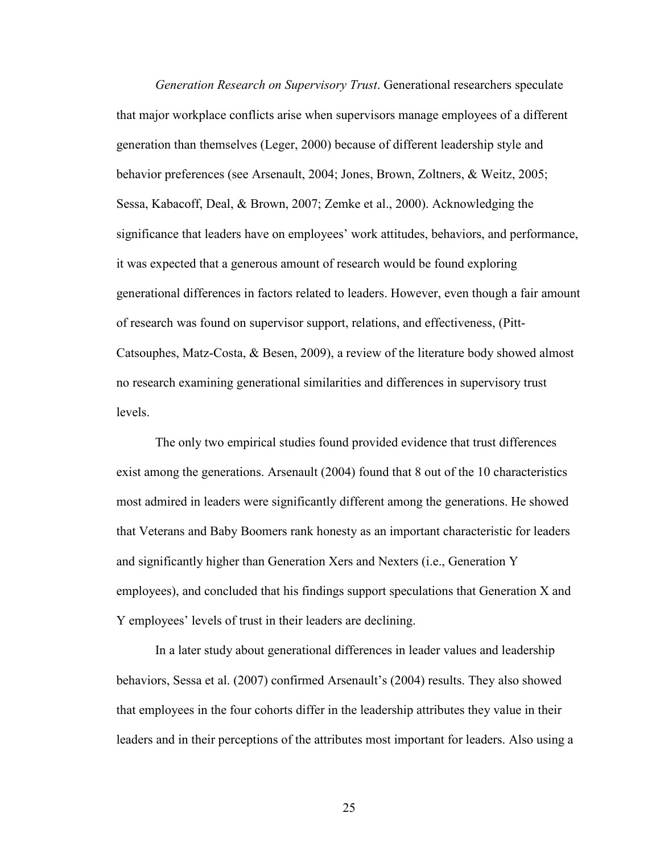<span id="page-31-0"></span>*Generation Research on Supervisory Trust*. Generational researchers speculate that major workplace conflicts arise when supervisors manage employees of a different generation than themselves (Leger, 2000) because of different leadership style and behavior preferences (see Arsenault, 2004; Jones, Brown, Zoltners, & Weitz, 2005; Sessa, Kabacoff, Deal, & Brown, 2007; Zemke et al., 2000). Acknowledging the significance that leaders have on employees' work attitudes, behaviors, and performance, it was expected that a generous amount of research would be found exploring generational differences in factors related to leaders. However, even though a fair amount of research was found on supervisor support, relations, and effectiveness, (Pitt-Catsouphes, Matz-Costa, & Besen, 2009), a review of the literature body showed almost no research examining generational similarities and differences in supervisory trust levels.

The only two empirical studies found provided evidence that trust differences exist among the generations. Arsenault (2004) found that 8 out of the 10 characteristics most admired in leaders were significantly different among the generations. He showed that Veterans and Baby Boomers rank honesty as an important characteristic for leaders and significantly higher than Generation Xers and Nexters (i.e., Generation Y employees), and concluded that his findings support speculations that Generation X and Y employees' levels of trust in their leaders are declining.

In a later study about generational differences in leader values and leadership behaviors, Sessa et al. (2007) confirmed Arsenault's (2004) results. They also showed that employees in the four cohorts differ in the leadership attributes they value in their leaders and in their perceptions of the attributes most important for leaders. Also using a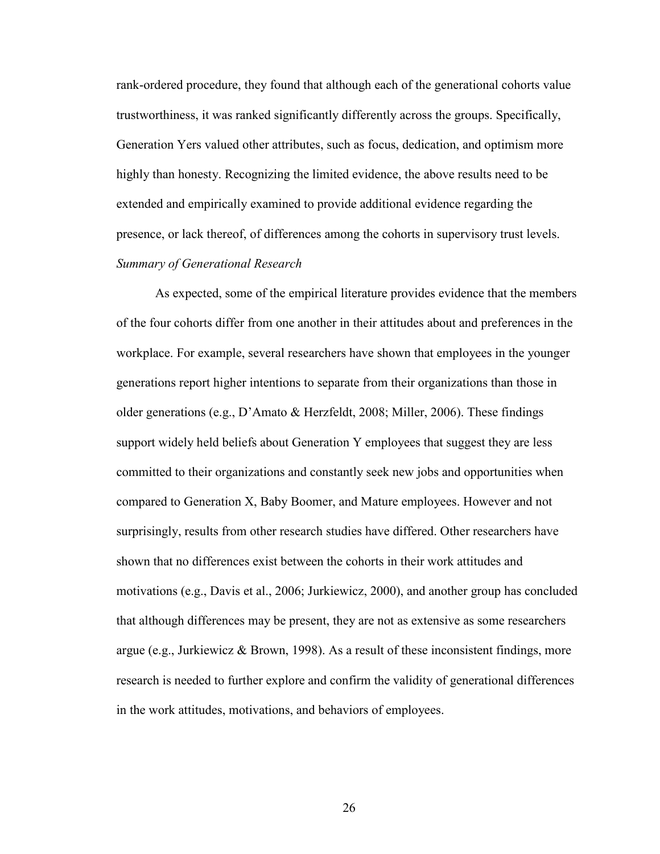<span id="page-32-0"></span>rank-ordered procedure, they found that although each of the generational cohorts value trustworthiness, it was ranked significantly differently across the groups. Specifically, Generation Yers valued other attributes, such as focus, dedication, and optimism more highly than honesty. Recognizing the limited evidence, the above results need to be extended and empirically examined to provide additional evidence regarding the presence, or lack thereof, of differences among the cohorts in supervisory trust levels. *Summary of Generational Research*

As expected, some of the empirical literature provides evidence that the members of the four cohorts differ from one another in their attitudes about and preferences in the workplace. For example, several researchers have shown that employees in the younger generations report higher intentions to separate from their organizations than those in older generations (e.g., D'Amato & Herzfeldt, 2008; Miller, 2006). These findings support widely held beliefs about Generation Y employees that suggest they are less committed to their organizations and constantly seek new jobs and opportunities when compared to Generation X, Baby Boomer, and Mature employees. However and not surprisingly, results from other research studies have differed. Other researchers have shown that no differences exist between the cohorts in their work attitudes and motivations (e.g., Davis et al., 2006; Jurkiewicz, 2000), and another group has concluded that although differences may be present, they are not as extensive as some researchers argue (e.g., Jurkiewicz & Brown, 1998). As a result of these inconsistent findings, more research is needed to further explore and confirm the validity of generational differences in the work attitudes, motivations, and behaviors of employees.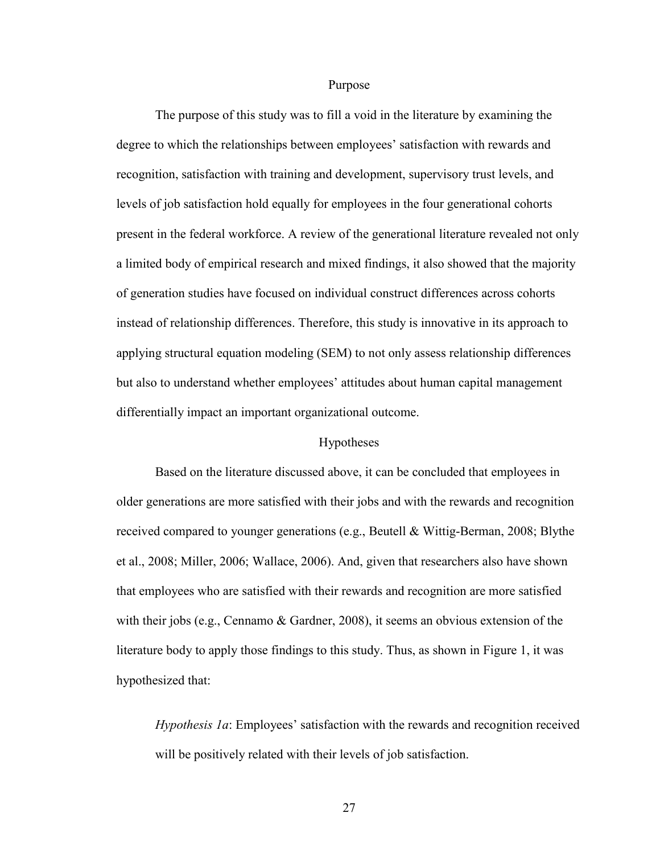Purpose

<span id="page-33-0"></span> The purpose of this study was to fill a void in the literature by examining the degree to which the relationships between employees' satisfaction with rewards and recognition, satisfaction with training and development, supervisory trust levels, and levels of job satisfaction hold equally for employees in the four generational cohorts present in the federal workforce. A review of the generational literature revealed not only a limited body of empirical research and mixed findings, it also showed that the majority of generation studies have focused on individual construct differences across cohorts instead of relationship differences. Therefore, this study is innovative in its approach to applying structural equation modeling (SEM) to not only assess relationship differences but also to understand whether employees' attitudes about human capital management differentially impact an important organizational outcome.

#### Hypotheses

 Based on the literature discussed above, it can be concluded that employees in older generations are more satisfied with their jobs and with the rewards and recognition received compared to younger generations (e.g., Beutell & Wittig-Berman, 2008; Blythe et al., 2008; Miller, 2006; Wallace, 2006). And, given that researchers also have shown that employees who are satisfied with their rewards and recognition are more satisfied with their jobs (e.g., Cennamo  $\&$  Gardner, 2008), it seems an obvious extension of the literature body to apply those findings to this study. Thus, as shown in Figure 1, it was hypothesized that:

*Hypothesis 1a*: Employees' satisfaction with the rewards and recognition received will be positively related with their levels of job satisfaction.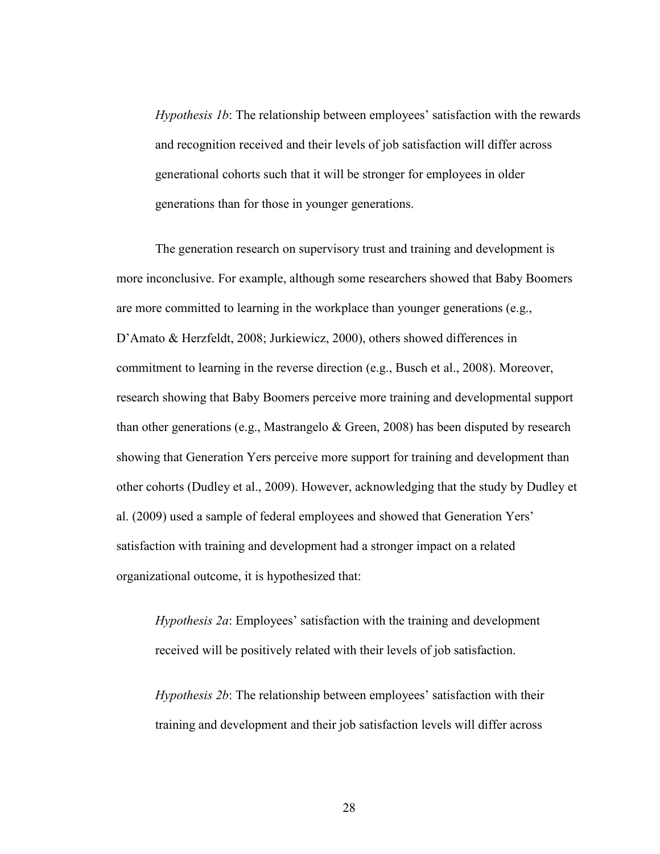*Hypothesis 1b*: The relationship between employees' satisfaction with the rewards and recognition received and their levels of job satisfaction will differ across generational cohorts such that it will be stronger for employees in older generations than for those in younger generations.

 The generation research on supervisory trust and training and development is more inconclusive. For example, although some researchers showed that Baby Boomers are more committed to learning in the workplace than younger generations (e.g., D'Amato & Herzfeldt, 2008; Jurkiewicz, 2000), others showed differences in commitment to learning in the reverse direction (e.g., Busch et al., 2008). Moreover, research showing that Baby Boomers perceive more training and developmental support than other generations (e.g., Mastrangelo  $\&$  Green, 2008) has been disputed by research showing that Generation Yers perceive more support for training and development than other cohorts (Dudley et al., 2009). However, acknowledging that the study by Dudley et al. (2009) used a sample of federal employees and showed that Generation Yers' satisfaction with training and development had a stronger impact on a related organizational outcome, it is hypothesized that:

*Hypothesis 2a*: Employees' satisfaction with the training and development received will be positively related with their levels of job satisfaction.

*Hypothesis 2b*: The relationship between employees' satisfaction with their training and development and their job satisfaction levels will differ across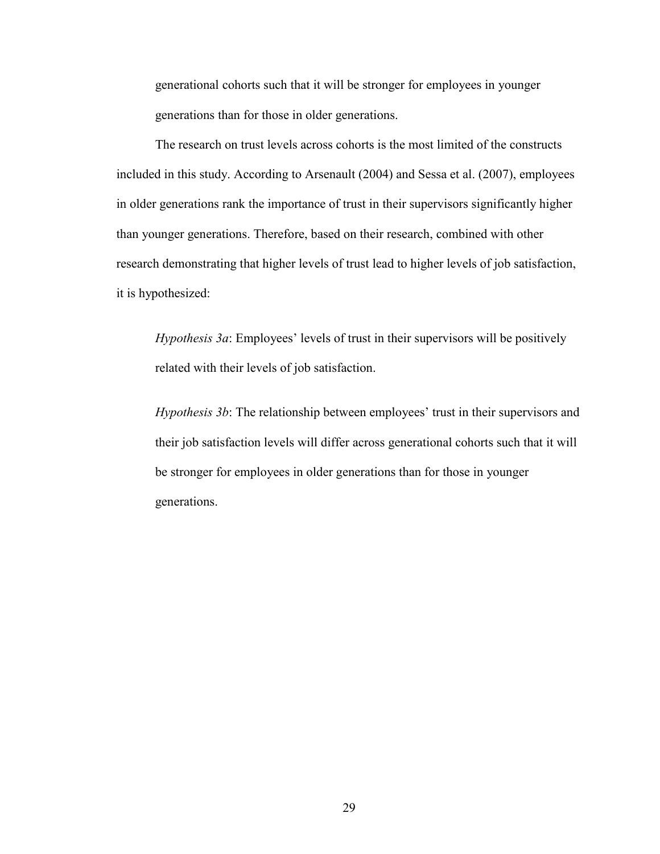generational cohorts such that it will be stronger for employees in younger generations than for those in older generations.

 The research on trust levels across cohorts is the most limited of the constructs included in this study. According to Arsenault (2004) and Sessa et al. (2007), employees in older generations rank the importance of trust in their supervisors significantly higher than younger generations. Therefore, based on their research, combined with other research demonstrating that higher levels of trust lead to higher levels of job satisfaction, it is hypothesized:

*Hypothesis 3a*: Employees' levels of trust in their supervisors will be positively related with their levels of job satisfaction.

*Hypothesis 3b*: The relationship between employees' trust in their supervisors and their job satisfaction levels will differ across generational cohorts such that it will be stronger for employees in older generations than for those in younger generations.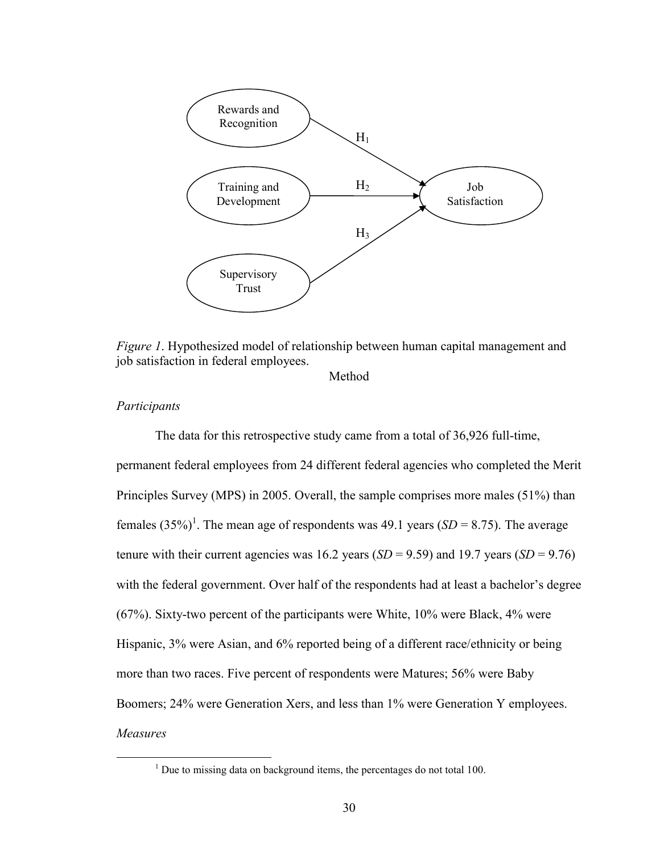

*Figure 1*. Hypothesized model of relationship between human capital management and job satisfaction in federal employees.

Method

# *Participants*

 $\overline{a}$ 

 The data for this retrospective study came from a total of 36,926 full-time, permanent federal employees from 24 different federal agencies who completed the Merit Principles Survey (MPS) in 2005. Overall, the sample comprises more males (51%) than females  $(35\%)^1$ . The mean age of respondents was 49.1 years  $(SD = 8.75)$ . The average tenure with their current agencies was 16.2 years (*SD* = 9.59) and 19.7 years (*SD* = 9.76) with the federal government. Over half of the respondents had at least a bachelor's degree (67%). Sixty-two percent of the participants were White, 10% were Black, 4% were Hispanic, 3% were Asian, and 6% reported being of a different race/ethnicity or being more than two races. Five percent of respondents were Matures; 56% were Baby Boomers; 24% were Generation Xers, and less than 1% were Generation Y employees. *Measures* 

 $1$  Due to missing data on background items, the percentages do not total 100.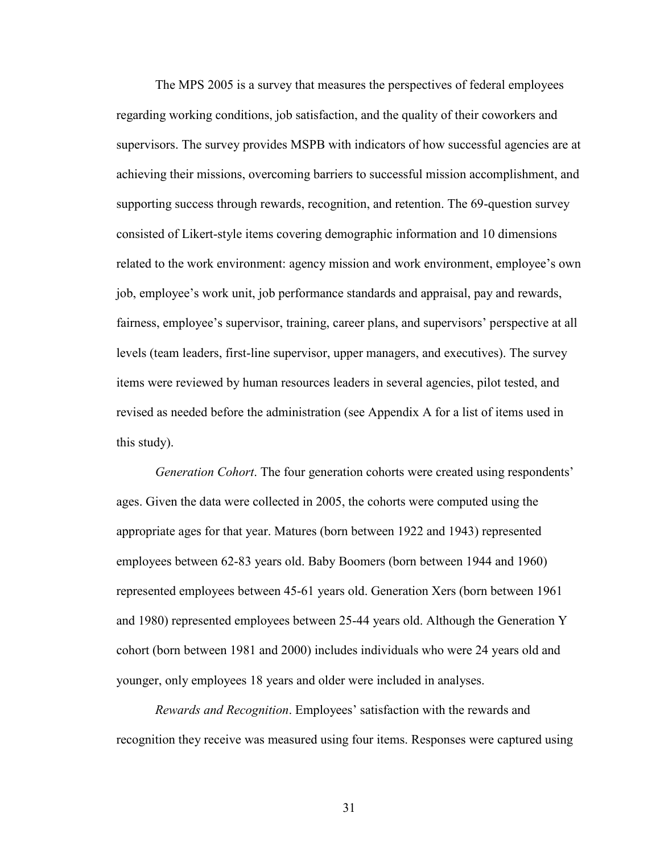The MPS 2005 is a survey that measures the perspectives of federal employees regarding working conditions, job satisfaction, and the quality of their coworkers and supervisors. The survey provides MSPB with indicators of how successful agencies are at achieving their missions, overcoming barriers to successful mission accomplishment, and supporting success through rewards, recognition, and retention. The 69-question survey consisted of Likert-style items covering demographic information and 10 dimensions related to the work environment: agency mission and work environment, employee's own job, employee's work unit, job performance standards and appraisal, pay and rewards, fairness, employee's supervisor, training, career plans, and supervisors' perspective at all levels (team leaders, first-line supervisor, upper managers, and executives). The survey items were reviewed by human resources leaders in several agencies, pilot tested, and revised as needed before the administration (see Appendix A for a list of items used in this study).

*Generation Cohort*. The four generation cohorts were created using respondents' ages. Given the data were collected in 2005, the cohorts were computed using the appropriate ages for that year. Matures (born between 1922 and 1943) represented employees between 62-83 years old. Baby Boomers (born between 1944 and 1960) represented employees between 45-61 years old. Generation Xers (born between 1961 and 1980) represented employees between 25-44 years old. Although the Generation Y cohort (born between 1981 and 2000) includes individuals who were 24 years old and younger, only employees 18 years and older were included in analyses.

*Rewards and Recognition*. Employees' satisfaction with the rewards and recognition they receive was measured using four items. Responses were captured using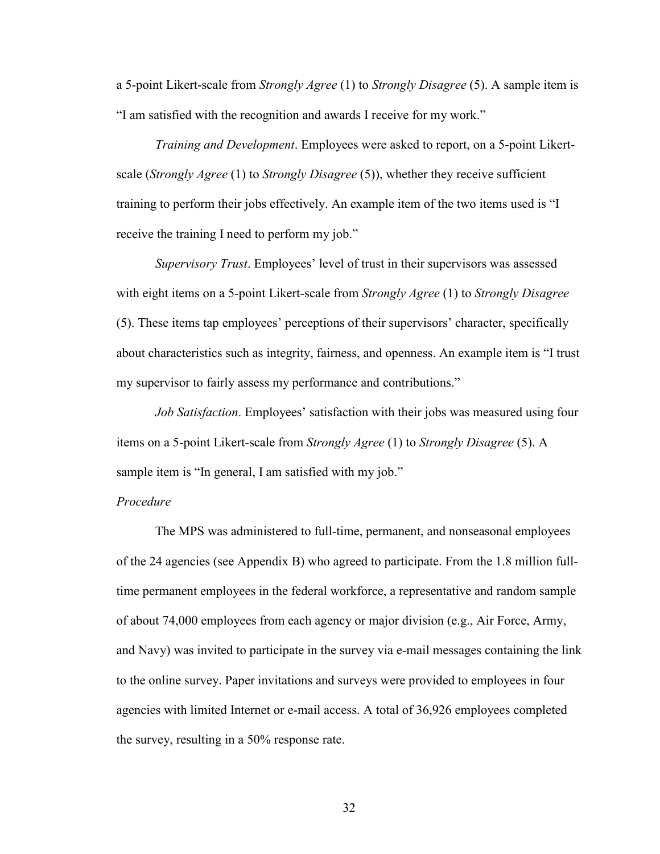a 5-point Likert-scale from *Strongly Agree* (1) to *Strongly Disagree* (5). A sample item is "I am satisfied with the recognition and awards I receive for my work."

*Training and Development*. Employees were asked to report, on a 5-point Likertscale (*Strongly Agree* (1) to *Strongly Disagree* (5)), whether they receive sufficient training to perform their jobs effectively. An example item of the two items used is "I receive the training I need to perform my job."

*Supervisory Trust*. Employees' level of trust in their supervisors was assessed with eight items on a 5-point Likert-scale from *Strongly Agree* (1) to *Strongly Disagree* (5). These items tap employees' perceptions of their supervisors' character, specifically about characteristics such as integrity, fairness, and openness. An example item is "I trust my supervisor to fairly assess my performance and contributions."

*Job Satisfaction*. Employees' satisfaction with their jobs was measured using four items on a 5-point Likert-scale from *Strongly Agree* (1) to *Strongly Disagree* (5). A sample item is "In general, I am satisfied with my job."

### *Procedure*

 The MPS was administered to full-time, permanent, and nonseasonal employees of the 24 agencies (see Appendix B) who agreed to participate. From the 1.8 million fulltime permanent employees in the federal workforce, a representative and random sample of about 74,000 employees from each agency or major division (e.g., Air Force, Army, and Navy) was invited to participate in the survey via e-mail messages containing the link to the online survey. Paper invitations and surveys were provided to employees in four agencies with limited Internet or e-mail access. A total of 36,926 employees completed the survey, resulting in a 50% response rate.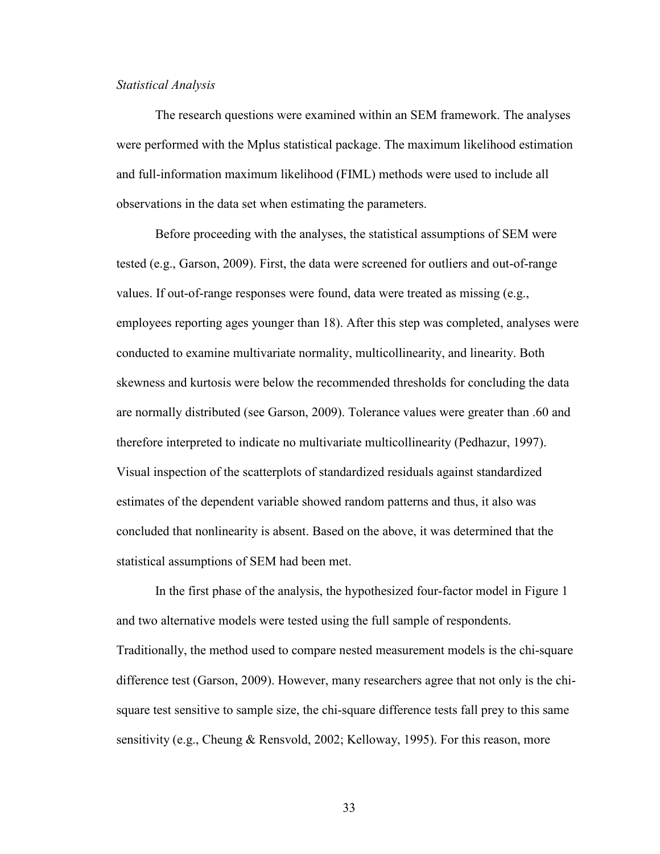### *Statistical Analysis*

The research questions were examined within an SEM framework. The analyses were performed with the Mplus statistical package. The maximum likelihood estimation and full-information maximum likelihood (FIML) methods were used to include all observations in the data set when estimating the parameters.

 Before proceeding with the analyses, the statistical assumptions of SEM were tested (e.g., Garson, 2009). First, the data were screened for outliers and out-of-range values. If out-of-range responses were found, data were treated as missing (e.g., employees reporting ages younger than 18). After this step was completed, analyses were conducted to examine multivariate normality, multicollinearity, and linearity. Both skewness and kurtosis were below the recommended thresholds for concluding the data are normally distributed (see Garson, 2009). Tolerance values were greater than .60 and therefore interpreted to indicate no multivariate multicollinearity (Pedhazur, 1997). Visual inspection of the scatterplots of standardized residuals against standardized estimates of the dependent variable showed random patterns and thus, it also was concluded that nonlinearity is absent. Based on the above, it was determined that the statistical assumptions of SEM had been met.

 In the first phase of the analysis, the hypothesized four-factor model in Figure 1 and two alternative models were tested using the full sample of respondents. Traditionally, the method used to compare nested measurement models is the chi-square difference test (Garson, 2009). However, many researchers agree that not only is the chisquare test sensitive to sample size, the chi-square difference tests fall prey to this same sensitivity (e.g., Cheung & Rensvold, 2002; Kelloway, 1995). For this reason, more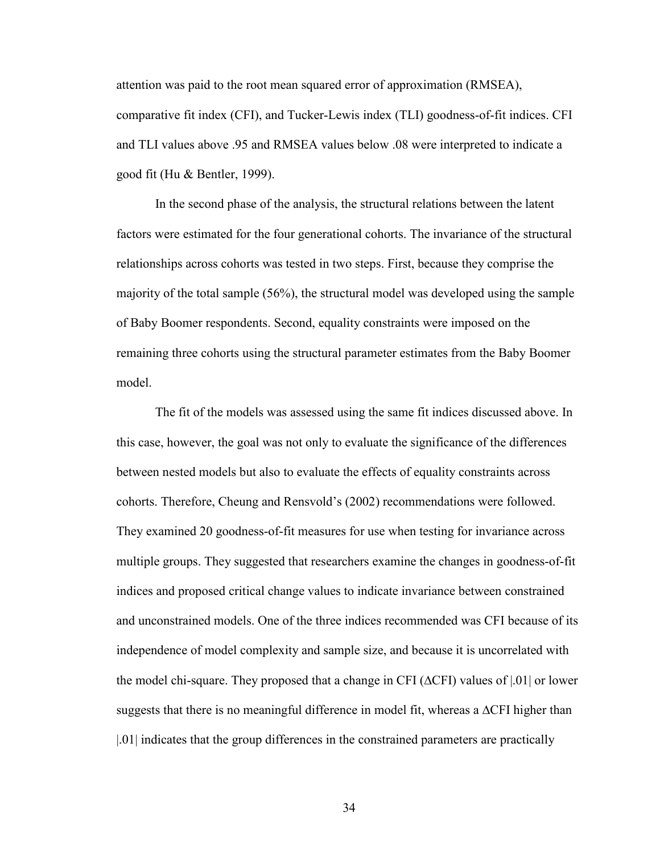attention was paid to the root mean squared error of approximation (RMSEA), comparative fit index (CFI), and Tucker-Lewis index (TLI) goodness-of-fit indices. CFI and TLI values above .95 and RMSEA values below .08 were interpreted to indicate a good fit (Hu & Bentler, 1999).

 In the second phase of the analysis, the structural relations between the latent factors were estimated for the four generational cohorts. The invariance of the structural relationships across cohorts was tested in two steps. First, because they comprise the majority of the total sample (56%), the structural model was developed using the sample of Baby Boomer respondents. Second, equality constraints were imposed on the remaining three cohorts using the structural parameter estimates from the Baby Boomer model.

 The fit of the models was assessed using the same fit indices discussed above. In this case, however, the goal was not only to evaluate the significance of the differences between nested models but also to evaluate the effects of equality constraints across cohorts. Therefore, Cheung and Rensvold's (2002) recommendations were followed. They examined 20 goodness-of-fit measures for use when testing for invariance across multiple groups. They suggested that researchers examine the changes in goodness-of-fit indices and proposed critical change values to indicate invariance between constrained and unconstrained models. One of the three indices recommended was CFI because of its independence of model complexity and sample size, and because it is uncorrelated with the model chi-square. They proposed that a change in CFI ( $\Delta$ CFI) values of  $|0.01|$  or lower suggests that there is no meaningful difference in model fit, whereas a ∆CFI higher than |.01| indicates that the group differences in the constrained parameters are practically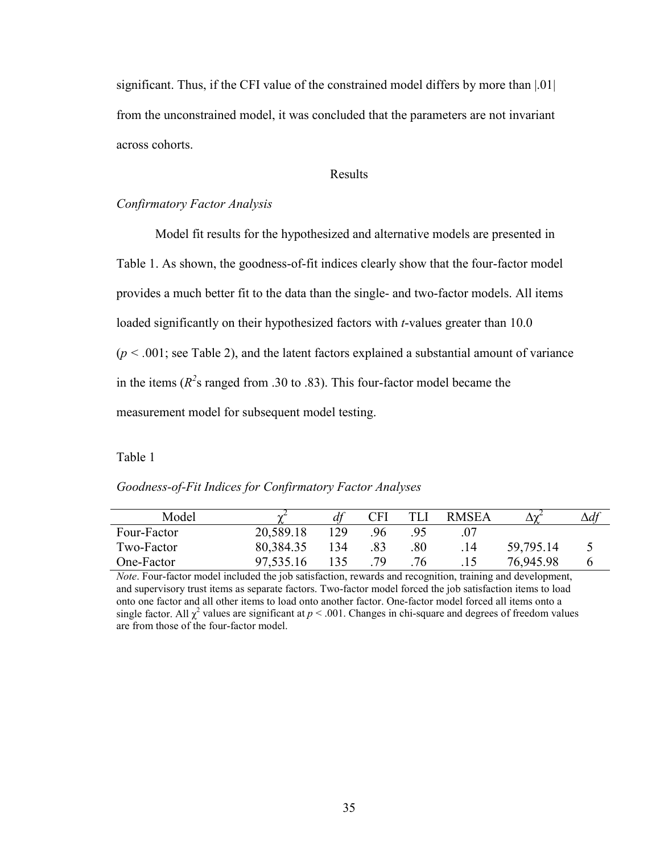significant. Thus, if the CFI value of the constrained model differs by more than |.01| from the unconstrained model, it was concluded that the parameters are not invariant across cohorts.

Results

# *Confirmatory Factor Analysis*

Model fit results for the hypothesized and alternative models are presented in Table 1. As shown, the goodness-of-fit indices clearly show that the four-factor model provides a much better fit to the data than the single- and two-factor models. All items loaded significantly on their hypothesized factors with *t*-values greater than 10.0  $(p < .001$ ; see Table 2), and the latent factors explained a substantial amount of variance in the items ( $R^2$ s ranged from .30 to .83). This four-factor model became the measurement model for subsequent model testing.

Table 1

| Model       |           | df  | CFI |     | <b>RMSEA</b> |           | $\Delta df$ |
|-------------|-----------|-----|-----|-----|--------------|-----------|-------------|
| Four-Factor | 20,589.18 | 129 | 96  |     |              |           |             |
| Two-Factor  | 80,384.35 | 134 | .83 | .80 | .14          | 59,795.14 |             |
| One-Factor  | 97,535.16 | 135 | 79  | .76 |              | 76,945.98 | h           |

*Goodness-of-Fit Indices for Confirmatory Factor Analyses* 

*Note*. Four-factor model included the job satisfaction, rewards and recognition, training and development, and supervisory trust items as separate factors. Two-factor model forced the job satisfaction items to load onto one factor and all other items to load onto another factor. One-factor model forced all items onto a single factor. All  $\chi^2$  values are significant at  $p < .001$ . Changes in chi-square and degrees of freedom values are from those of the four-factor model.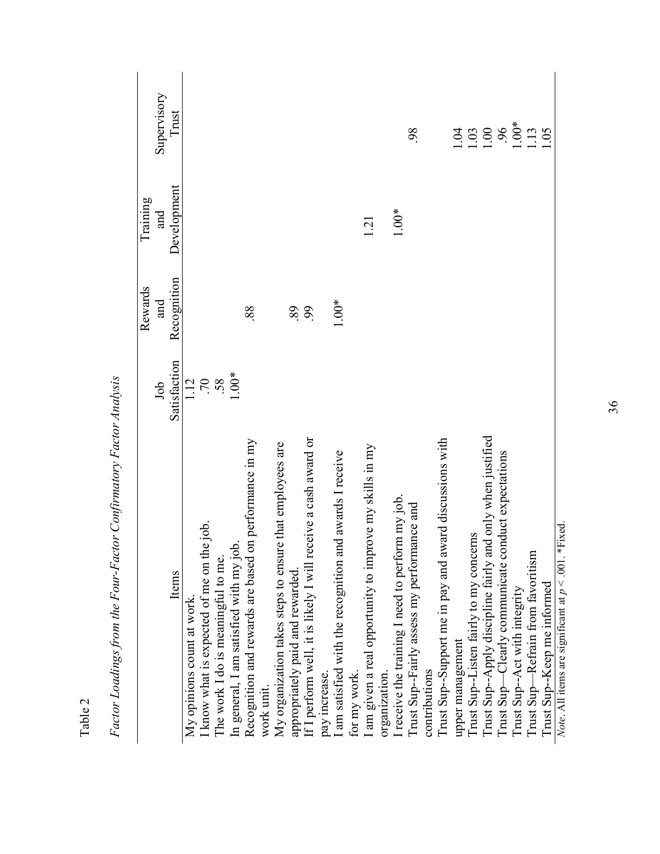|                                                                        |                                       | Rewards     | Training    |                                              |
|------------------------------------------------------------------------|---------------------------------------|-------------|-------------|----------------------------------------------|
|                                                                        | Job                                   | and         | and         | Supervisory                                  |
| Items                                                                  | Satisfaction                          | Recognition | Development | Trust                                        |
| My opinions count at work                                              |                                       |             |             |                                              |
| know what is expected of me on the job.                                |                                       |             |             |                                              |
| The work I do is meaningful to me.                                     | $\frac{1}{1}$ 70<br>58<br>59<br>1.00* |             |             |                                              |
| In general, I am satisfied with my job.                                |                                       |             |             |                                              |
| Recognition and rewards are based on performance in my                 |                                       | 88          |             |                                              |
| My organization takes steps to ensure that employees are<br>work unit. |                                       |             |             |                                              |
| appropriately paid and rewarded                                        |                                       | 89          |             |                                              |
| If I perform well, it is likely I will receive a cash award or         |                                       | 99          |             |                                              |
| pay increase.                                                          |                                       |             |             |                                              |
| am satisfied with the recognition and awards I receive                 |                                       | $1.00*$     |             |                                              |
| for my work                                                            |                                       |             |             |                                              |
| I am given a real opportunity to improve my skills in my               |                                       |             | 121         |                                              |
| organization.                                                          |                                       |             |             |                                              |
| I receive the training I need to perform my job.                       |                                       |             | $1.00*$     |                                              |
| Trust Sup-Fairly assess my performance and                             |                                       |             |             | 98                                           |
| contributions                                                          |                                       |             |             |                                              |
| Trust Sup-Support me in pay and award discussions with                 |                                       |             |             |                                              |
| upper management                                                       |                                       |             |             |                                              |
| Trust Sup-Listen fairly to my concerns                                 |                                       |             |             |                                              |
| I rust Sup--Apply discipline fairly and only when justified            |                                       |             |             | $\frac{133}{110}$<br>1100 \$<br>1105<br>1105 |
| Trust Sup—Clearly communicate conduct expectations                     |                                       |             |             |                                              |
| Trust Sup-Act with integrity                                           |                                       |             |             |                                              |
| Trust Sup—Refrain from favoritism                                      |                                       |             |             |                                              |
| Trust Sup--Keep me informed                                            |                                       |             |             |                                              |
| Note. All items are significant at $p < .001$ . *Fixed.                |                                       |             |             |                                              |

Factor Loadings from the Four-Factor Confirmatory Factor Analysis *Factor Loadings from the Four-Factor Confirmatory Factor Analysis* 

Table 2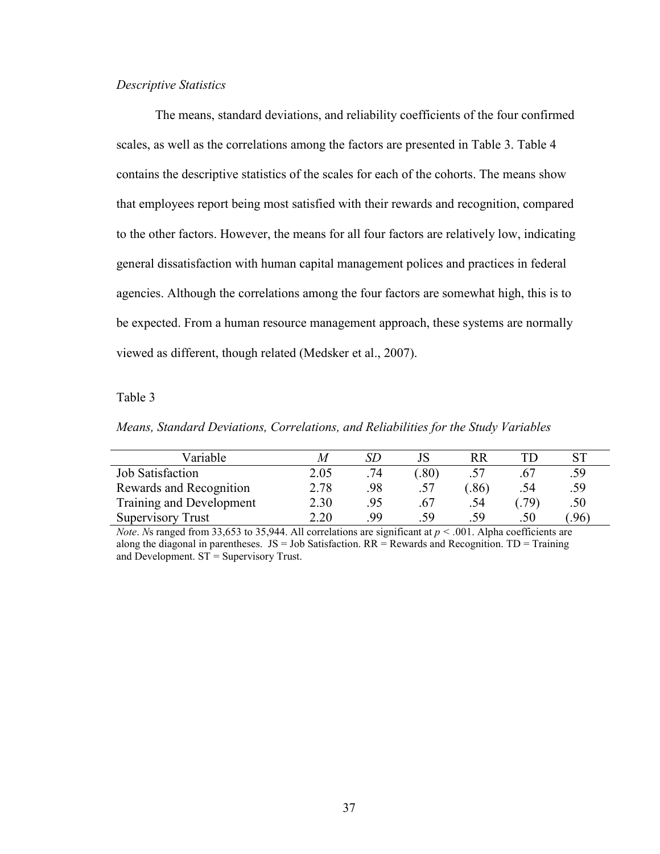# *Descriptive Statistics*

The means, standard deviations, and reliability coefficients of the four confirmed scales, as well as the correlations among the factors are presented in Table 3. Table 4 contains the descriptive statistics of the scales for each of the cohorts. The means show that employees report being most satisfied with their rewards and recognition, compared to the other factors. However, the means for all four factors are relatively low, indicating general dissatisfaction with human capital management polices and practices in federal agencies. Although the correlations among the four factors are somewhat high, this is to be expected. From a human resource management approach, these systems are normally viewed as different, though related (Medsker et al., 2007).

# Table 3

*Means, Standard Deviations, Correlations, and Reliabilities for the Study Variables* 

| Variable                 | M    |           |      | RR  |      |     |
|--------------------------|------|-----------|------|-----|------|-----|
| <b>Job Satisfaction</b>  | 2.05 | .74       | .80) |     | .67  | .59 |
| Rewards and Recognition  | 2.78 | .98       | .57  | .86 | .54  | .59 |
| Training and Development | 2.30 | .95       | .67  | .54 | .79) | .50 |
| <b>Supervisory Trust</b> | 2.20 | <b>QQ</b> | .59  | .59 | .50  | .96 |

*Note. N*s ranged from 33,653 to 35,944. All correlations are significant at  $p < .001$ . Alpha coefficients are along the diagonal in parentheses.  $JS = Job$  Satisfaction.  $RR = Rewards$  and Recognition.  $TD = Training$ and Development. ST = Supervisory Trust.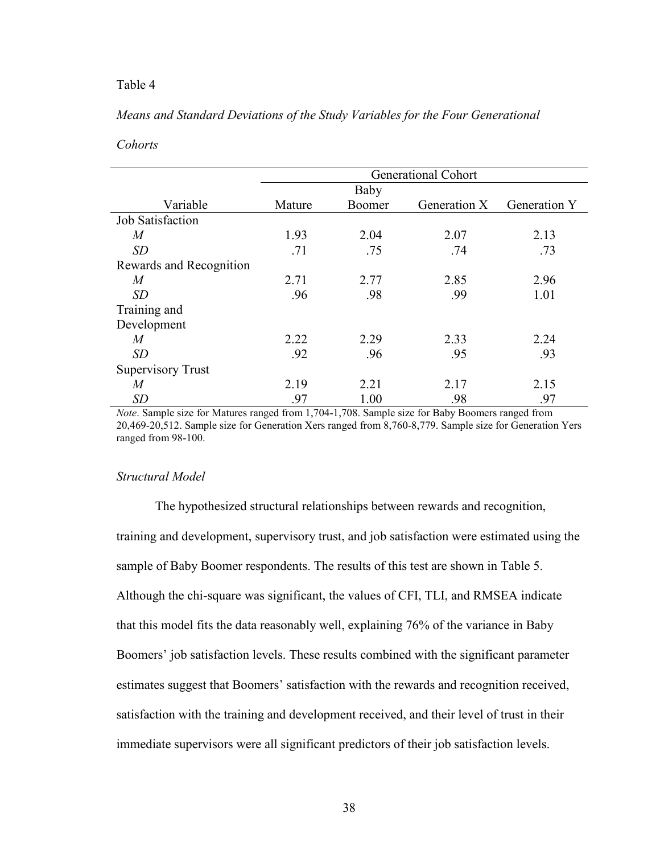# Table 4

# *Means and Standard Deviations of the Study Variables for the Four Generational*

# *Cohorts*

|                          | <b>Generational Cohort</b> |        |              |                     |  |  |  |  |
|--------------------------|----------------------------|--------|--------------|---------------------|--|--|--|--|
|                          |                            | Baby   |              |                     |  |  |  |  |
| Variable                 | Mature                     | Boomer | Generation X | <b>Generation Y</b> |  |  |  |  |
| Job Satisfaction         |                            |        |              |                     |  |  |  |  |
| $\overline{M}$           | 1.93                       | 2.04   | 2.07         | 2.13                |  |  |  |  |
| SD                       | .71                        | .75    | .74          | .73                 |  |  |  |  |
| Rewards and Recognition  |                            |        |              |                     |  |  |  |  |
| M                        | 2.71                       | 2.77   | 2.85         | 2.96                |  |  |  |  |
| SD                       | .96                        | .98    | .99          | 1.01                |  |  |  |  |
| Training and             |                            |        |              |                     |  |  |  |  |
| Development              |                            |        |              |                     |  |  |  |  |
| $\overline{M}$           | 2.22                       | 2.29   | 2.33         | 2.24                |  |  |  |  |
| SD                       | .92                        | .96    | .95          | .93                 |  |  |  |  |
| <b>Supervisory Trust</b> |                            |        |              |                     |  |  |  |  |
| M                        | 2.19                       | 2.21   | 2.17         | 2.15                |  |  |  |  |
| SD                       | .97                        | 1.00   | .98          | .97                 |  |  |  |  |

*Note*. Sample size for Matures ranged from 1,704-1,708. Sample size for Baby Boomers ranged from 20,469-20,512. Sample size for Generation Xers ranged from 8,760-8,779. Sample size for Generation Yers ranged from 98-100.

### *Structural Model*

The hypothesized structural relationships between rewards and recognition, training and development, supervisory trust, and job satisfaction were estimated using the sample of Baby Boomer respondents. The results of this test are shown in Table 5. Although the chi-square was significant, the values of CFI, TLI, and RMSEA indicate that this model fits the data reasonably well, explaining 76% of the variance in Baby Boomers' job satisfaction levels. These results combined with the significant parameter estimates suggest that Boomers' satisfaction with the rewards and recognition received, satisfaction with the training and development received, and their level of trust in their immediate supervisors were all significant predictors of their job satisfaction levels.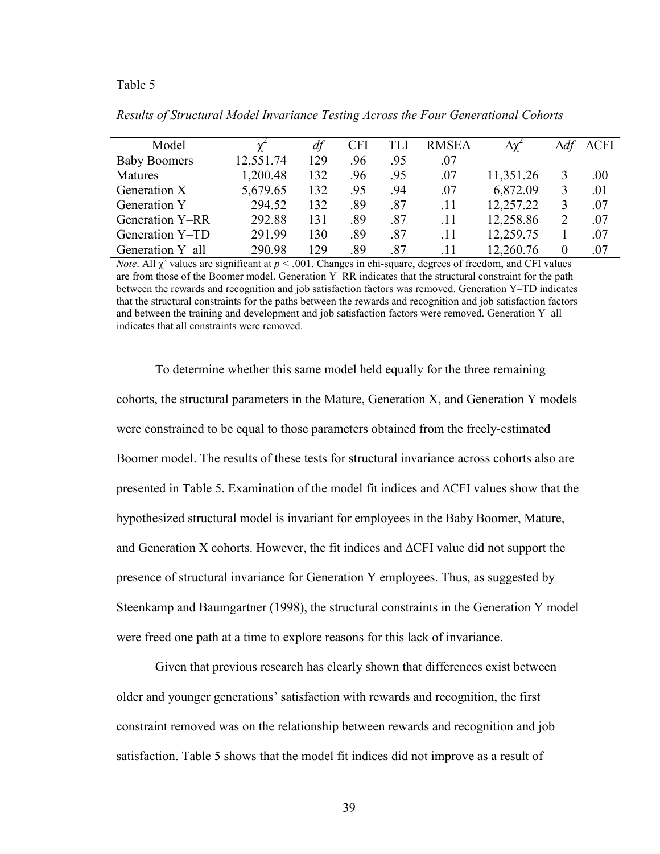#### Table 5

| Model               |           | df  | <b>CFI</b> | TLI | <b>RMSEA</b> |           |   | $\Delta$ CFI |
|---------------------|-----------|-----|------------|-----|--------------|-----------|---|--------------|
| <b>Baby Boomers</b> | 12,551.74 | 129 | .96        | .95 | .07          |           |   |              |
| <b>Matures</b>      | 1,200.48  | 132 | .96        | .95 | .07          | 11,351.26 | 3 | $.00\,$      |
| Generation X        | 5,679.65  | 132 | .95        | .94 | .07          | 6,872.09  | 3 | .01          |
| <b>Generation Y</b> | 294.52    | 132 | .89        | .87 | .11          | 12,257.22 |   | .07          |
| Generation Y–RR     | 292.88    | 131 | .89        | .87 | .11          | 12,258.86 |   | .07          |
| Generation Y-TD     | 291.99    | 130 | .89        | .87 | .11          | 12,259.75 |   | .07          |
| Generation Y-all    | 290.98    | 129 | .89        | .87 | .11          | 12,260.76 |   | .07          |

*Results of Structural Model Invariance Testing Across the Four Generational Cohorts* 

*Note*. All  $\chi^2$  values are significant at  $p < .001$ . Changes in chi-square, degrees of freedom, and CFI values are from those of the Boomer model. Generation Y–RR indicates that the structural constraint for the path between the rewards and recognition and job satisfaction factors was removed. Generation Y–TD indicates that the structural constraints for the paths between the rewards and recognition and job satisfaction factors and between the training and development and job satisfaction factors were removed. Generation Y–all indicates that all constraints were removed.

To determine whether this same model held equally for the three remaining cohorts, the structural parameters in the Mature, Generation X, and Generation Y models were constrained to be equal to those parameters obtained from the freely-estimated Boomer model. The results of these tests for structural invariance across cohorts also are presented in Table 5. Examination of the model fit indices and ∆CFI values show that the hypothesized structural model is invariant for employees in the Baby Boomer, Mature, and Generation X cohorts. However, the fit indices and ∆CFI value did not support the presence of structural invariance for Generation Y employees. Thus, as suggested by Steenkamp and Baumgartner (1998), the structural constraints in the Generation Y model were freed one path at a time to explore reasons for this lack of invariance.

 Given that previous research has clearly shown that differences exist between older and younger generations' satisfaction with rewards and recognition, the first constraint removed was on the relationship between rewards and recognition and job satisfaction. Table 5 shows that the model fit indices did not improve as a result of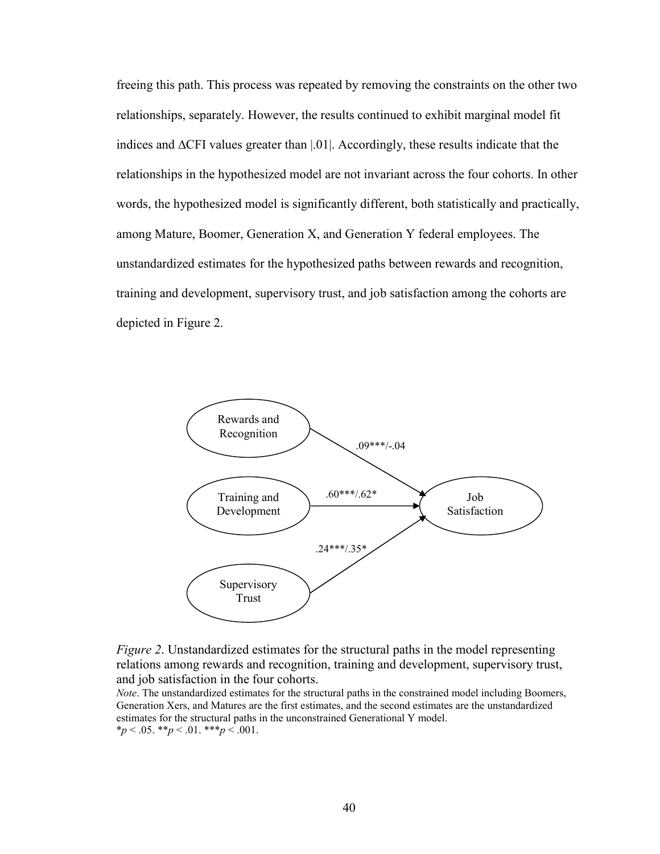freeing this path. This process was repeated by removing the constraints on the other two relationships, separately. However, the results continued to exhibit marginal model fit indices and ∆CFI values greater than |.01|. Accordingly, these results indicate that the relationships in the hypothesized model are not invariant across the four cohorts. In other words, the hypothesized model is significantly different, both statistically and practically, among Mature, Boomer, Generation X, and Generation Y federal employees. The unstandardized estimates for the hypothesized paths between rewards and recognition, training and development, supervisory trust, and job satisfaction among the cohorts are depicted in Figure 2.





*Note*. The unstandardized estimates for the structural paths in the constrained model including Boomers, Generation Xers, and Matures are the first estimates, and the second estimates are the unstandardized estimates for the structural paths in the unconstrained Generational Y model.  $*_p$  < .05.  $*_p$  < .01.  $**_p$  < .001.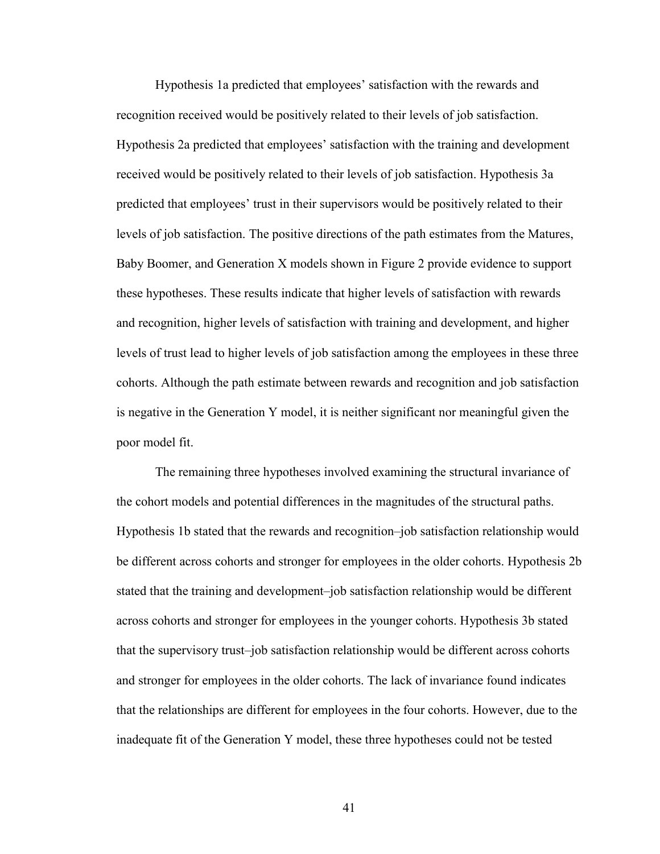Hypothesis 1a predicted that employees' satisfaction with the rewards and recognition received would be positively related to their levels of job satisfaction. Hypothesis 2a predicted that employees' satisfaction with the training and development received would be positively related to their levels of job satisfaction. Hypothesis 3a predicted that employees' trust in their supervisors would be positively related to their levels of job satisfaction. The positive directions of the path estimates from the Matures, Baby Boomer, and Generation X models shown in Figure 2 provide evidence to support these hypotheses. These results indicate that higher levels of satisfaction with rewards and recognition, higher levels of satisfaction with training and development, and higher levels of trust lead to higher levels of job satisfaction among the employees in these three cohorts. Although the path estimate between rewards and recognition and job satisfaction is negative in the Generation Y model, it is neither significant nor meaningful given the poor model fit.

 The remaining three hypotheses involved examining the structural invariance of the cohort models and potential differences in the magnitudes of the structural paths. Hypothesis 1b stated that the rewards and recognition–job satisfaction relationship would be different across cohorts and stronger for employees in the older cohorts. Hypothesis 2b stated that the training and development–job satisfaction relationship would be different across cohorts and stronger for employees in the younger cohorts. Hypothesis 3b stated that the supervisory trust–job satisfaction relationship would be different across cohorts and stronger for employees in the older cohorts. The lack of invariance found indicates that the relationships are different for employees in the four cohorts. However, due to the inadequate fit of the Generation Y model, these three hypotheses could not be tested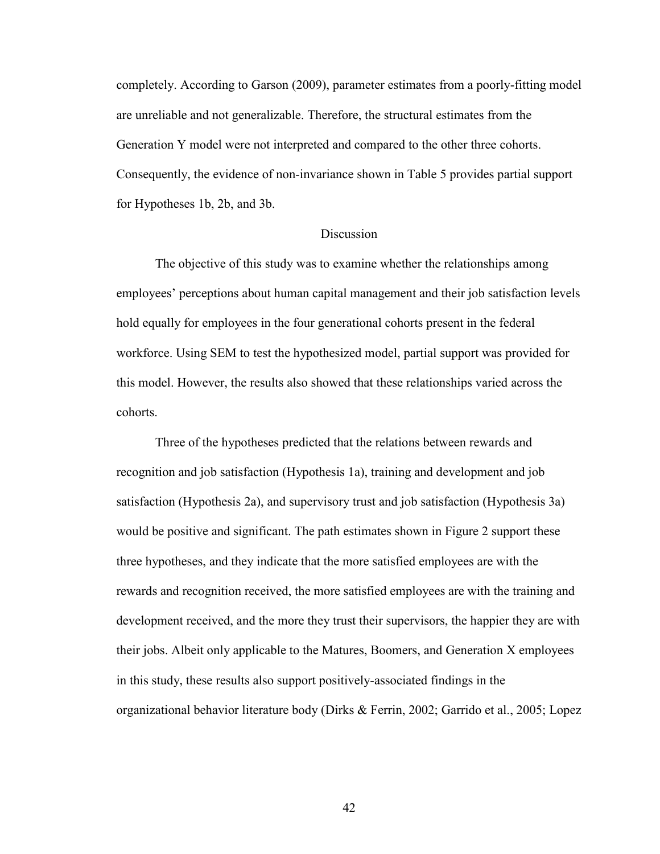completely. According to Garson (2009), parameter estimates from a poorly-fitting model are unreliable and not generalizable. Therefore, the structural estimates from the Generation Y model were not interpreted and compared to the other three cohorts. Consequently, the evidence of non-invariance shown in Table 5 provides partial support for Hypotheses 1b, 2b, and 3b.

### **Discussion**

 The objective of this study was to examine whether the relationships among employees' perceptions about human capital management and their job satisfaction levels hold equally for employees in the four generational cohorts present in the federal workforce. Using SEM to test the hypothesized model, partial support was provided for this model. However, the results also showed that these relationships varied across the cohorts.

 Three of the hypotheses predicted that the relations between rewards and recognition and job satisfaction (Hypothesis 1a), training and development and job satisfaction (Hypothesis 2a), and supervisory trust and job satisfaction (Hypothesis 3a) would be positive and significant. The path estimates shown in Figure 2 support these three hypotheses, and they indicate that the more satisfied employees are with the rewards and recognition received, the more satisfied employees are with the training and development received, and the more they trust their supervisors, the happier they are with their jobs. Albeit only applicable to the Matures, Boomers, and Generation X employees in this study, these results also support positively-associated findings in the organizational behavior literature body (Dirks & Ferrin, 2002; Garrido et al., 2005; Lopez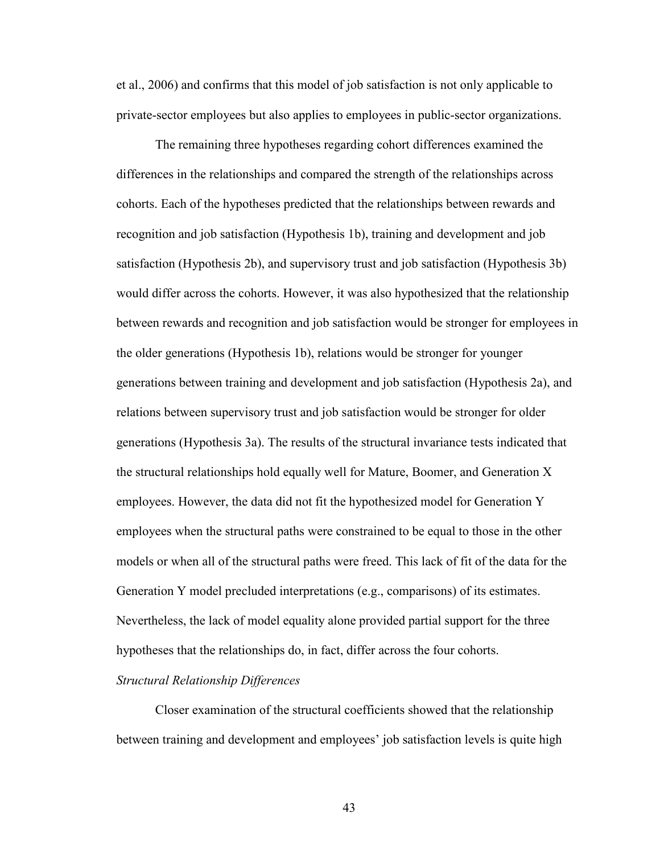et al., 2006) and confirms that this model of job satisfaction is not only applicable to private-sector employees but also applies to employees in public-sector organizations.

 The remaining three hypotheses regarding cohort differences examined the differences in the relationships and compared the strength of the relationships across cohorts. Each of the hypotheses predicted that the relationships between rewards and recognition and job satisfaction (Hypothesis 1b), training and development and job satisfaction (Hypothesis 2b), and supervisory trust and job satisfaction (Hypothesis 3b) would differ across the cohorts. However, it was also hypothesized that the relationship between rewards and recognition and job satisfaction would be stronger for employees in the older generations (Hypothesis 1b), relations would be stronger for younger generations between training and development and job satisfaction (Hypothesis 2a), and relations between supervisory trust and job satisfaction would be stronger for older generations (Hypothesis 3a). The results of the structural invariance tests indicated that the structural relationships hold equally well for Mature, Boomer, and Generation X employees. However, the data did not fit the hypothesized model for Generation Y employees when the structural paths were constrained to be equal to those in the other models or when all of the structural paths were freed. This lack of fit of the data for the Generation Y model precluded interpretations (e.g., comparisons) of its estimates. Nevertheless, the lack of model equality alone provided partial support for the three hypotheses that the relationships do, in fact, differ across the four cohorts.

### *Structural Relationship Differences*

 Closer examination of the structural coefficients showed that the relationship between training and development and employees' job satisfaction levels is quite high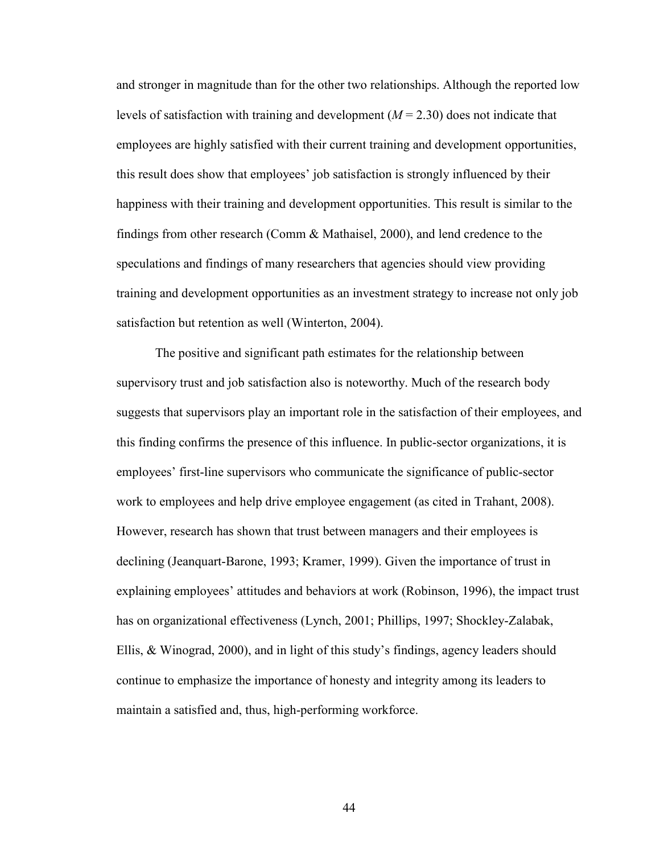and stronger in magnitude than for the other two relationships. Although the reported low levels of satisfaction with training and development (*M* = 2.30) does not indicate that employees are highly satisfied with their current training and development opportunities, this result does show that employees' job satisfaction is strongly influenced by their happiness with their training and development opportunities. This result is similar to the findings from other research (Comm & Mathaisel, 2000), and lend credence to the speculations and findings of many researchers that agencies should view providing training and development opportunities as an investment strategy to increase not only job satisfaction but retention as well (Winterton, 2004).

 The positive and significant path estimates for the relationship between supervisory trust and job satisfaction also is noteworthy. Much of the research body suggests that supervisors play an important role in the satisfaction of their employees, and this finding confirms the presence of this influence. In public-sector organizations, it is employees' first-line supervisors who communicate the significance of public-sector work to employees and help drive employee engagement (as cited in Trahant, 2008). However, research has shown that trust between managers and their employees is declining (Jeanquart-Barone, 1993; Kramer, 1999). Given the importance of trust in explaining employees' attitudes and behaviors at work (Robinson, 1996), the impact trust has on organizational effectiveness (Lynch, 2001; Phillips, 1997; Shockley-Zalabak, Ellis,  $\&$  Winograd, 2000), and in light of this study's findings, agency leaders should continue to emphasize the importance of honesty and integrity among its leaders to maintain a satisfied and, thus, high-performing workforce.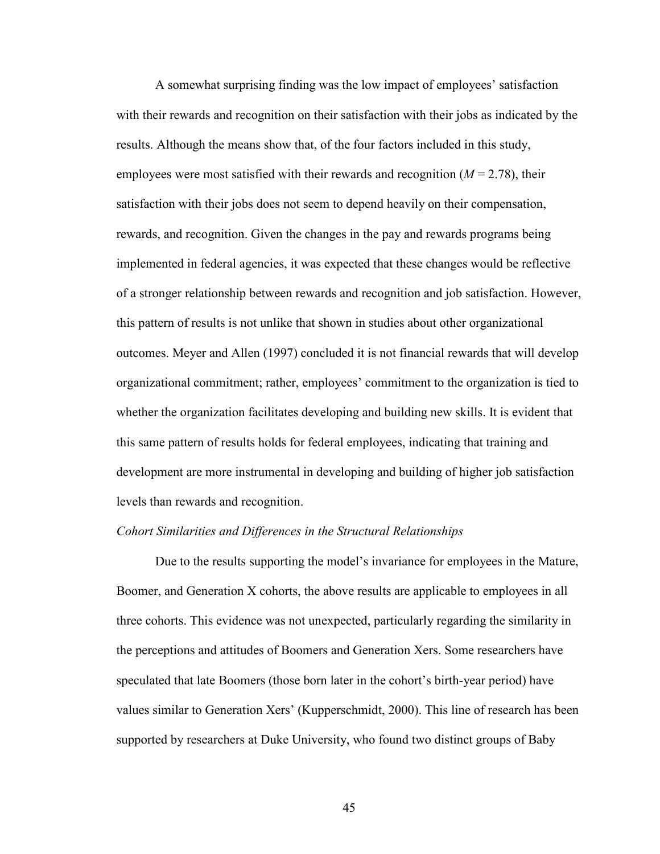A somewhat surprising finding was the low impact of employees' satisfaction with their rewards and recognition on their satisfaction with their jobs as indicated by the results. Although the means show that, of the four factors included in this study, employees were most satisfied with their rewards and recognition  $(M = 2.78)$ , their satisfaction with their jobs does not seem to depend heavily on their compensation, rewards, and recognition. Given the changes in the pay and rewards programs being implemented in federal agencies, it was expected that these changes would be reflective of a stronger relationship between rewards and recognition and job satisfaction. However, this pattern of results is not unlike that shown in studies about other organizational outcomes. Meyer and Allen (1997) concluded it is not financial rewards that will develop organizational commitment; rather, employees' commitment to the organization is tied to whether the organization facilitates developing and building new skills. It is evident that this same pattern of results holds for federal employees, indicating that training and development are more instrumental in developing and building of higher job satisfaction levels than rewards and recognition.

### *Cohort Similarities and Differences in the Structural Relationships*

Due to the results supporting the model's invariance for employees in the Mature, Boomer, and Generation X cohorts, the above results are applicable to employees in all three cohorts. This evidence was not unexpected, particularly regarding the similarity in the perceptions and attitudes of Boomers and Generation Xers. Some researchers have speculated that late Boomers (those born later in the cohort's birth-year period) have values similar to Generation Xers' (Kupperschmidt, 2000). This line of research has been supported by researchers at Duke University, who found two distinct groups of Baby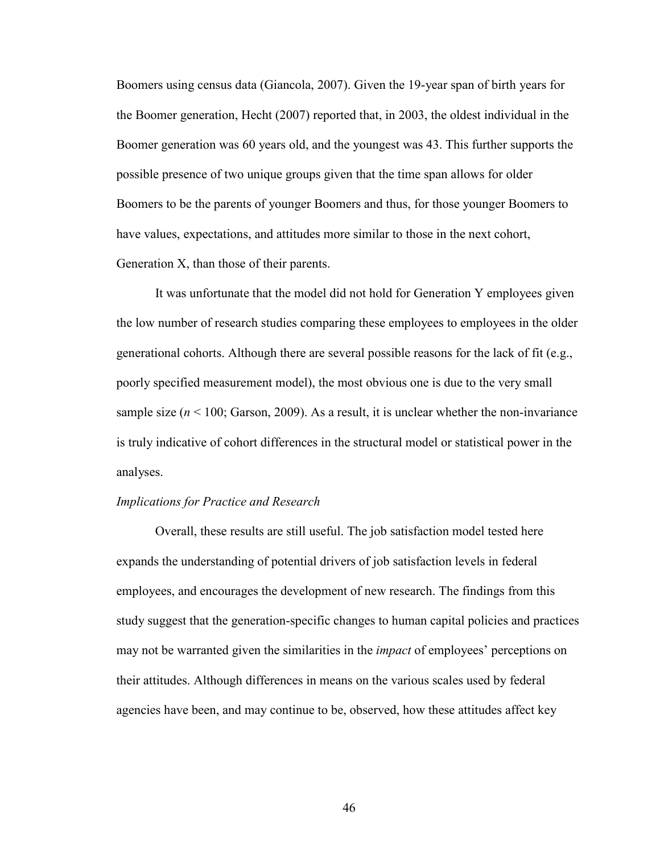Boomers using census data (Giancola, 2007). Given the 19-year span of birth years for the Boomer generation, Hecht (2007) reported that, in 2003, the oldest individual in the Boomer generation was 60 years old, and the youngest was 43. This further supports the possible presence of two unique groups given that the time span allows for older Boomers to be the parents of younger Boomers and thus, for those younger Boomers to have values, expectations, and attitudes more similar to those in the next cohort, Generation X, than those of their parents.

 It was unfortunate that the model did not hold for Generation Y employees given the low number of research studies comparing these employees to employees in the older generational cohorts. Although there are several possible reasons for the lack of fit (e.g., poorly specified measurement model), the most obvious one is due to the very small sample size  $(n < 100;$  Garson, 2009). As a result, it is unclear whether the non-invariance is truly indicative of cohort differences in the structural model or statistical power in the analyses.

### *Implications for Practice and Research*

Overall, these results are still useful. The job satisfaction model tested here expands the understanding of potential drivers of job satisfaction levels in federal employees, and encourages the development of new research. The findings from this study suggest that the generation-specific changes to human capital policies and practices may not be warranted given the similarities in the *impact* of employees' perceptions on their attitudes. Although differences in means on the various scales used by federal agencies have been, and may continue to be, observed, how these attitudes affect key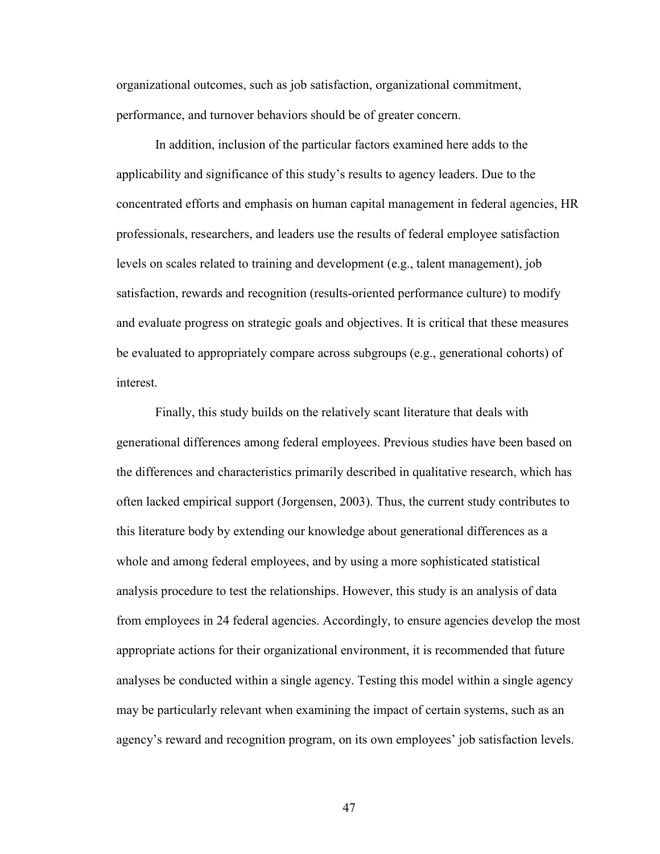organizational outcomes, such as job satisfaction, organizational commitment, performance, and turnover behaviors should be of greater concern.

 In addition, inclusion of the particular factors examined here adds to the applicability and significance of this study's results to agency leaders. Due to the concentrated efforts and emphasis on human capital management in federal agencies, HR professionals, researchers, and leaders use the results of federal employee satisfaction levels on scales related to training and development (e.g., talent management), job satisfaction, rewards and recognition (results-oriented performance culture) to modify and evaluate progress on strategic goals and objectives. It is critical that these measures be evaluated to appropriately compare across subgroups (e.g., generational cohorts) of interest.

 Finally, this study builds on the relatively scant literature that deals with generational differences among federal employees. Previous studies have been based on the differences and characteristics primarily described in qualitative research, which has often lacked empirical support (Jorgensen, 2003). Thus, the current study contributes to this literature body by extending our knowledge about generational differences as a whole and among federal employees, and by using a more sophisticated statistical analysis procedure to test the relationships. However, this study is an analysis of data from employees in 24 federal agencies. Accordingly, to ensure agencies develop the most appropriate actions for their organizational environment, it is recommended that future analyses be conducted within a single agency. Testing this model within a single agency may be particularly relevant when examining the impact of certain systems, such as an agency's reward and recognition program, on its own employees' job satisfaction levels.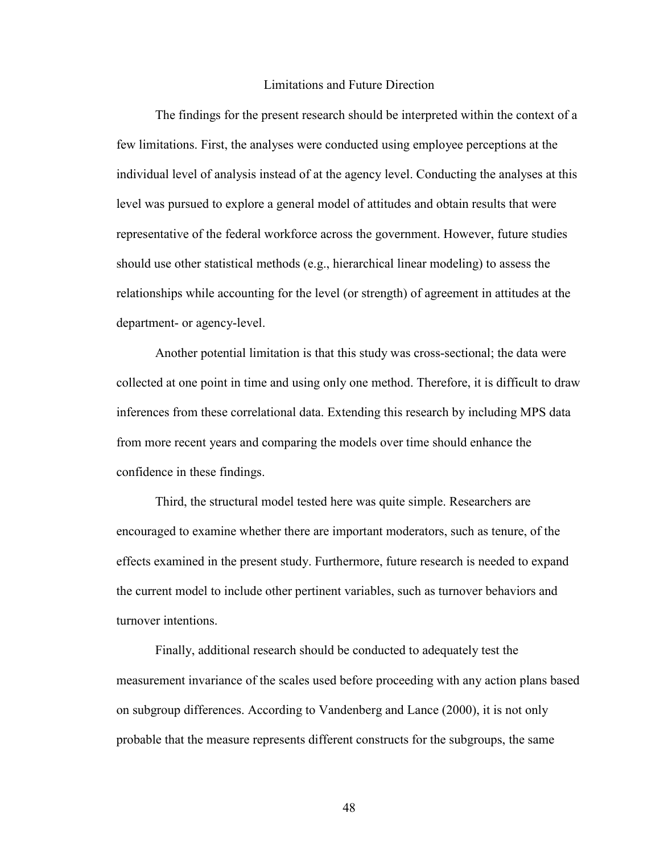#### Limitations and Future Direction

 The findings for the present research should be interpreted within the context of a few limitations. First, the analyses were conducted using employee perceptions at the individual level of analysis instead of at the agency level. Conducting the analyses at this level was pursued to explore a general model of attitudes and obtain results that were representative of the federal workforce across the government. However, future studies should use other statistical methods (e.g., hierarchical linear modeling) to assess the relationships while accounting for the level (or strength) of agreement in attitudes at the department- or agency-level.

 Another potential limitation is that this study was cross-sectional; the data were collected at one point in time and using only one method. Therefore, it is difficult to draw inferences from these correlational data. Extending this research by including MPS data from more recent years and comparing the models over time should enhance the confidence in these findings.

 Third, the structural model tested here was quite simple. Researchers are encouraged to examine whether there are important moderators, such as tenure, of the effects examined in the present study. Furthermore, future research is needed to expand the current model to include other pertinent variables, such as turnover behaviors and turnover intentions.

 Finally, additional research should be conducted to adequately test the measurement invariance of the scales used before proceeding with any action plans based on subgroup differences. According to Vandenberg and Lance (2000), it is not only probable that the measure represents different constructs for the subgroups, the same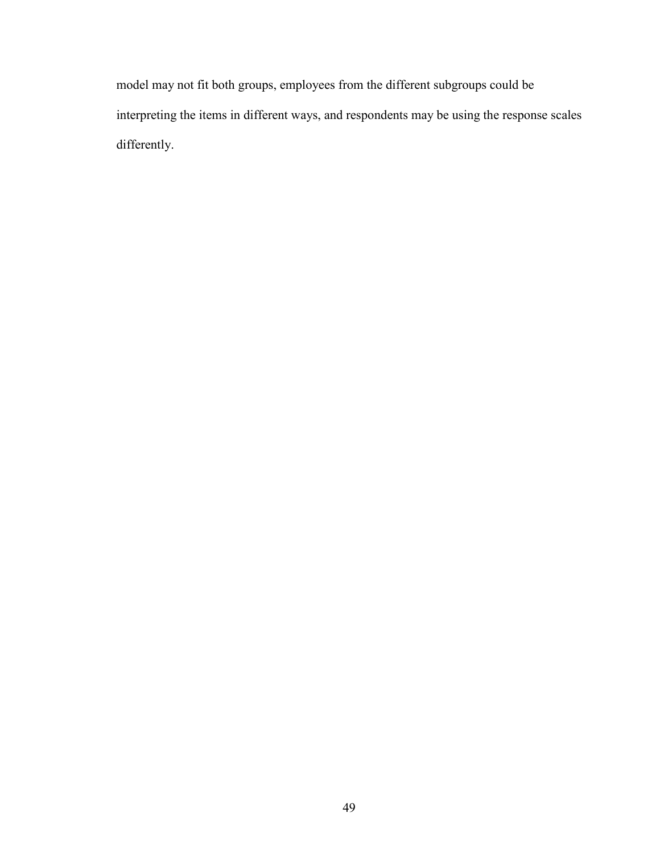model may not fit both groups, employees from the different subgroups could be interpreting the items in different ways, and respondents may be using the response scales differently.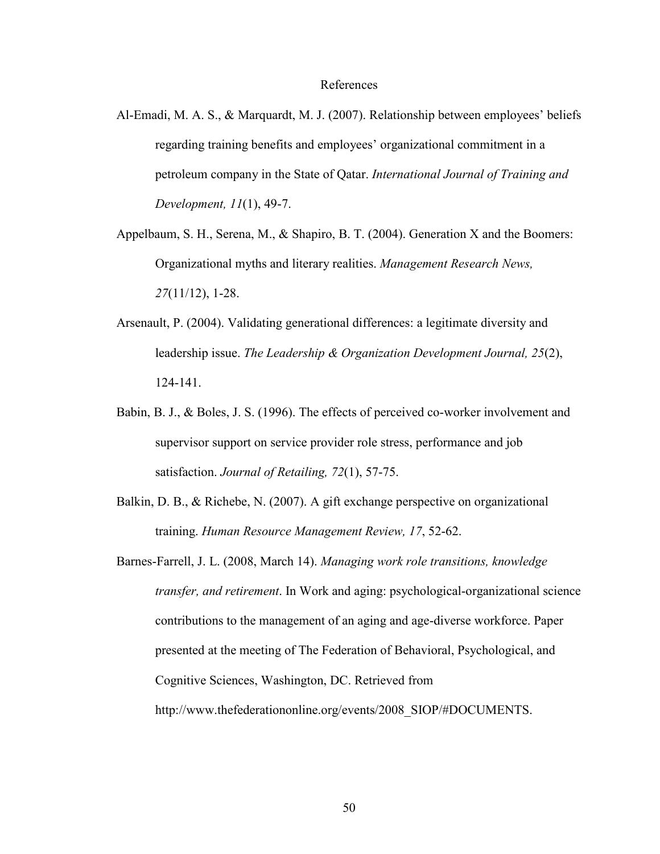#### References

- Al-Emadi, M. A. S., & Marquardt, M. J. (2007). Relationship between employees' beliefs regarding training benefits and employees' organizational commitment in a petroleum company in the State of Qatar. *International Journal of Training and Development, 11*(1), 49-7.
- Appelbaum, S. H., Serena, M., & Shapiro, B. T. (2004). Generation X and the Boomers: Organizational myths and literary realities. *Management Research News, 27*(11/12), 1-28.
- Arsenault, P. (2004). Validating generational differences: a legitimate diversity and leadership issue. *The Leadership & Organization Development Journal, 25*(2), 124-141.
- Babin, B. J., & Boles, J. S. (1996). The effects of perceived co-worker involvement and supervisor support on service provider role stress, performance and job satisfaction. *Journal of Retailing, 72*(1), 57-75.
- Balkin, D. B., & Richebe, N. (2007). A gift exchange perspective on organizational training. *Human Resource Management Review, 17*, 52-62.
- Barnes-Farrell, J. L. (2008, March 14). *Managing work role transitions, knowledge transfer, and retirement*. In Work and aging: psychological-organizational science contributions to the management of an aging and age-diverse workforce. Paper presented at the meeting of The Federation of Behavioral, Psychological, and Cognitive Sciences, Washington, DC. Retrieved from http://www.thefederationonline.org/events/2008\_SIOP/#DOCUMENTS.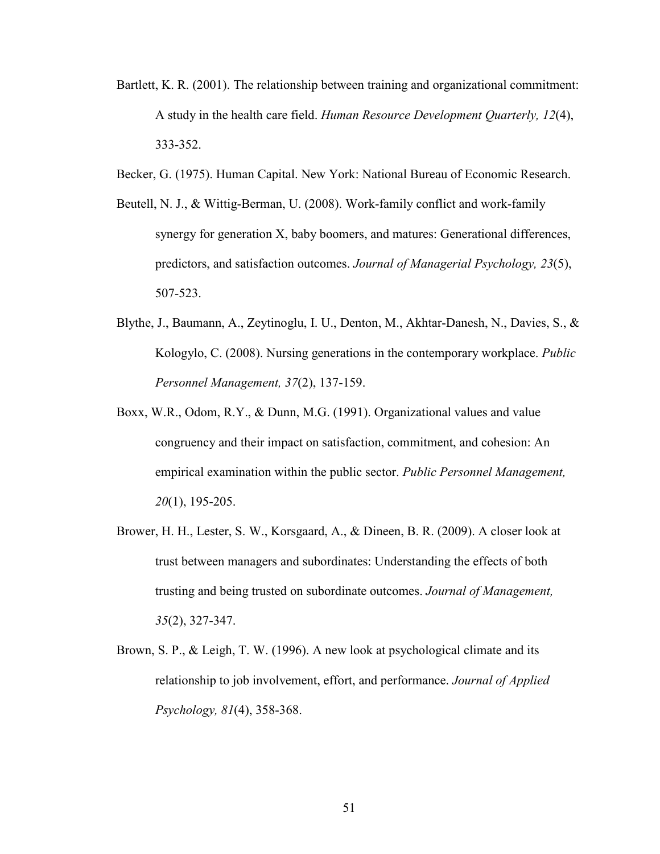- Bartlett, K. R. (2001). The relationship between training and organizational commitment: A study in the health care field. *Human Resource Development Quarterly, 12*(4), 333-352.
- Becker, G. (1975). Human Capital. New York: National Bureau of Economic Research.
- Beutell, N. J., & Wittig-Berman, U. (2008). Work-family conflict and work-family synergy for generation X, baby boomers, and matures: Generational differences, predictors, and satisfaction outcomes. *Journal of Managerial Psychology, 23*(5), 507-523.
- Blythe, J., Baumann, A., Zeytinoglu, I. U., Denton, M., Akhtar-Danesh, N., Davies, S., & Kologylo, C. (2008). Nursing generations in the contemporary workplace. *Public Personnel Management, 37*(2), 137-159.
- Boxx, W.R., Odom, R.Y., & Dunn, M.G. (1991). Organizational values and value congruency and their impact on satisfaction, commitment, and cohesion: An empirical examination within the public sector. *Public Personnel Management, 20*(1), 195-205.
- Brower, H. H., Lester, S. W., Korsgaard, A., & Dineen, B. R. (2009). A closer look at trust between managers and subordinates: Understanding the effects of both trusting and being trusted on subordinate outcomes. *Journal of Management, 35*(2), 327-347.
- Brown, S. P., & Leigh, T. W. (1996). A new look at psychological climate and its relationship to job involvement, effort, and performance. *Journal of Applied Psychology, 81*(4), 358-368.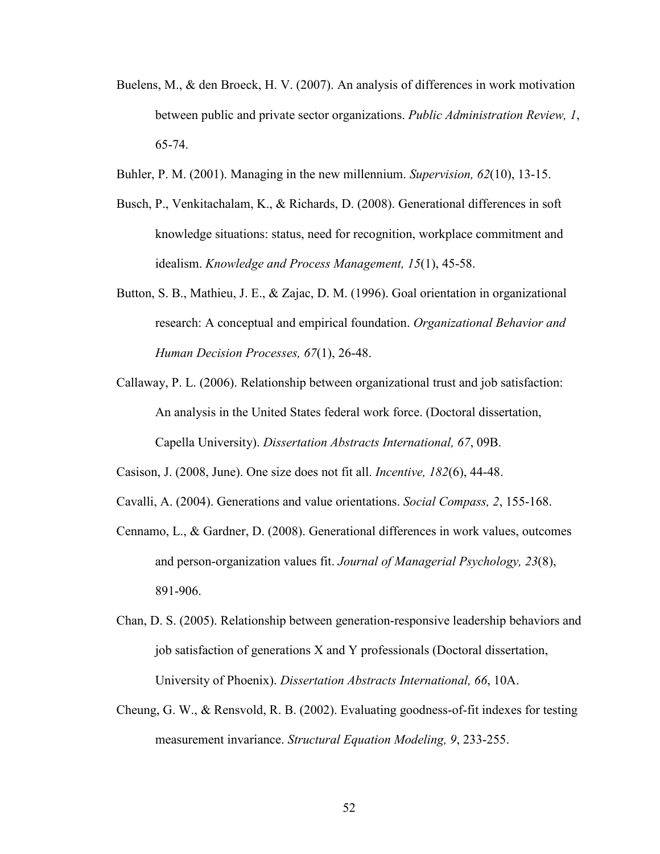- Buelens, M., & den Broeck, H. V. (2007). An analysis of differences in work motivation between public and private sector organizations. *Public Administration Review, 1*, 65-74.
- Buhler, P. M. (2001). Managing in the new millennium. *Supervision, 62*(10), 13-15.
- Busch, P., Venkitachalam, K., & Richards, D. (2008). Generational differences in soft knowledge situations: status, need for recognition, workplace commitment and idealism. *Knowledge and Process Management, 15*(1), 45-58.
- Button, S. B., Mathieu, J. E., & Zajac, D. M. (1996). Goal orientation in organizational research: A conceptual and empirical foundation. *Organizational Behavior and Human Decision Processes, 67*(1), 26-48.
- Callaway, P. L. (2006). Relationship between organizational trust and job satisfaction: An analysis in the United States federal work force. (Doctoral dissertation, Capella University). *Dissertation Abstracts International, 67*, 09B.

Casison, J. (2008, June). One size does not fit all. *Incentive, 182*(6), 44-48.

- Cavalli, A. (2004). Generations and value orientations. *Social Compass, 2*, 155-168.
- Cennamo, L., & Gardner, D. (2008). Generational differences in work values, outcomes and person-organization values fit. *Journal of Managerial Psychology, 23*(8), 891-906.
- Chan, D. S. (2005). Relationship between generation-responsive leadership behaviors and job satisfaction of generations X and Y professionals (Doctoral dissertation, University of Phoenix). *Dissertation Abstracts International, 66*, 10A.
- Cheung, G. W., & Rensvold, R. B. (2002). Evaluating goodness-of-fit indexes for testing measurement invariance. *Structural Equation Modeling, 9*, 233-255.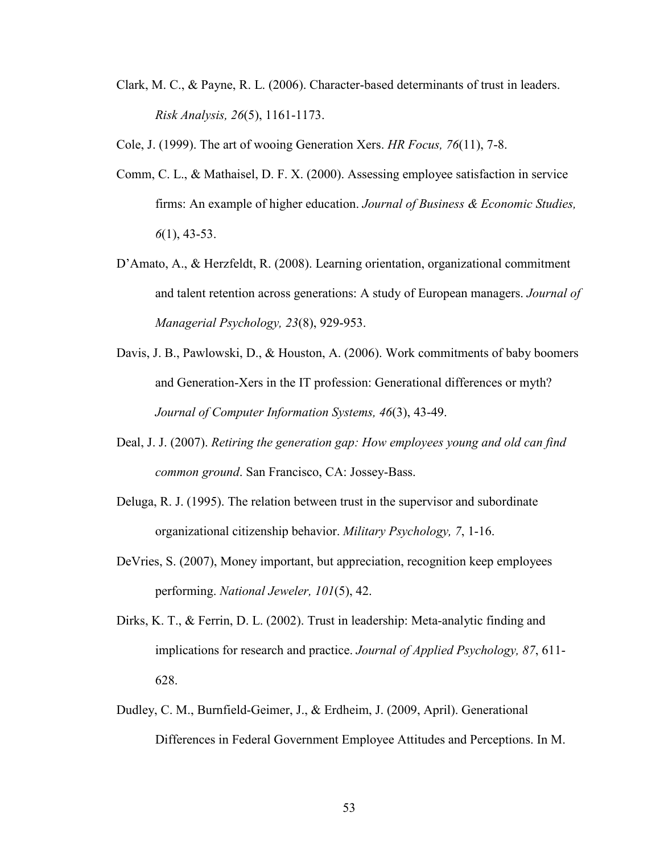Clark, M. C., & Payne, R. L. (2006). Character-based determinants of trust in leaders. *Risk Analysis, 26*(5), 1161-1173.

Cole, J. (1999). The art of wooing Generation Xers. *HR Focus, 76*(11), 7-8.

- Comm, C. L., & Mathaisel, D. F. X. (2000). Assessing employee satisfaction in service firms: An example of higher education. *Journal of Business & Economic Studies, 6*(1), 43-53.
- D'Amato, A., & Herzfeldt, R. (2008). Learning orientation, organizational commitment and talent retention across generations: A study of European managers. *Journal of Managerial Psychology, 23*(8), 929-953.
- Davis, J. B., Pawlowski, D., & Houston, A. (2006). Work commitments of baby boomers and Generation-Xers in the IT profession: Generational differences or myth? *Journal of Computer Information Systems, 46*(3), 43-49.
- Deal, J. J. (2007). *Retiring the generation gap: How employees young and old can find common ground*. San Francisco, CA: Jossey-Bass.
- Deluga, R. J. (1995). The relation between trust in the supervisor and subordinate organizational citizenship behavior. *Military Psychology, 7*, 1-16.
- DeVries, S. (2007), Money important, but appreciation, recognition keep employees performing. *National Jeweler, 101*(5), 42.
- Dirks, K. T., & Ferrin, D. L. (2002). Trust in leadership: Meta-analytic finding and implications for research and practice. *Journal of Applied Psychology, 87*, 611- 628.
- Dudley, C. M., Burnfield-Geimer, J., & Erdheim, J. (2009, April). Generational Differences in Federal Government Employee Attitudes and Perceptions. In M.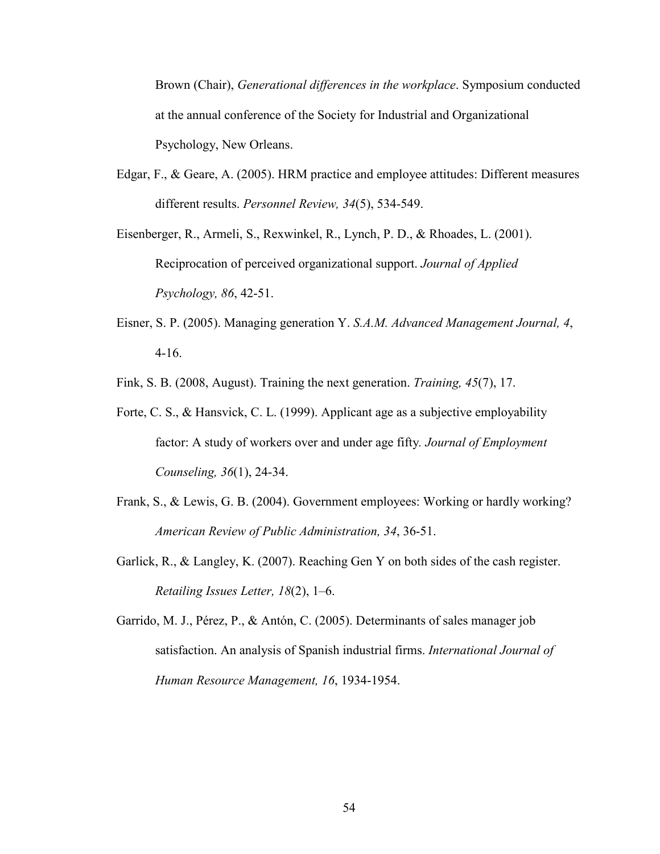Brown (Chair), *Generational differences in the workplace*. Symposium conducted at the annual conference of the Society for Industrial and Organizational Psychology, New Orleans.

Edgar, F., & Geare, A. (2005). HRM practice and employee attitudes: Different measures different results. *Personnel Review, 34*(5), 534-549.

Eisenberger, R., Armeli, S., Rexwinkel, R., Lynch, P. D., & Rhoades, L. (2001). Reciprocation of perceived organizational support. *Journal of Applied Psychology, 86*, 42-51.

Eisner, S. P. (2005). Managing generation Y. *S.A.M. Advanced Management Journal, 4*, 4-16.

Fink, S. B. (2008, August). Training the next generation. *Training, 45*(7), 17.

- Forte, C. S., & Hansvick, C. L. (1999). Applicant age as a subjective employability factor: A study of workers over and under age fifty*. Journal of Employment Counseling, 36*(1), 24-34.
- Frank, S., & Lewis, G. B. (2004). Government employees: Working or hardly working? *American Review of Public Administration, 34*, 36-51.
- Garlick, R., & Langley, K. (2007). Reaching Gen Y on both sides of the cash register. *Retailing Issues Letter, 18*(2), 1–6.
- Garrido, M. J., Pérez, P., & Antón, C. (2005). Determinants of sales manager job satisfaction. An analysis of Spanish industrial firms. *International Journal of Human Resource Management, 16*, 1934-1954.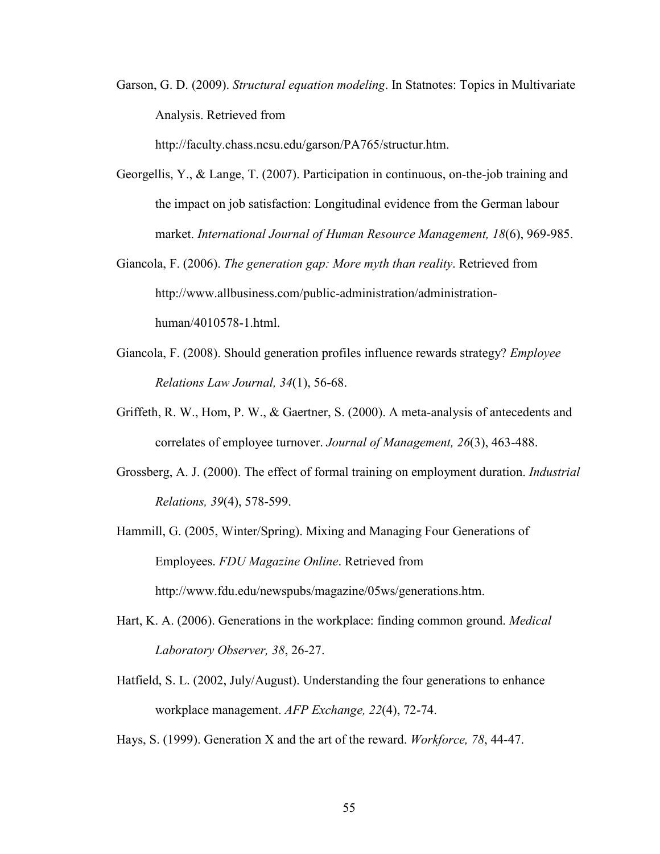Garson, G. D. (2009). *Structural equation modeling*. In Statnotes: Topics in Multivariate Analysis. Retrieved from

http://faculty.chass.ncsu.edu/garson/PA765/structur.htm.

- Georgellis, Y., & Lange, T. (2007). Participation in continuous, on-the-job training and the impact on job satisfaction: Longitudinal evidence from the German labour market. *International Journal of Human Resource Management, 18*(6), 969-985.
- Giancola, F. (2006). *The generation gap: More myth than reality*. Retrieved from http://www.allbusiness.com/public-administration/administrationhuman/4010578-1.html.
- Giancola, F. (2008). Should generation profiles influence rewards strategy? *Employee Relations Law Journal, 34*(1), 56-68.
- Griffeth, R. W., Hom, P. W., & Gaertner, S. (2000). A meta-analysis of antecedents and correlates of employee turnover. *Journal of Management, 26*(3), 463-488.
- Grossberg, A. J. (2000). The effect of formal training on employment duration. *Industrial Relations, 39*(4), 578-599.
- Hammill, G. (2005, Winter/Spring). Mixing and Managing Four Generations of Employees. *FDU Magazine Online*. Retrieved from <http://www.fdu.edu/newspubs/magazine/05ws/generations.htm>.
- Hart, K. A. (2006). Generations in the workplace: finding common ground. *Medical Laboratory Observer, 38*, 26-27.
- Hatfield, S. L. (2002, July/August). Understanding the four generations to enhance workplace management. *AFP Exchange, 22*(4), 72-74.
- Hays, S. (1999). Generation X and the art of the reward. *Workforce, 78*, 44-47.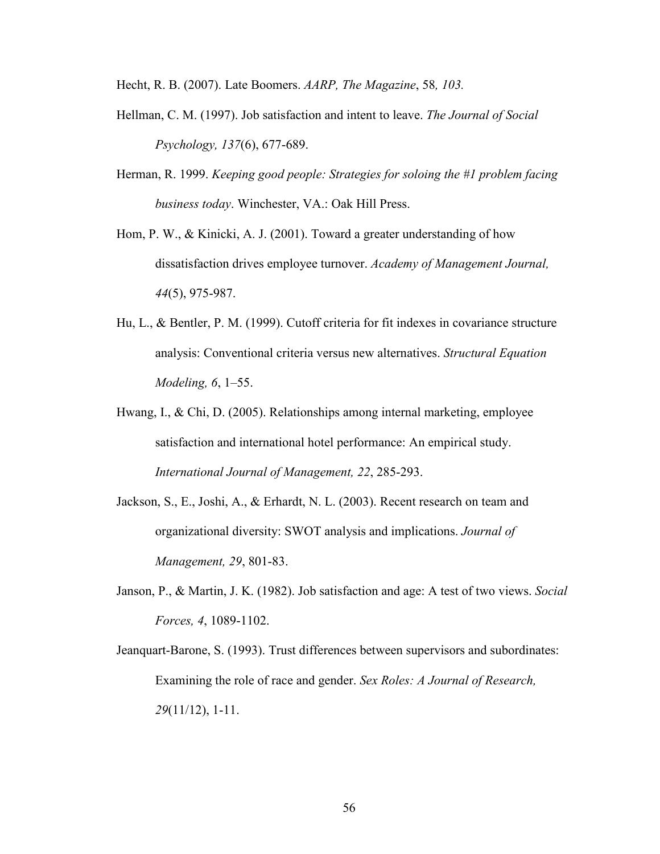Hecht, R. B. (2007). Late Boomers. *AARP, The Magazine*, 58*, 103.*

- Hellman, C. M. (1997). Job satisfaction and intent to leave. *The Journal of Social Psychology, 137*(6), 677-689.
- Herman, R. 1999. *Keeping good people: Strategies for soloing the #1 problem facing business today*. Winchester, VA.: Oak Hill Press.
- Hom, P. W., & Kinicki, A. J. (2001). Toward a greater understanding of how dissatisfaction drives employee turnover. *Academy of Management Journal, 44*(5), 975-987.
- Hu, L., & Bentler, P. M. (1999). Cutoff criteria for fit indexes in covariance structure analysis: Conventional criteria versus new alternatives. *Structural Equation Modeling, 6*, 1–55.
- Hwang, I., & Chi, D. (2005). Relationships among internal marketing, employee satisfaction and international hotel performance: An empirical study. *International Journal of Management, 22*, 285-293.
- Jackson, S., E., Joshi, A., & Erhardt, N. L. (2003). Recent research on team and organizational diversity: SWOT analysis and implications. *Journal of Management, 29*, 801-83.
- Janson, P., & Martin, J. K. (1982). Job satisfaction and age: A test of two views. *Social Forces, 4*, 1089-1102.
- Jeanquart-Barone, S. (1993). Trust differences between supervisors and subordinates: Examining the role of race and gender. *Sex Roles: A Journal of Research, 29*(11/12), 1-11.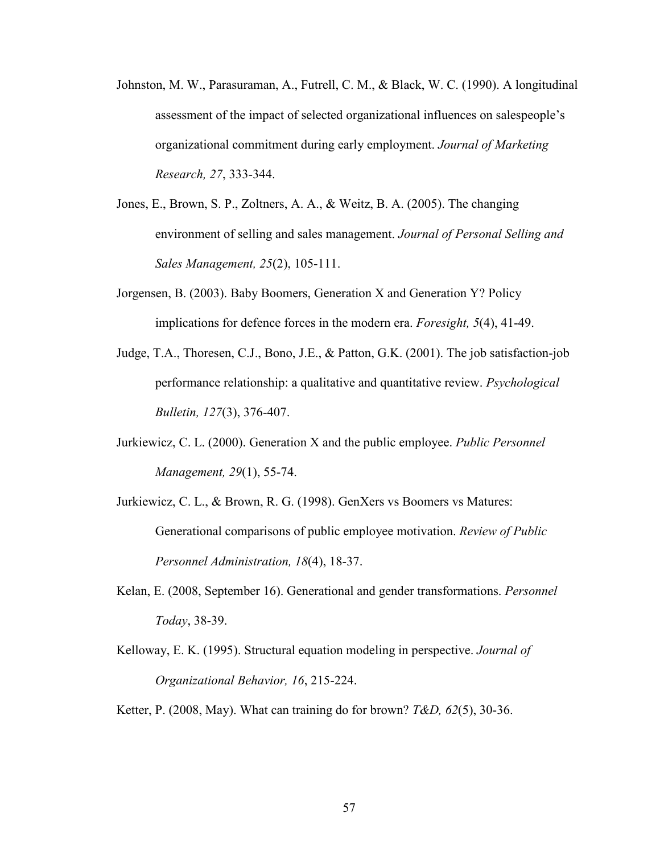- Johnston, M. W., Parasuraman, A., Futrell, C. M., & Black, W. C. (1990). A longitudinal assessment of the impact of selected organizational influences on salespeople's organizational commitment during early employment. *Journal of Marketing Research, 27*, 333-344.
- Jones, E., Brown, S. P., Zoltners, A. A., & Weitz, B. A. (2005). The changing environment of selling and sales management. *Journal of Personal Selling and Sales Management, 25*(2), 105-111.
- Jorgensen, B. (2003). Baby Boomers, Generation X and Generation Y? Policy implications for defence forces in the modern era. *Foresight, 5*(4), 41-49.
- Judge, T.A., Thoresen, C.J., Bono, J.E., & Patton, G.K. (2001). The job satisfaction-job performance relationship: a qualitative and quantitative review. *Psychological Bulletin, 127*(3), 376-407.
- Jurkiewicz, C. L. (2000). Generation X and the public employee. *Public Personnel Management, 29*(1), 55-74.
- Jurkiewicz, C. L., & Brown, R. G. (1998). GenXers vs Boomers vs Matures: Generational comparisons of public employee motivation. *Review of Public Personnel Administration, 18*(4), 18-37.
- Kelan, E. (2008, September 16). Generational and gender transformations. *Personnel Today*, 38-39.
- Kelloway, E. K. (1995). Structural equation modeling in perspective. *Journal of Organizational Behavior, 16*, 215-224.
- Ketter, P. (2008, May). What can training do for brown? *T&D, 62*(5), 30-36.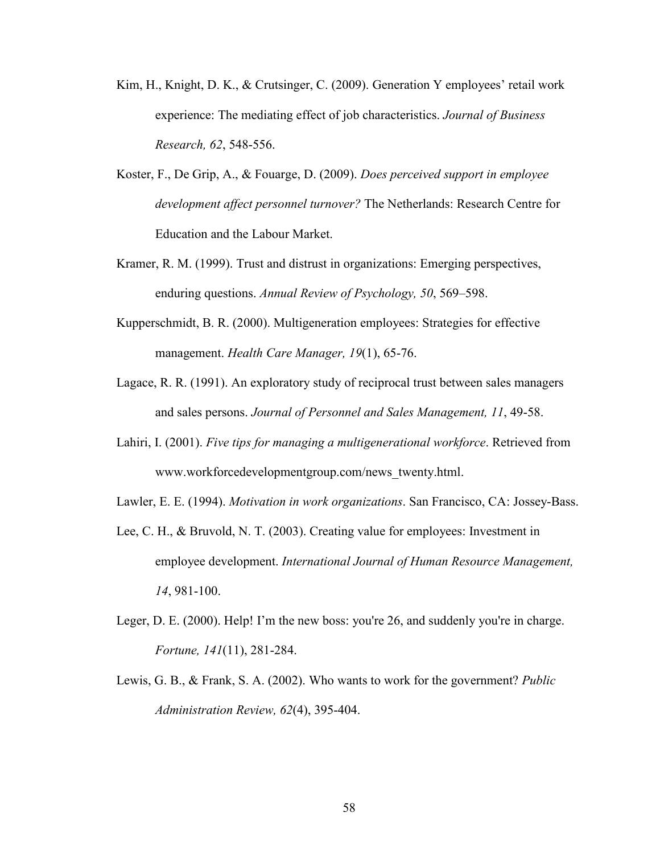- Kim, H., Knight, D. K., & Crutsinger, C. (2009). Generation Y employees' retail work experience: The mediating effect of job characteristics. *Journal of Business Research, 62*, 548-556.
- Koster, F., De Grip, A., & Fouarge, D. (2009). *Does perceived support in employee development affect personnel turnover?* The Netherlands: Research Centre for Education and the Labour Market.
- Kramer, R. M. (1999). Trust and distrust in organizations: Emerging perspectives, enduring questions. *Annual Review of Psychology, 50*, 569–598.
- Kupperschmidt, B. R. (2000). Multigeneration employees: Strategies for effective management. *Health Care Manager, 19*(1), 65-76.
- Lagace, R. R. (1991). An exploratory study of reciprocal trust between sales managers and sales persons. *Journal of Personnel and Sales Management, 11*, 49-58.
- Lahiri, I. (2001). *Five tips for managing a multigenerational workforce*. Retrieved from www.workforcedevelopmentgroup.com/news\_twenty.html.
- Lawler, E. E. (1994). *Motivation in work organizations*. San Francisco, CA: Jossey-Bass.
- Lee, C. H., & Bruvold, N. T. (2003). Creating value for employees: Investment in employee development. *International Journal of Human Resource Management, 14*, 981-100.
- Leger, D. E. (2000). Help! I'm the new boss: you're 26, and suddenly you're in charge. *Fortune, 141*(11), 281-284.
- Lewis, G. B., & Frank, S. A. (2002). Who wants to work for the government? *Public Administration Review, 62*(4), 395-404.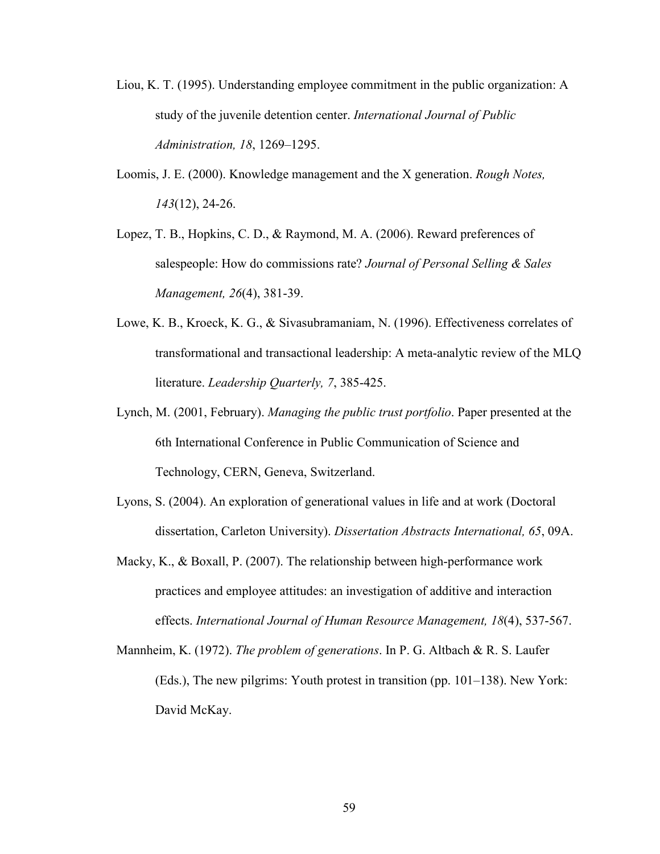- Liou, K. T. (1995). Understanding employee commitment in the public organization: A study of the juvenile detention center. *International Journal of Public Administration, 18*, 1269–1295.
- Loomis, J. E. (2000). Knowledge management and the X generation. *Rough Notes, 143*(12), 24-26.
- Lopez, T. B., Hopkins, C. D., & Raymond, M. A. (2006). Reward preferences of salespeople: How do commissions rate? *Journal of Personal Selling & Sales Management, 26*(4), 381-39.
- Lowe, K. B., Kroeck, K. G., & Sivasubramaniam, N. (1996). Effectiveness correlates of transformational and transactional leadership: A meta-analytic review of the MLQ literature. *Leadership Quarterly, 7*, 385-425.
- Lynch, M. (2001, February). *Managing the public trust portfolio*. Paper presented at the 6th International Conference in Public Communication of Science and Technology, CERN, Geneva, Switzerland.
- Lyons, S. (2004). An exploration of generational values in life and at work (Doctoral dissertation, Carleton University). *Dissertation Abstracts International, 65*, 09A.
- Macky, K., & Boxall, P. (2007). The relationship between high-performance work practices and employee attitudes: an investigation of additive and interaction effects. *International Journal of Human Resource Management, 18*(4), 537-567.
- Mannheim, K. (1972). *The problem of generations*. In P. G. Altbach & R. S. Laufer (Eds.), The new pilgrims: Youth protest in transition (pp. 101–138). New York: David McKay.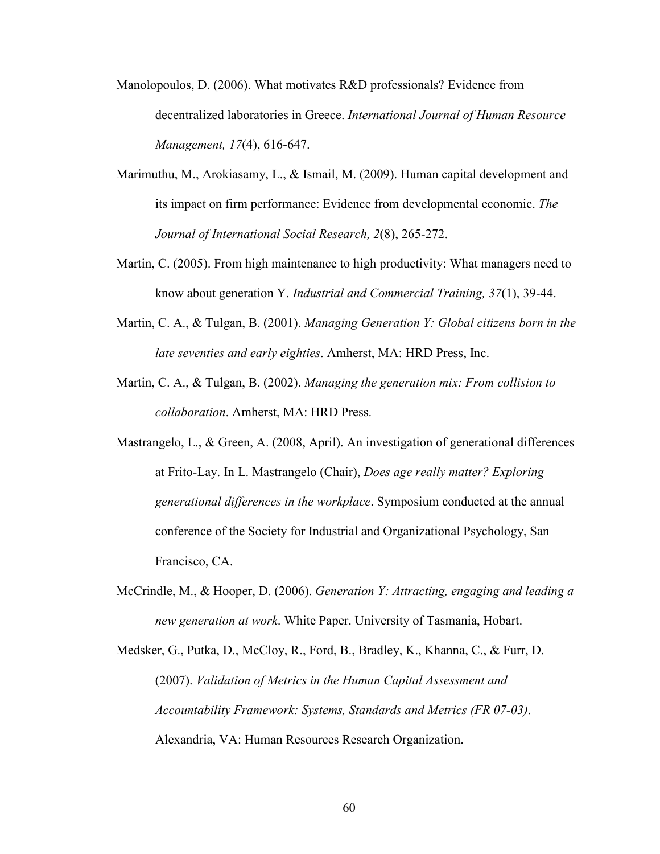- Manolopoulos, D. (2006). What motivates R&D professionals? Evidence from decentralized laboratories in Greece. *International Journal of Human Resource Management, 17*(4), 616-647.
- Marimuthu, M., Arokiasamy, L., & Ismail, M. (2009). Human capital development and its impact on firm performance: Evidence from developmental economic. *The Journal of International Social Research, 2*(8), 265-272.
- Martin, C. (2005). From high maintenance to high productivity: What managers need to know about generation Y. *Industrial and Commercial Training, 37*(1), 39-44.
- Martin, C. A., & Tulgan, B. (2001). *Managing Generation Y: Global citizens born in the late seventies and early eighties*. Amherst, MA: HRD Press, Inc.
- Martin, C. A., & Tulgan, B. (2002). *Managing the generation mix: From collision to collaboration*. Amherst, MA: HRD Press.
- Mastrangelo, L., & Green, A. (2008, April). An investigation of generational differences at Frito-Lay. In L. Mastrangelo (Chair), *Does age really matter? Exploring generational differences in the workplace*. Symposium conducted at the annual conference of the Society for Industrial and Organizational Psychology, San Francisco, CA.
- McCrindle, M., & Hooper, D. (2006). *Generation Y: Attracting, engaging and leading a new generation at work*. White Paper. University of Tasmania, Hobart.
- Medsker, G., Putka, D., McCloy, R., Ford, B., Bradley, K., Khanna, C., & Furr, D. (2007). *Validation of Metrics in the Human Capital Assessment and Accountability Framework: Systems, Standards and Metrics (FR 07-03)*. Alexandria, VA: Human Resources Research Organization.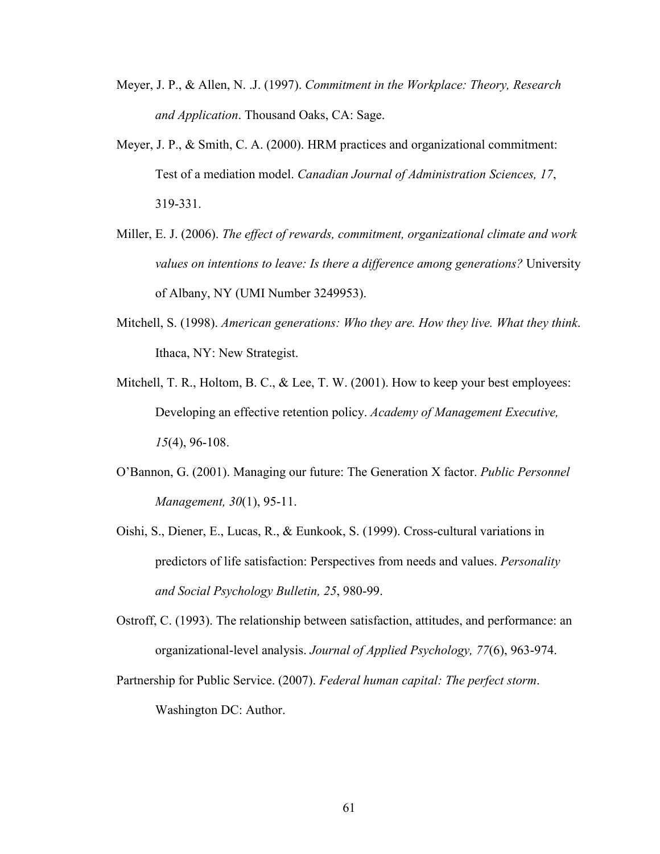- Meyer, J. P., & Allen, N. .J. (1997). *Commitment in the Workplace: Theory, Research and Application*. Thousand Oaks, CA: Sage.
- Meyer, J. P., & Smith, C. A. (2000). HRM practices and organizational commitment: Test of a mediation model. *Canadian Journal of Administration Sciences, 17*, 319-331.
- Miller, E. J. (2006). *The effect of rewards, commitment, organizational climate and work values on intentions to leave: Is there a difference among generations?* University of Albany, NY (UMI Number 3249953).
- Mitchell, S. (1998). *American generations: Who they are. How they live. What they think*. Ithaca, NY: New Strategist.
- Mitchell, T. R., Holtom, B. C., & Lee, T. W. (2001). How to keep your best employees: Developing an effective retention policy. *Academy of Management Executive, 15*(4), 96-108.
- O'Bannon, G. (2001). Managing our future: The Generation X factor. *Public Personnel Management, 30*(1), 95-11.
- Oishi, S., Diener, E., Lucas, R., & Eunkook, S. (1999). Cross-cultural variations in predictors of life satisfaction: Perspectives from needs and values. *Personality and Social Psychology Bulletin, 25*, 980-99.
- Ostroff, C. (1993). The relationship between satisfaction, attitudes, and performance: an organizational-level analysis. *Journal of Applied Psychology, 77*(6), 963-974.
- Partnership for Public Service. (2007). *Federal human capital: The perfect storm*. Washington DC: Author.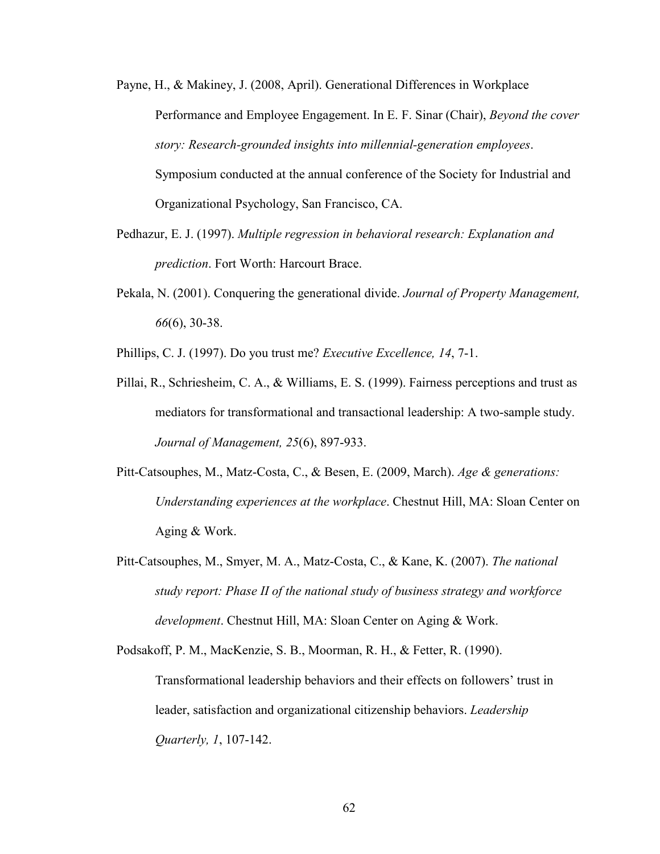Payne, H., & Makiney, J. (2008, April). Generational Differences in Workplace Performance and Employee Engagement. In E. F. Sinar (Chair), *Beyond the cover story: Research-grounded insights into millennial-generation employees*. Symposium conducted at the annual conference of the Society for Industrial and Organizational Psychology, San Francisco, CA.

- Pedhazur, E. J. (1997). *Multiple regression in behavioral research: Explanation and prediction*. Fort Worth: Harcourt Brace.
- Pekala, N. (2001). Conquering the generational divide. *Journal of Property Management, 66*(6), 30-38.

Phillips, C. J. (1997). Do you trust me? *Executive Excellence, 14*, 7-1.

- Pillai, R., Schriesheim, C. A., & Williams, E. S. (1999). Fairness perceptions and trust as mediators for transformational and transactional leadership: A two-sample study. *Journal of Management, 25*(6), 897-933.
- Pitt-Catsouphes, M., Matz-Costa, C., & Besen, E. (2009, March). *Age & generations: Understanding experiences at the workplace*. Chestnut Hill, MA: Sloan Center on Aging & Work.
- Pitt-Catsouphes, M., Smyer, M. A., Matz-Costa, C., & Kane, K. (2007). *The national study report: Phase II of the national study of business strategy and workforce development*. Chestnut Hill, MA: Sloan Center on Aging & Work.

Podsakoff, P. M., MacKenzie, S. B., Moorman, R. H., & Fetter, R. (1990). Transformational leadership behaviors and their effects on followers' trust in leader, satisfaction and organizational citizenship behaviors. *Leadership Quarterly, 1*, 107-142.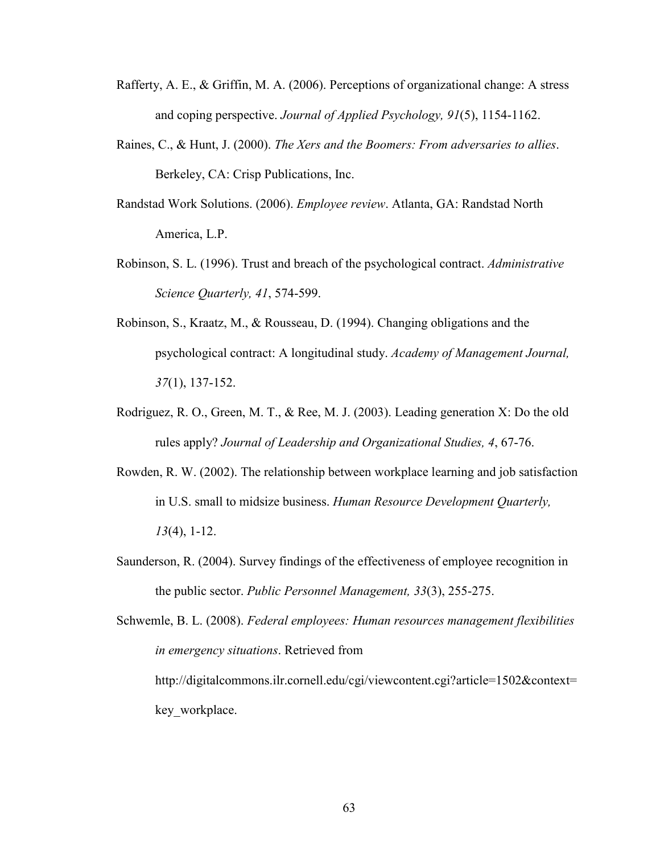- Rafferty, A. E., & Griffin, M. A. (2006). Perceptions of organizational change: A stress and coping perspective. *Journal of Applied Psychology, 91*(5), 1154-1162.
- Raines, C., & Hunt, J. (2000). *The Xers and the Boomers: From adversaries to allies*. Berkeley, CA: Crisp Publications, Inc.
- Randstad Work Solutions. (2006). *Employee review*. Atlanta, GA: Randstad North America, L.P.
- Robinson, S. L. (1996). Trust and breach of the psychological contract. *Administrative Science Quarterly, 41*, 574-599.
- Robinson, S., Kraatz, M., & Rousseau, D. (1994). Changing obligations and the psychological contract: A longitudinal study. *Academy of Management Journal, 37*(1), 137-152.
- Rodriguez, R. O., Green, M. T., & Ree, M. J. (2003). Leading generation X: Do the old rules apply? *Journal of Leadership and Organizational Studies, 4*, 67-76.
- Rowden, R. W. (2002). The relationship between workplace learning and job satisfaction in U.S. small to midsize business. *Human Resource Development Quarterly, 13*(4), 1-12.
- Saunderson, R. (2004). Survey findings of the effectiveness of employee recognition in the public sector. *Public Personnel Management, 33*(3), 255-275.

Schwemle, B. L. (2008). *Federal employees: Human resources management flexibilities in emergency situations*. Retrieved from [http://digitalcommons.ilr.cornell.edu/cgi/viewcontent.cgi?article=1502&contex](http://digitalcommons.ilr.cornell.edu/cgi/viewcontent.cgi?article=1502&context=key_workplace)t= key workplace.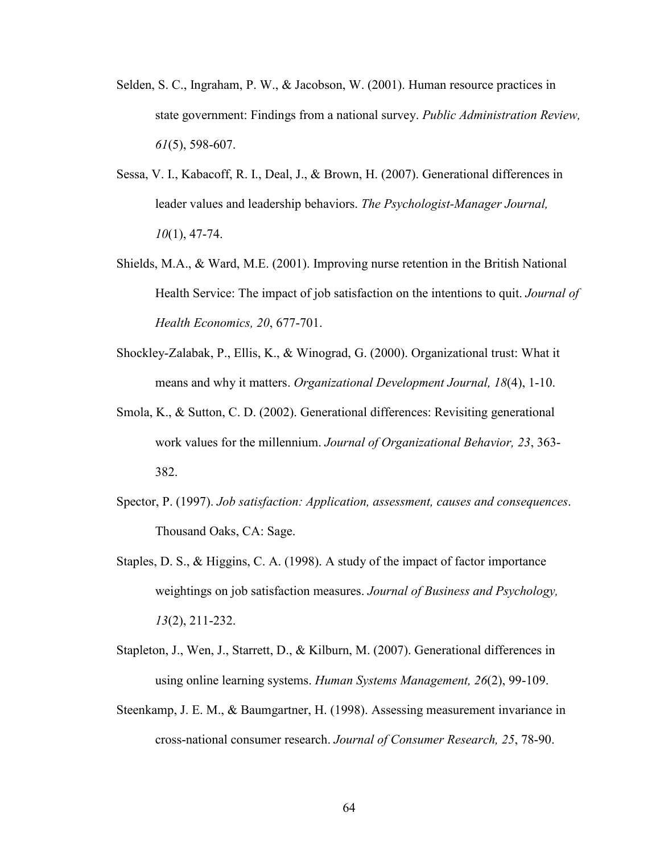- Selden, S. C., Ingraham, P. W., & Jacobson, W. (2001). Human resource practices in state government: Findings from a national survey. *Public Administration Review, 61*(5), 598-607.
- Sessa, V. I., Kabacoff, R. I., Deal, J., & Brown, H. (2007). Generational differences in leader values and leadership behaviors. *The Psychologist-Manager Journal, 10*(1), 47-74.
- Shields, M.A., & Ward, M.E. (2001). Improving nurse retention in the British National Health Service: The impact of job satisfaction on the intentions to quit. *Journal of Health Economics, 20*, 677-701.
- Shockley-Zalabak, P., Ellis, K., & Winograd, G. (2000). Organizational trust: What it means and why it matters. *Organizational Development Journal, 18*(4), 1-10.
- Smola, K., & Sutton, C. D. (2002). Generational differences: Revisiting generational work values for the millennium. *Journal of Organizational Behavior, 23*, 363- 382.
- Spector, P. (1997). *Job satisfaction: Application, assessment, causes and consequences*. Thousand Oaks, CA: Sage.
- Staples, D. S., & Higgins, C. A. (1998). A study of the impact of factor importance weightings on job satisfaction measures. *Journal of Business and Psychology, 13*(2), 211-232.
- Stapleton, J., Wen, J., Starrett, D., & Kilburn, M. (2007). Generational differences in using online learning systems. *Human Systems Management, 26*(2), 99-109.
- Steenkamp, J. E. M., & Baumgartner, H. (1998). Assessing measurement invariance in cross-national consumer research. *Journal of Consumer Research, 25*, 78-90.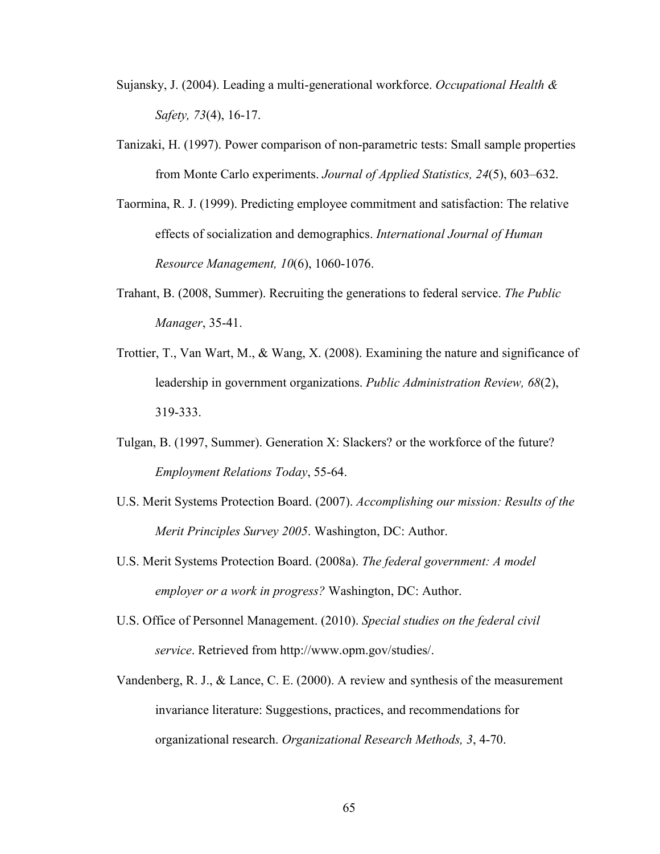- Sujansky, J. (2004). Leading a multi-generational workforce. *Occupational Health & Safety, 73*(4), 16-17.
- Tanizaki, H. (1997). Power comparison of non-parametric tests: Small sample properties from Monte Carlo experiments. *Journal of Applied Statistics, 24*(5), 603–632.
- Taormina, R. J. (1999). Predicting employee commitment and satisfaction: The relative effects of socialization and demographics. *International Journal of Human Resource Management, 10*(6), 1060-1076.
- Trahant, B. (2008, Summer). Recruiting the generations to federal service. *The Public Manager*, 35-41.
- Trottier, T., Van Wart, M., & Wang, X. (2008). [Examining the nature and significance of](http://web.ebscohost.com/ehost/viewarticle?data=dGJyMPPp44rp2%2fdV0%2bnjisfk5Ie46bZRt6yzTbKk63nn5Kx95uXxjL6vrUm0pbBIrq6eSa6wr1G4qbM4zsOkjPDX7Ivf2fKB7eTnfLujr0qzrrVMsKe0S6Ti34bls%2bOGpNrgVenb5j7y1%2bVVv8SkeeyzsFGxqbBItqmkfu3o63nys%2bSN6uLyffbq&hid=13)  [leadership in government organizations.](http://web.ebscohost.com/ehost/viewarticle?data=dGJyMPPp44rp2%2fdV0%2bnjisfk5Ie46bZRt6yzTbKk63nn5Kx95uXxjL6vrUm0pbBIrq6eSa6wr1G4qbM4zsOkjPDX7Ivf2fKB7eTnfLujr0qzrrVMsKe0S6Ti34bls%2bOGpNrgVenb5j7y1%2bVVv8SkeeyzsFGxqbBItqmkfu3o63nys%2bSN6uLyffbq&hid=13) *Public Administration Review, 68*(2), 319-333.
- Tulgan, B. (1997, Summer). Generation X: Slackers? or the workforce of the future? *Employment Relations Today*, 55-64.
- U.S. Merit Systems Protection Board. (2007). *Accomplishing our mission: Results of the Merit Principles Survey 2005*. Washington, DC: Author.
- U.S. Merit Systems Protection Board. (2008a). *The federal government: A model employer or a work in progress?* Washington, DC: Author.
- U.S. Office of Personnel Management. (2010). *Special studies on the federal civil service*. Retrieved from http://www.opm.gov/studies/.
- Vandenberg, R. J., & Lance, C. E. (2000). A review and synthesis of the measurement invariance literature: Suggestions, practices, and recommendations for organizational research. *Organizational Research Methods, 3*, 4-70.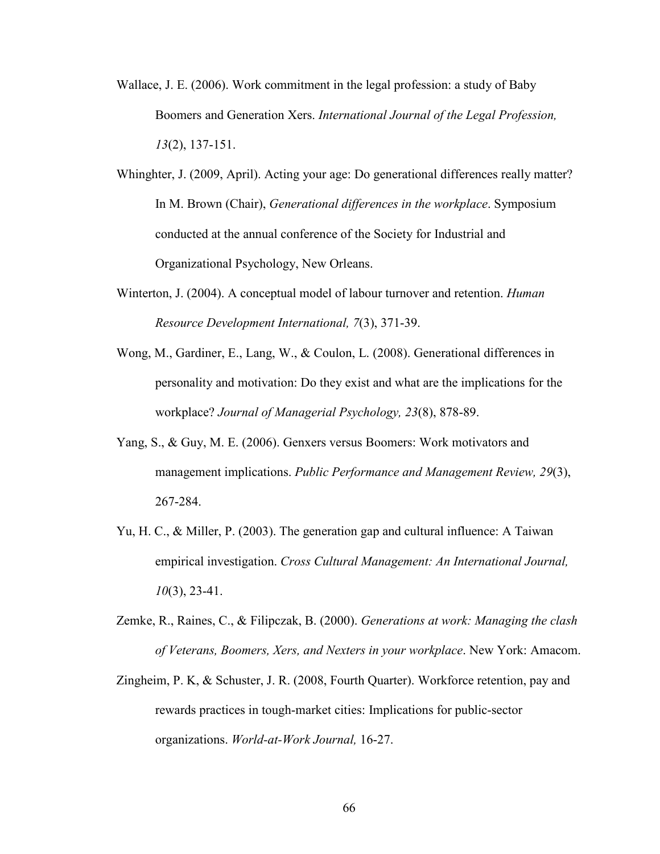- Wallace, J. E. (2006). Work commitment in the legal profession: a study of Baby Boomers and Generation Xers. *International Journal of the Legal Profession, 13*(2), 137-151.
- Whinghter, J. (2009, April). Acting your age: Do generational differences really matter? In M. Brown (Chair), *Generational differences in the workplace*. Symposium conducted at the annual conference of the Society for Industrial and Organizational Psychology, New Orleans.
- Winterton, J. (2004). A conceptual model of labour turnover and retention. *Human Resource Development International, 7*(3), 371-39.
- Wong, M., Gardiner, E., Lang, W., & Coulon, L. (2008). Generational differences in personality and motivation: Do they exist and what are the implications for the workplace? *Journal of Managerial Psychology, 23*(8), 878-89.
- Yang, S., & Guy, M. E. (2006). Genxers versus Boomers: Work motivators and management implications. *Public Performance and Management Review, 29*(3), 267-284.
- Yu, H. C., & Miller, P. (2003). The generation gap and cultural influence: A Taiwan empirical investigation. *Cross Cultural Management: An International Journal, 10*(3), 23-41.
- Zemke, R., Raines, C., & Filipczak, B. (2000). *Generations at work: Managing the clash of Veterans, Boomers, Xers, and Nexters in your workplace*. New York: Amacom.
- Zingheim, P. K, & Schuster, J. R. (2008, Fourth Quarter). Workforce retention, pay and rewards practices in tough-market cities: Implications for public-sector organizations. *World-at-Work Journal,* 16-27.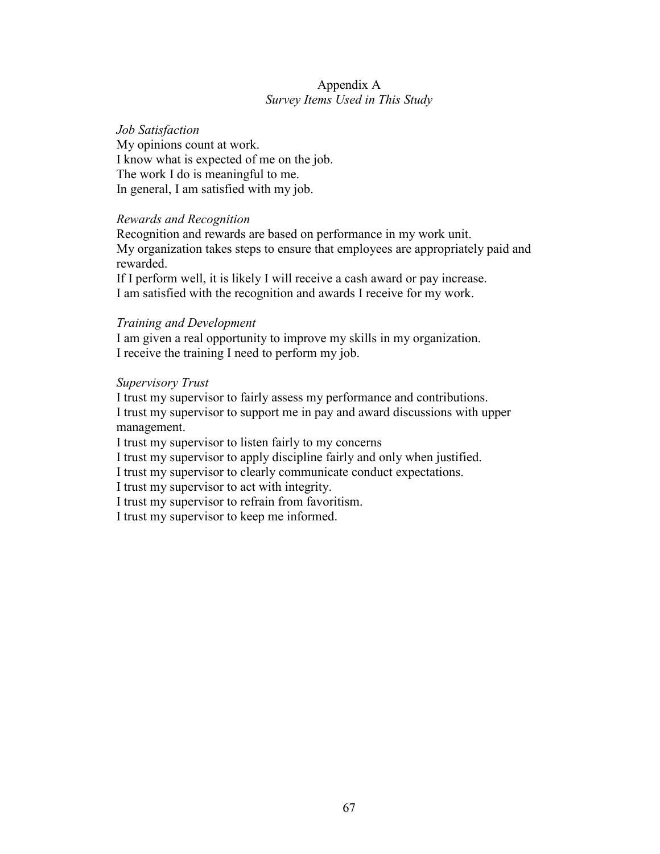## Appendix A *Survey Items Used in This Study*

### *Job Satisfaction*  My opinions count at work. I know what is expected of me on the job. The work I do is meaningful to me. In general, I am satisfied with my job.

#### *Rewards and Recognition*

Recognition and rewards are based on performance in my work unit. My organization takes steps to ensure that employees are appropriately paid and rewarded.

If I perform well, it is likely I will receive a cash award or pay increase. I am satisfied with the recognition and awards I receive for my work.

#### *Training and Development*

I am given a real opportunity to improve my skills in my organization. I receive the training I need to perform my job.

#### *Supervisory Trust*

I trust my supervisor to fairly assess my performance and contributions. I trust my supervisor to support me in pay and award discussions with upper management.

I trust my supervisor to listen fairly to my concerns

I trust my supervisor to apply discipline fairly and only when justified.

I trust my supervisor to clearly communicate conduct expectations.

I trust my supervisor to act with integrity.

I trust my supervisor to refrain from favoritism.

I trust my supervisor to keep me informed.